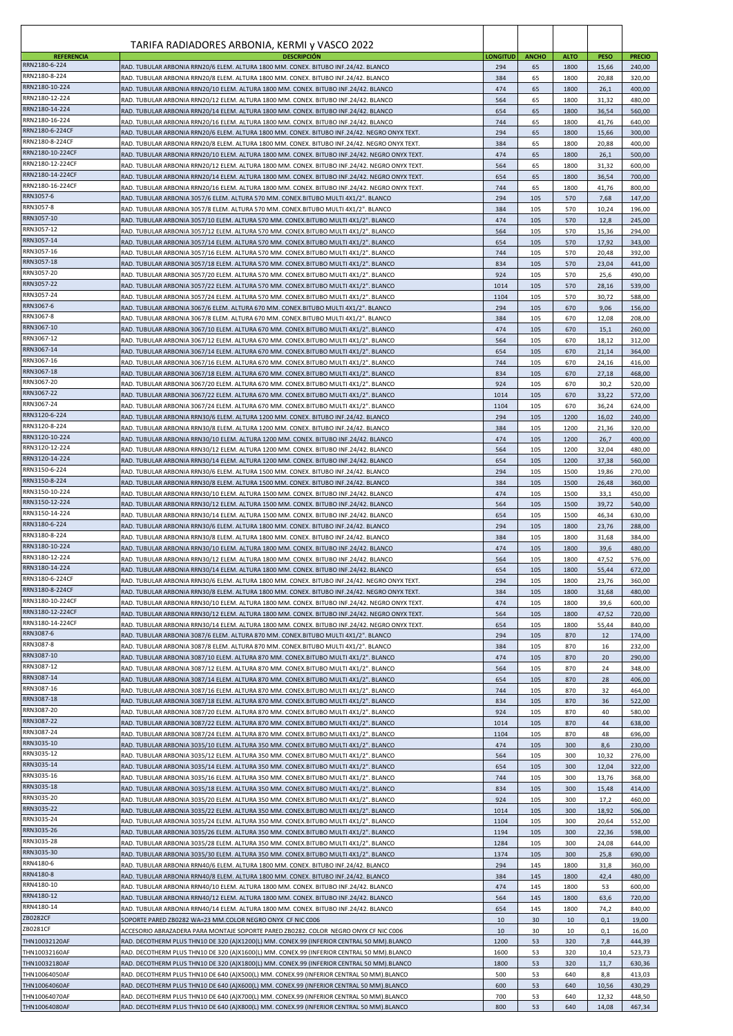| <b>REFERENCIA</b>                    | TARIFA RADIADORES ARBONIA, KERMI y VASCO 2022<br><b>DESCRIPCIÓN</b>                                                                                                                            | <b>LONGITUD</b> | <b>ANCHO</b> | <b>ALTO</b>  | <b>PESO</b>    | <b>PRECIO</b>    |
|--------------------------------------|------------------------------------------------------------------------------------------------------------------------------------------------------------------------------------------------|-----------------|--------------|--------------|----------------|------------------|
| RRN2180-6-224                        | RAD. TUBULAR ARBONIA RRN20/6 ELEM. ALTURA 1800 MM. CONEX. BITUBO INF.24/42. BLANCO                                                                                                             | 294             | 65           | 1800         | 15,66          | 240,00           |
| RRN2180-8-224<br>RRN2180-10-224      | RAD. TUBULAR ARBONIA RRN20/8 ELEM. ALTURA 1800 MM. CONEX. BITUBO INF.24/42. BLANCO<br>RAD, TUBULAR ARBONIA RRN20/10 ELEM, ALTURA 1800 MM, CONEX, BITUBO INF.24/42, BLANCO                      | 384             | 65           | 1800         | 20,88          | 320,00           |
| RRN2180-12-224                       | RAD. TUBULAR ARBONIA RRN20/12 ELEM. ALTURA 1800 MM. CONEX. BITUBO INF.24/42. BLANCO                                                                                                            | 474<br>564      | 65<br>65     | 1800<br>1800 | 26,1<br>31,32  | 400,00<br>480,00 |
| RRN2180-14-224                       | RAD. TUBULAR ARBONIA RRN20/14 ELEM. ALTURA 1800 MM. CONEX. BITUBO INF.24/42. BLANCO                                                                                                            | 654             | 65           | 1800         | 36,54          | 560,00           |
| RRN2180-16-224<br>RRN2180-6-224CF    | RAD. TUBULAR ARBONIA RRN20/16 ELEM. ALTURA 1800 MM. CONEX. BITUBO INF.24/42. BLANCO                                                                                                            | 744             | 65           | 1800         | 41,76          | 640,00           |
| RRN2180-8-224CF                      | RAD. TUBULAR ARBONIA RRN20/6 ELEM. ALTURA 1800 MM. CONEX. BITUBO INF.24/42. NEGRO ONYX TEXT.<br>RAD. TUBULAR ARBONIA RRN20/8 ELEM. ALTURA 1800 MM. CONEX. BITUBO INF.24/42. NEGRO ONYX TEXT.   | 294<br>384      | 65<br>65     | 1800<br>1800 | 15,66<br>20,88 | 300,00<br>400,00 |
| RRN2180-10-224CF                     | RAD. TUBULAR ARBONIA RRN20/10 ELEM. ALTURA 1800 MM. CONEX. BITUBO INF.24/42. NEGRO ONYX TEXT.                                                                                                  | 474             | 65           | 1800         | 26,1           | 500,00           |
| RRN2180-12-224CF                     | RAD. TUBULAR ARBONIA RRN20/12 ELEM. ALTURA 1800 MM. CONEX. BITUBO INF.24/42. NEGRO ONYX TEXT.                                                                                                  | 564             | 65           | 1800         | 31,32          | 600,00           |
| RRN2180-14-224CF<br>RRN2180-16-224CF | RAD. TUBULAR ARBONIA RRN20/14 ELEM. ALTURA 1800 MM. CONEX. BITUBO INF.24/42. NEGRO ONYX TEXT.<br>RAD. TUBULAR ARBONIA RRN20/16 ELEM. ALTURA 1800 MM. CONEX. BITUBO INF.24/42. NEGRO ONYX TEXT. | 654<br>744      | 65<br>65     | 1800<br>1800 | 36,54<br>41,76 | 700,00<br>800,00 |
| RRN3057-6                            | RAD. TUBULAR ARBONIA 3057/6 ELEM. ALTURA 570 MM. CONEX.BITUBO MULTI 4X1/2". BLANCO                                                                                                             | 294             | 105          | 570          | 7,68           | 147,00           |
| RRN3057-8                            | RAD. TUBULAR ARBONIA 3057/8 ELEM. ALTURA 570 MM. CONEX.BITUBO MULTI 4X1/2". BLANCO                                                                                                             | 384             | 105          | 570          | 10,24          | 196,00           |
| RRN3057-10<br>RRN3057-12             | RAD. TUBULAR ARBONIA 3057/10 ELEM. ALTURA 570 MM. CONEX.BITUBO MULTI 4X1/2". BLANCO                                                                                                            | 474             | 105          | 570          | 12,8           | 245,00           |
| RRN3057-14                           | RAD. TUBULAR ARBONIA 3057/12 ELEM. ALTURA 570 MM. CONEX.BITUBO MULTI 4X1/2". BLANCO<br>RAD. TUBULAR ARBONIA 3057/14 ELEM. ALTURA 570 MM. CONEX.BITUBO MULTI 4X1/2". BLANCO                     | 564<br>654      | 105<br>105   | 570<br>570   | 15,36<br>17,92 | 294,00<br>343,00 |
| RRN3057-16                           | RAD. TUBULAR ARBONIA 3057/16 ELEM. ALTURA 570 MM. CONEX.BITUBO MULTI 4X1/2". BLANCO                                                                                                            | 744             | 105          | 570          | 20,48          | 392,00           |
| RRN3057-18                           | RAD. TUBULAR ARBONIA 3057/18 ELEM. ALTURA 570 MM. CONEX.BITUBO MULTI 4X1/2". BLANCO                                                                                                            | 834             | 105          | 570          | 23,04          | 441,00           |
| RRN3057-20<br>RRN3057-22             | RAD. TUBULAR ARBONIA 3057/20 ELEM. ALTURA 570 MM. CONEX.BITUBO MULTI 4X1/2". BLANCO<br>RAD. TUBULAR ARBONIA 3057/22 ELEM. ALTURA 570 MM. CONEX.BITUBO MULTI 4X1/2". BLANCO                     | 924<br>1014     | 105<br>105   | 570<br>570   | 25,6<br>28,16  | 490,00<br>539,00 |
| RRN3057-24                           | RAD. TUBULAR ARBONIA 3057/24 ELEM. ALTURA 570 MM. CONEX.BITUBO MULTI 4X1/2". BLANCO                                                                                                            | 1104            | 105          | 570          | 30,72          | 588,00           |
| RRN3067-6                            | RAD. TUBULAR ARBONIA 3067/6 ELEM. ALTURA 670 MM. CONEX.BITUBO MULTI 4X1/2". BLANCO                                                                                                             | 294             | 105          | 670          | 9,06           | 156,00           |
| RRN3067-8<br>RRN3067-10              | RAD. TUBULAR ARBONIA 3067/8 ELEM. ALTURA 670 MM. CONEX.BITUBO MULTI 4X1/2". BLANCO                                                                                                             | 384             | 105          | 670          | 12,08          | 208,00           |
| RRN3067-12                           | RAD. TUBULAR ARBONIA 3067/10 ELEM. ALTURA 670 MM. CONEX.BITUBO MULTI 4X1/2". BLANCO<br>RAD. TUBULAR ARBONIA 3067/12 ELEM. ALTURA 670 MM. CONEX.BITUBO MULTI 4X1/2". BLANCO                     | 474<br>564      | 105<br>105   | 670<br>670   | 15,1<br>18,12  | 260,00<br>312,00 |
| RRN3067-14                           | RAD. TUBULAR ARBONIA 3067/14 ELEM. ALTURA 670 MM. CONEX.BITUBO MULTI 4X1/2". BLANCO                                                                                                            | 654             | 105          | 670          | 21,14          | 364,00           |
| RRN3067-16                           | RAD. TUBULAR ARBONIA 3067/16 ELEM. ALTURA 670 MM. CONEX.BITUBO MULTI 4X1/2". BLANCO                                                                                                            | 744             | 105          | 670          | 24,16          | 416,00           |
| RRN3067-18<br>RRN3067-20             | RAD. TUBULAR ARBONIA 3067/18 ELEM. ALTURA 670 MM. CONEX.BITUBO MULTI 4X1/2". BLANCO                                                                                                            | 834             | 105          | 670          | 27,18          | 468,00           |
| RRN3067-22                           | RAD. TUBULAR ARBONIA 3067/20 ELEM. ALTURA 670 MM. CONEX.BITUBO MULTI 4X1/2". BLANCO<br>RAD. TUBULAR ARBONIA 3067/22 ELEM. ALTURA 670 MM. CONEX.BITUBO MULTI 4X1/2". BLANCO                     | 924<br>1014     | 105<br>105   | 670<br>670   | 30,2<br>33,22  | 520,00<br>572,00 |
| RRN3067-24                           | RAD. TUBULAR ARBONIA 3067/24 ELEM. ALTURA 670 MM. CONEX.BITUBO MULTI 4X1/2". BLANCO                                                                                                            | 1104            | 105          | 670          | 36,24          | 624,00           |
| RRN3120-6-224                        | RAD. TUBULAR ARBONIA RRN30/6 ELEM. ALTURA 1200 MM. CONEX. BITUBO INF.24/42. BLANCO                                                                                                             | 294             | 105          | 1200         | 16,02          | 240,00           |
| RRN3120-8-224<br>RRN3120-10-224      | RAD. TUBULAR ARBONIA RRN30/8 ELEM. ALTURA 1200 MM. CONEX. BITUBO INF.24/42. BLANCO<br>RAD. TUBULAR ARBONIA RRN30/10 ELEM. ALTURA 1200 MM. CONEX. BITUBO INF.24/42. BLANCO                      | 384<br>474      | 105<br>105   | 1200<br>1200 | 21,36<br>26,7  | 320,00<br>400,00 |
| RRN3120-12-224                       | RAD. TUBULAR ARBONIA RRN30/12 ELEM. ALTURA 1200 MM. CONEX. BITUBO INF.24/42. BLANCO                                                                                                            | 564             | 105          | 1200         | 32,04          | 480,00           |
| RRN3120-14-224                       | RAD. TUBULAR ARBONIA RRN30/14 ELEM. ALTURA 1200 MM. CONEX. BITUBO INF.24/42. BLANCO                                                                                                            | 654             | 105          | 1200         | 37,38          | 560,00           |
| RRN3150-6-224<br>RRN3150-8-224       | RAD. TUBULAR ARBONIA RRN30/6 ELEM. ALTURA 1500 MM. CONEX. BITUBO INF.24/42. BLANCO                                                                                                             | 294             | 105          | 1500         | 19,86          | 270,00           |
| RRN3150-10-224                       | RAD. TUBULAR ARBONIA RRN30/8 ELEM. ALTURA 1500 MM. CONEX. BITUBO INF.24/42. BLANCO<br>RAD. TUBULAR ARBONIA RRN30/10 ELEM. ALTURA 1500 MM. CONEX. BITUBO INF.24/42. BLANCO                      | 384<br>474      | 105<br>105   | 1500<br>1500 | 26,48<br>33,1  | 360,00<br>450,00 |
| RRN3150-12-224                       | RAD. TUBULAR ARBONIA RRN30/12 ELEM. ALTURA 1500 MM. CONEX. BITUBO INF.24/42. BLANCO                                                                                                            | 564             | 105          | 1500         | 39,72          | 540,00           |
| RRN3150-14-224<br>RRN3180-6-224      | RAD. TUBULAR ARBONIA RRN30/14 ELEM. ALTURA 1500 MM. CONEX. BITUBO INF.24/42. BLANCO                                                                                                            | 654             | 105          | 1500         | 46,34          | 630,00           |
| RRN3180-8-224                        | RAD. TUBULAR ARBONIA RRN30/6 ELEM. ALTURA 1800 MM. CONEX. BITUBO INF.24/42. BLANCO<br>RAD. TUBULAR ARBONIA RRN30/8 ELEM. ALTURA 1800 MM. CONEX. BITUBO INF.24/42. BLANCO                       | 294<br>384      | 105<br>105   | 1800<br>1800 | 23,76<br>31,68 | 288,00<br>384,00 |
| RRN3180-10-224                       | RAD. TUBULAR ARBONIA RRN30/10 ELEM. ALTURA 1800 MM. CONEX. BITUBO INF.24/42. BLANCO                                                                                                            | 474             | 105          | 1800         | 39,6           | 480,00           |
| RRN3180-12-224                       | RAD. TUBULAR ARBONIA RRN30/12 ELEM. ALTURA 1800 MM. CONEX. BITUBO INF.24/42. BLANCO                                                                                                            | 564             | 105          | 1800         | 47,52          | 576,00           |
| RRN3180-14-224<br>RRN3180-6-224CF    | RAD. TUBULAR ARBONIA RRN30/14 ELEM. ALTURA 1800 MM. CONEX. BITUBO INF.24/42. BLANCO                                                                                                            | 654             | 105          | 1800         | 55,44          | 672,00           |
| RRN3180-8-224CF                      | RAD. TUBULAR ARBONIA RRN30/6 ELEM. ALTURA 1800 MM. CONEX. BITUBO INF.24/42. NEGRO ONYX TEXT.<br>RAD. TUBULAR ARBONIA RRN30/8 ELEM. ALTURA 1800 MM. CONEX. BITUBO INF.24/42. NEGRO ONYX TEXT.   | 294<br>384      | 105<br>105   | 1800<br>1800 | 23,76<br>31,68 | 360,00<br>480,00 |
| RRN3180-10-224CF                     | RAD. TUBULAR ARBONIA RRN30/10 ELEM. ALTURA 1800 MM. CONEX. BITUBO INF.24/42. NEGRO ONYX TEXT.                                                                                                  | 474             | 105          | 1800         | 39,6           | 600,00           |
| RRN3180-12-224CF                     | RAD. TUBULAR ARBONIA RRN30/12 ELEM. ALTURA 1800 MM. CONEX. BITUBO INF.24/42. NEGRO ONYX TEXT.                                                                                                  | 564             | 105          | 1800         | 47,52          | 720,00           |
| RRN3180-14-224CF<br>RRN3087-6        | RAD. TUBULAR ARBONIA RRN30/14 ELEM. ALTURA 1800 MM. CONEX. BITUBO INF.24/42. NEGRO ONYX TEXT.<br>RAD. TUBULAR ARBONIA 3087/6 ELEM. ALTURA 870 MM. CONEX.BITUBO MULTI 4X1/2". BLANCO            | 654<br>294      | 105<br>105   | 1800<br>870  | 55,44<br>12    | 840,00<br>174,00 |
| RRN3087-8                            | RAD. TUBULAR ARBONIA 3087/8 ELEM. ALTURA 870 MM. CONEX.BITUBO MULTI 4X1/2". BLANCO                                                                                                             | 384             | 105          | 870          | 16             | 232,00           |
| RRN3087-10                           | RAD. TUBULAR ARBONIA 3087/10 ELEM. ALTURA 870 MM. CONEX.BITUBO MULTI 4X1/2". BLANCO                                                                                                            | 474             | 105          | 870          | 20             | 290,00           |
| RRN3087-12<br>RRN3087-14             | RAD. TUBULAR ARBONIA 3087/12 ELEM. ALTURA 870 MM. CONEX.BITUBO MULTI 4X1/2". BLANCO                                                                                                            | 564             | 105          | 870          | 24             | 348,00           |
| RRN3087-16                           | RAD. TUBULAR ARBONIA 3087/14 ELEM. ALTURA 870 MM. CONEX.BITUBO MULTI 4X1/2". BLANCO<br>RAD. TUBULAR ARBONIA 3087/16 ELEM. ALTURA 870 MM. CONEX.BITUBO MULTI 4X1/2". BLANCO                     | 654<br>744      | 105<br>105   | 870<br>870   | 28<br>32       | 406,00<br>464,00 |
| RRN3087-18                           | RAD. TUBULAR ARBONIA 3087/18 ELEM. ALTURA 870 MM. CONEX.BITUBO MULTI 4X1/2". BLANCO                                                                                                            | 834             | 105          | 870          | 36             | 522,00           |
| RRN3087-20<br>RRN3087-22             | RAD. TUBULAR ARBONIA 3087/20 ELEM. ALTURA 870 MM. CONEX.BITUBO MULTI 4X1/2". BLANCO                                                                                                            | 924             | 105          | 870          | 40             | 580,00           |
| RRN3087-24                           | RAD. TUBULAR ARBONIA 3087/22 ELEM. ALTURA 870 MM. CONEX.BITUBO MULTI 4X1/2". BLANCO<br>RAD. TUBULAR ARBONIA 3087/24 ELEM. ALTURA 870 MM. CONEX.BITUBO MULTI 4X1/2". BLANCO                     | 1014<br>1104    | 105<br>105   | 870<br>870   | 44<br>48       | 638,00<br>696,00 |
| RRN3035-10                           | RAD. TUBULAR ARBONIA 3035/10 ELEM. ALTURA 350 MM. CONEX.BITUBO MULTI 4X1/2". BLANCO                                                                                                            | 474             | 105          | 300          | 8,6            | 230,00           |
| RRN3035-12                           | RAD. TUBULAR ARBONIA 3035/12 ELEM. ALTURA 350 MM. CONEX.BITUBO MULTI 4X1/2". BLANCO                                                                                                            | 564             | 105          | 300          | 10,32          | 276,00           |
| RRN3035-14<br>RRN3035-16             | RAD. TUBULAR ARBONIA 3035/14 ELEM. ALTURA 350 MM. CONEX.BITUBO MULTI 4X1/2". BLANCO<br>RAD. TUBULAR ARBONIA 3035/16 ELEM. ALTURA 350 MM. CONEX.BITUBO MULTI 4X1/2". BLANCO                     | 654<br>744      | 105<br>105   | 300<br>300   | 12,04<br>13,76 | 322,00<br>368,00 |
| RRN3035-18                           | RAD. TUBULAR ARBONIA 3035/18 ELEM. ALTURA 350 MM. CONEX.BITUBO MULTI 4X1/2". BLANCO                                                                                                            | 834             | 105          | 300          | 15,48          | 414,00           |
| RRN3035-20                           | RAD. TUBULAR ARBONIA 3035/20 ELEM. ALTURA 350 MM. CONEX.BITUBO MULTI 4X1/2". BLANCO                                                                                                            | 924             | 105          | 300          | 17,2           | 460,00           |
| RRN3035-22<br>RRN3035-24             | RAD. TUBULAR ARBONIA 3035/22 ELEM. ALTURA 350 MM. CONEX.BITUBO MULTI 4X1/2". BLANCO                                                                                                            | 1014            | 105          | 300          | 18,92          | 506,00           |
| RRN3035-26                           | RAD. TUBULAR ARBONIA 3035/24 ELEM. ALTURA 350 MM. CONEX.BITUBO MULTI 4X1/2". BLANCO<br>RAD. TUBULAR ARBONIA 3035/26 ELEM. ALTURA 350 MM. CONEX.BITUBO MULTI 4X1/2". BLANCO                     | 1104<br>1194    | 105<br>105   | 300<br>300   | 20,64<br>22,36 | 552,00<br>598,00 |
| RRN3035-28                           | RAD. TUBULAR ARBONIA 3035/28 ELEM. ALTURA 350 MM. CONEX.BITUBO MULTI 4X1/2". BLANCO                                                                                                            | 1284            | 105          | 300          | 24,08          | 644,00           |
| RRN3035-30                           | RAD. TUBULAR ARBONIA 3035/30 ELEM. ALTURA 350 MM. CONEX.BITUBO MULTI 4X1/2". BLANCO                                                                                                            | 1374            | 105          | 300          | 25,8           | 690,00           |
| RRN4180-6<br>RRN4180-8               | RAD. TUBULAR ARBONIA RRN40/6 ELEM. ALTURA 1800 MM. CONEX. BITUBO INF.24/42. BLANCO                                                                                                             | 294             | 145          | 1800         | 31,8           | 360,00           |
| RRN4180-10                           | RAD. TUBULAR ARBONIA RRN40/8 ELEM. ALTURA 1800 MM. CONEX. BITUBO INF.24/42. BLANCO<br>RAD. TUBULAR ARBONIA RRN40/10 ELEM. ALTURA 1800 MM. CONEX. BITUBO INF.24/42. BLANCO                      | 384<br>474      | 145<br>145   | 1800<br>1800 | 42,4<br>53     | 480,00<br>600,00 |
| RRN4180-12                           | RAD. TUBULAR ARBONIA RRN40/12 ELEM. ALTURA 1800 MM. CONEX. BITUBO INF.24/42. BLANCO                                                                                                            | 564             | 145          | 1800         | 63,6           | 720,00           |
| RRN4180-14                           | RAD. TUBULAR ARBONIA RRN40/14 ELEM. ALTURA 1800 MM. CONEX. BITUBO INF.24/42. BLANCO                                                                                                            | 654             | 145          | 1800         | 74,2           | 840,00           |
| ZB0282CF<br>ZB0281CF                 | SOPORTE PARED ZB0282 WA=23 MM.COLOR NEGRO ONYX CF NIC C006<br>ACCESORIO ABRAZADERA PARA MONTAJE SOPORTE PARED ZB0282. COLOR NEGRO ONYX CF NIC C006                                             | 10<br>10        | 30<br>30     | 10<br>10     | 0,1<br>0,1     | 19,00<br>16,00   |
| THN10032120AF                        | RAD. DECOTHERM PLUS THN10 DE 320 (A)X1200(L) MM. CONEX.99 (INFERIOR CENTRAL 50 MM).BLANCO                                                                                                      | 1200            | 53           | 320          | 7,8            | 444,39           |
| THN10032160AF                        | RAD. DECOTHERM PLUS THN10 DE 320 (A)X1600(L) MM. CONEX.99 (INFERIOR CENTRAL 50 MM).BLANCO                                                                                                      | 1600            | 53           | 320          | 10,4           | 523,73           |
| THN10032180AF                        | RAD. DECOTHERM PLUS THN10 DE 320 (A)X1800(L) MM. CONEX.99 (INFERIOR CENTRAL 50 MM).BLANCO                                                                                                      | 1800            | 53           | 320          | 11,7           | 630,36           |
| THN10064050AF<br>THN10064060AF       | RAD. DECOTHERM PLUS THN10 DE 640 (A)X500(L) MM. CONEX.99 (INFERIOR CENTRAL 50 MM).BLANCO<br>RAD. DECOTHERM PLUS THN10 DE 640 (A)X600(L) MM. CONEX.99 (INFERIOR CENTRAL 50 MM).BLANCO           | 500<br>600      | 53<br>53     | 640<br>640   | 8,8<br>10,56   | 413,03<br>430,29 |
| THN10064070AF                        | RAD. DECOTHERM PLUS THN10 DE 640 (A)X700(L) MM. CONEX.99 (INFERIOR CENTRAL 50 MM).BLANCO                                                                                                       | 700             | 53           | 640          | 12,32          | 448,50           |
| THN10064080AF                        | RAD. DECOTHERM PLUS THN10 DE 640 (A)X800(L) MM. CONEX.99 (INFERIOR CENTRAL 50 MM).BLANCO                                                                                                       | 800             | 53           | 640          | 14,08          | 467,34           |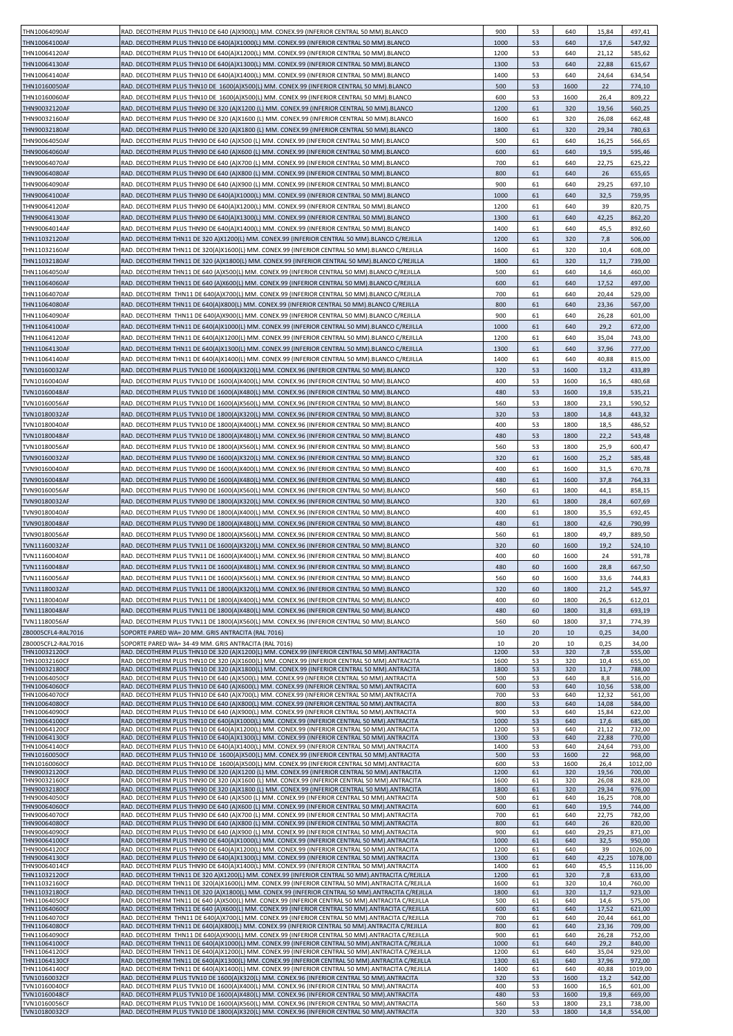|                                |                                                                                                                                                                                               | 900          | 53       | 640          | 15,84          | 497,41           |
|--------------------------------|-----------------------------------------------------------------------------------------------------------------------------------------------------------------------------------------------|--------------|----------|--------------|----------------|------------------|
| THN10064090AF                  | RAD. DECOTHERM PLUS THN10 DE 640 (A)X900(L) MM. CONEX.99 (INFERIOR CENTRAL 50 MM).BLANCO                                                                                                      |              |          |              |                |                  |
| THN10064100AF                  | RAD. DECOTHERM PLUS THN10 DE 640(A)X1000(L) MM. CONEX.99 (INFERIOR CENTRAL 50 MM).BLANCO                                                                                                      | 1000         | 53       | 640          | 17,6           | 547,92           |
| THN10064120AF                  | RAD. DECOTHERM PLUS THN10 DE 640(A)X1200(L) MM. CONEX.99 (INFERIOR CENTRAL 50 MM).BLANCO                                                                                                      | 1200         | 53       | 640          | 21,12          | 585,62           |
| THN10064130AF                  | RAD. DECOTHERM PLUS THN10 DE 640(A)X1300(L) MM. CONEX.99 (INFERIOR CENTRAL 50 MM).BLANCO                                                                                                      | 1300         | 53       | 640          | 22,88          | 615,67           |
| THN10064140AF                  | RAD. DECOTHERM PLUS THN10 DE 640(A)X1400(L) MM. CONEX.99 (INFERIOR CENTRAL 50 MM).BLANCO                                                                                                      | 1400         | 53       | 640          | 24,64          | 634,54           |
|                                |                                                                                                                                                                                               |              |          |              |                |                  |
| THN10160050AF                  | RAD. DECOTHERM PLUS THN10 DE 1600(A)X500(L) MM. CONEX.99 (INFERIOR CENTRAL 50 MM).BLANCO                                                                                                      | 500          | 53       | 1600         | 22             | 774,10           |
| THN10160060AF                  | RAD. DECOTHERM PLUS THN10 DE 1600(A)X500(L) MM. CONEX.99 (INFERIOR CENTRAL 50 MM).BLANCO                                                                                                      | 600          | 53       | 1600         | 26,4           | 809,22           |
| THN90032120AF                  | RAD. DECOTHERM PLUS THN90 DE 320 (A)X1200 (L) MM. CONEX.99 (INFERIOR CENTRAL 50 MM).BLANCO                                                                                                    | 1200         | 61       | 320          | 19,56          | 560,25           |
| THN90032160AF                  | RAD. DECOTHERM PLUS THN90 DE 320 (A)X1600 (L) MM. CONEX.99 (INFERIOR CENTRAL 50 MM).BLANCO                                                                                                    | 1600         | 61       | 320          | 26,08          | 662,48           |
|                                |                                                                                                                                                                                               |              |          |              |                |                  |
| THN90032180AF                  | RAD. DECOTHERM PLUS THN90 DE 320 (A)X1800 (L) MM. CONEX.99 (INFERIOR CENTRAL 50 MM).BLANCO                                                                                                    | 1800         | 61       | 320          | 29,34          | 780,63           |
| THN90064050AF                  | RAD. DECOTHERM PLUS THN90 DE 640 (A)X500 (L) MM. CONEX.99 (INFERIOR CENTRAL 50 MM).BLANCO                                                                                                     | 500          | 61       | 640          | 16,25          | 566,65           |
| THN90064060AF                  | RAD. DECOTHERM PLUS THN90 DE 640 (A)X600 (L) MM. CONEX.99 (INFERIOR CENTRAL 50 MM).BLANCO                                                                                                     | 600          | 61       | 640          | 19,5           | 595,46           |
| THN90064070AF                  | RAD. DECOTHERM PLUS THN90 DE 640 (A)X700 (L) MM. CONEX.99 (INFERIOR CENTRAL 50 MM).BLANCO                                                                                                     | 700          | 61       | 640          | 22,75          | 625,22           |
|                                |                                                                                                                                                                                               |              |          |              |                |                  |
| THN90064080AF                  | RAD. DECOTHERM PLUS THN90 DE 640 (A)X800 (L) MM. CONEX.99 (INFERIOR CENTRAL 50 MM).BLANCO                                                                                                     | 800          | 61       | 640          | 26             | 655,65           |
| THN90064090AF                  | RAD. DECOTHERM PLUS THN90 DE 640 (A)X900 (L) MM. CONEX.99 (INFERIOR CENTRAL 50 MM).BLANCO                                                                                                     | 900          | 61       | 640          | 29,25          | 697,10           |
| THN90064100AF                  | RAD. DECOTHERM PLUS THN90 DE 640(A)X1000(L) MM. CONEX.99 (INFERIOR CENTRAL 50 MM).BLANCO                                                                                                      | 1000         | 61       | 640          | 32,5           | 759,95           |
| THN90064120AF                  | RAD. DECOTHERM PLUS THN90 DE 640(A)X1200(L) MM. CONEX.99 (INFERIOR CENTRAL 50 MM).BLANCO                                                                                                      | 1200         | 61       | 640          | 39             | 820,75           |
|                                |                                                                                                                                                                                               |              | 61       | 640          | 42,25          |                  |
| THN90064130AF                  | RAD. DECOTHERM PLUS THN90 DE 640(A)X1300(L) MM. CONEX.99 (INFERIOR CENTRAL 50 MM).BLANCO                                                                                                      | 1300         |          |              |                | 862,20           |
| THN90064014AF                  | RAD. DECOTHERM PLUS THN90 DE 640(A)X1400(L) MM. CONEX.99 (INFERIOR CENTRAL 50 MM).BLANCO                                                                                                      | 1400         | 61       | 640          | 45,5           | 892,60           |
| THN11032120AF                  | RAD. DECOTHERM THN11 DE 320 A)X1200(L) MM. CONEX.99 (INFERIOR CENTRAL 50 MM).BLANCO C/REJILLA                                                                                                 | 1200         | 61       | 320          | 7,8            | 506,00           |
| THN11032160AF                  | RAD. DECOTHERM THN11 DE 320(A)X1600(L) MM. CONEX.99 (INFERIOR CENTRAL 50 MM).BLANCO C/REJILLA                                                                                                 | 1600         | 61       | 320          | 10,4           | 608,00           |
| THN11032180AF                  | RAD. DECOTHERM THN11 DE 320 (A)X1800(L) MM. CONEX.99 (INFERIOR CENTRAL 50 MM).BLANCO C/REJILLA                                                                                                | 1800         | 61       | 320          | 11,7           | 739,00           |
|                                |                                                                                                                                                                                               |              |          |              |                |                  |
| THN11064050AF                  | RAD. DECOTHERM THN11 DE 640 (A)X500(L) MM. CONEX.99 (INFERIOR CENTRAL 50 MM).BLANCO C/REJILLA                                                                                                 | 500          | 61       | 640          | 14,6           | 460,00           |
| THN11064060AF                  | RAD. DECOTHERM THN11 DE 640 (A)X600(L) MM. CONEX.99 (INFERIOR CENTRAL 50 MM). BLANCO C/REJILLA                                                                                                | 600          | 61       | 640          | 17,52          | 497,00           |
| THN11064070AF                  | RAD. DECOTHERM THN11 DE 640(A)X700(L) MM. CONEX.99 (INFERIOR CENTRAL 50 MM).BLANCO C/REJILLA                                                                                                  | 700          | 61       | 640          | 20,44          | 529,00           |
| THN11064080AF                  | RAD. DECOTHERM THN11 DE 640(A)X800(L) MM. CONEX.99 (INFERIOR CENTRAL 50 MM).BLANCO C/REJILLA                                                                                                  | 800          | 61       | 640          | 23,36          | 567,00           |
|                                |                                                                                                                                                                                               |              |          |              |                |                  |
| THN11064090AF                  | RAD. DECOTHERM THN11 DE 640(A)X900(L) MM. CONEX.99 (INFERIOR CENTRAL 50 MM).BLANCO C/REJILLA                                                                                                  | 900          | 61       | 640          | 26,28          | 601,00           |
| THN11064100AF                  | RAD. DECOTHERM THN11 DE 640(A)X1000(L) MM. CONEX.99 (INFERIOR CENTRAL 50 MM).BLANCO C/REJILLA                                                                                                 | 1000         | 61       | 640          | 29,2           | 672,00           |
| THN11064120AF                  | RAD. DECOTHERM THN11 DE 640(A)X1200(L) MM. CONEX.99 (INFERIOR CENTRAL 50 MM).BLANCO C/REJILLA                                                                                                 | 1200         | 61       | 640          | 35,04          | 743,00           |
| THN11064130AF                  | RAD. DECOTHERM THN11 DE 640(A)X1300(L) MM. CONEX.99 (INFERIOR CENTRAL 50 MM).BLANCO C/REJILLA                                                                                                 | 1300         | 61       | 640          | 37,96          | 777,00           |
|                                |                                                                                                                                                                                               |              |          |              |                |                  |
| THN11064140AF                  | RAD. DECOTHERM THN11 DE 640(A)X1400(L) MM. CONEX.99 (INFERIOR CENTRAL 50 MM).BLANCO C/REJILLA                                                                                                 | 1400         | 61       | 640          | 40,88          | 815,00           |
| TVN10160032AF                  | RAD. DECOTHERM PLUS TVN10 DE 1600(A)X320(L) MM. CONEX.96 (INFERIOR CENTRAL 50 MM).BLANCO                                                                                                      | 320          | 53       | 1600         | 13,2           | 433,89           |
| TVN10160040AF                  | RAD. DECOTHERM PLUS TVN10 DE 1600(A)X400(L) MM. CONEX.96 (INFERIOR CENTRAL 50 MM).BLANCO                                                                                                      | 400          | 53       | 1600         | 16,5           | 480,68           |
| TVN10160048AF                  | RAD. DECOTHERM PLUS TVN10 DE 1600(A)X480(L) MM. CONEX.96 (INFERIOR CENTRAL 50 MM).BLANCO                                                                                                      | 480          | 53       | 1600         | 19,8           | 535,21           |
|                                |                                                                                                                                                                                               |              |          |              |                |                  |
| TVN10160056AF                  | RAD. DECOTHERM PLUS TVN10 DE 1600(A)X560(L) MM. CONEX.96 (INFERIOR CENTRAL 50 MM).BLANCO                                                                                                      | 560          | 53       | 1800         | 23,1           | 590,52           |
| TVN10180032AF                  | RAD. DECOTHERM PLUS TVN10 DE 1800(A)X320(L) MM. CONEX.96 (INFERIOR CENTRAL 50 MM).BLANCO                                                                                                      | 320          | 53       | 1800         | 14,8           | 443,32           |
| TVN10180040AF                  | RAD. DECOTHERM PLUS TVN10 DE 1800(A)X400(L) MM. CONEX.96 (INFERIOR CENTRAL 50 MM).BLANCO                                                                                                      | 400          | 53       | 1800         | 18,5           | 486,52           |
| TVN10180048AF                  | RAD. DECOTHERM PLUS TVN10 DE 1800(A)X480(L) MM. CONEX.96 (INFERIOR CENTRAL 50 MM).BLANCO                                                                                                      | 480          | 53       | 1800         | 22,2           | 543,48           |
|                                |                                                                                                                                                                                               |              |          |              |                |                  |
| TVN10180056AF                  | RAD. DECOTHERM PLUS TVN10 DE 1800(A)X560(L) MM. CONEX.96 (INFERIOR CENTRAL 50 MM).BLANCO                                                                                                      | 560          | 53       | 1800         | 25,9           | 600,47           |
| TVN90160032AF                  | RAD. DECOTHERM PLUS TVN90 DE 1600(A)X320(L) MM. CONEX.96 (INFERIOR CENTRAL 50 MM).BLANCO                                                                                                      | 320          | 61       | 1600         | 25,2           | 585,48           |
| TVN90160040AF                  | RAD. DECOTHERM PLUS TVN90 DE 1600(A)X400(L) MM. CONEX.96 (INFERIOR CENTRAL 50 MM).BLANCO                                                                                                      | 400          | 61       | 1600         | 31,5           | 670,78           |
| TVN90160048AF                  | RAD. DECOTHERM PLUS TVN90 DE 1600(A)X480(L) MM. CONEX.96 (INFERIOR CENTRAL 50 MM).BLANCO                                                                                                      | 480          | 61       | 1600         | 37,8           | 764,33           |
| TVN90160056AF                  | RAD. DECOTHERM PLUS TVN90 DE 1600(A)X560(L) MM. CONEX.96 (INFERIOR CENTRAL 50 MM).BLANCO                                                                                                      | 560          | 61       | 1800         | 44,1           | 858,15           |
|                                |                                                                                                                                                                                               |              |          |              |                |                  |
| TVN90180032AF                  | RAD. DECOTHERM PLUS TVN90 DE 1800(A)X320(L) MM. CONEX.96 (INFERIOR CENTRAL 50 MM).BLANCO                                                                                                      | 320          | 61       | 1800         | 28,4           | 607,69           |
| TVN90180040AF                  | RAD. DECOTHERM PLUS TVN90 DE 1800(A)X400(L) MM. CONEX.96 (INFERIOR CENTRAL 50 MM).BLANCO                                                                                                      | 400          | 61       | 1800         | 35,5           | 692,45           |
| TVN90180048AF                  | RAD. DECOTHERM PLUS TVN90 DE 1800(A)X480(L) MM. CONEX.96 (INFERIOR CENTRAL 50 MM).BLANCO                                                                                                      | 480          | 61       | 1800         | 42,6           | 790,99           |
| TVN90180056AF                  | RAD. DECOTHERM PLUS TVN90 DE 1800(A)X560(L) MM. CONEX.96 (INFERIOR CENTRAL 50 MM).BLANCO                                                                                                      | 560          | 61       | 1800         | 49,7           | 889,50           |
| TVN11160032AF                  | RAD. DECOTHERM PLUS TVN11 DE 1600(A)X320(L) MM. CONEX.96 (INFERIOR CENTRAL 50 MM).BLANCO                                                                                                      | 320          | 60       | 1600         | 19,2           | 524,10           |
|                                |                                                                                                                                                                                               |              |          |              |                |                  |
| TVN11160040AF                  | RAD. DECOTHERM PLUS TVN11 DE 1600(A)X400(L) MM. CONEX.96 (INFERIOR CENTRAL 50 MM).BLANCO                                                                                                      | 400          | 60       | 1600         | 24             | 591,78           |
| TVN11160048AF                  | RAD. DECOTHERM PLUS TVN11 DE 1600(A)X480(L) MM. CONEX.96 (INFERIOR CENTRAL 50 MM).BLANCO                                                                                                      | 480          | 60       | 1600         | 28,8           | 667,50           |
| TVN11160056AF                  | RAD. DECOTHERM PLUS TVN11 DE 1600(A)X560(L) MM. CONEX.96 (INFERIOR CENTRAL 50 MM).BLANCO                                                                                                      | 560          | 60       | 1600         | 33,6           | 744,83           |
| TVN11180032AF                  | RAD. DECOTHERM PLUS TVN11 DE 1800(A)X320(L) MM. CONEX.96 (INFERIOR CENTRAL 50 MM).BLANCO                                                                                                      | 320          | 60       | 1800         | 21,2           | 545,97           |
|                                |                                                                                                                                                                                               |              |          |              |                |                  |
| TVN11180040AF                  | RAD. DECOTHERM PLUS TVN11 DE 1800(A)X400(L) MM. CONEX.96 (INFERIOR CENTRAL 50 MM).BLANCO                                                                                                      | 400          | 60       | 1800         | 26,5           | 612,01           |
| TVN11180048AF                  | RAD. DECOTHERM PLUS TVN11 DE 1800(A)X480(L) MM. CONEX.96 (INFERIOR CENTRAL 50 MM).BLANCO                                                                                                      | 480          | 60       | 1800         | 31,8           | 693,19           |
| TVN11180056AF                  | RAD. DECOTHERM PLUS TVN11 DE 1800(A)X560(L) MM. CONEX.96 (INFERIOR CENTRAL 50 MM).BLANCO                                                                                                      | 560          | 60       | 1800         | 37,1           | 774,39           |
| ZB0005CFL4-RAL7016             | SOPORTE PARED WA= 20 MM. GRIS ANTRACITA (RAL 7016)                                                                                                                                            | 10           | 20       | 10           | 0,25           | 34,00            |
|                                |                                                                                                                                                                                               |              |          |              |                |                  |
| ZB0005CFL2-RAL7016             | SOPORTE PARED WA= 34-49 MM. GRIS ANTRACITA (RAL 7016)                                                                                                                                         | 10           | 20       | 10           | 0,25           | 34,00            |
| THN10032120CF                  | RAD. DECOTHERM PLUS THN10 DE 320 (A)X1200(L) MM. CONEX.99 (INFERIOR CENTRAL 50 MM).ANTRACITA                                                                                                  | 1200         | 53       | 320          | 7,8            | 555,00           |
| THN10032160CF<br>THN10032180CF | RAD. DECOTHERM PLUS THN10 DE 320 (A)X1600(L) MM. CONEX.99 (INFERIOR CENTRAL 50 MM).ANTRACITA<br>RAD. DECOTHERM PLUS THN10 DE 320 (A)X1800(L) MM. CONEX.99 (INFERIOR CENTRAL 50 MM).ANTRACITA  | 1600<br>1800 | 53<br>53 | 320<br>320   | 10,4<br>11,7   | 655,00<br>788,00 |
| THN10064050CF                  | RAD. DECOTHERM PLUS THN10 DE 640 (A)X500(L) MM. CONEX.99 (INFERIOR CENTRAL 50 MM).ANTRACITA                                                                                                   | 500          | 53       | 640          | 8,8            | 516,00           |
|                                |                                                                                                                                                                                               |              |          |              |                |                  |
| THN10064060CF<br>THN10064070CF | RAD. DECOTHERM PLUS THN10 DE 640 (A)X600(L) MM. CONEX.99 (INFERIOR CENTRAL 50 MM).ANTRACITA<br>RAD. DECOTHERM PLUS THN10 DE 640 (A)X700(L) MM. CONEX.99 (INFERIOR CENTRAL 50 MM).ANTRACITA    | 600<br>700   | 53<br>53 | 640<br>640   | 10,56<br>12,32 | 538,00<br>561,00 |
| THN10064080CF                  | RAD. DECOTHERM PLUS THN10 DE 640 (A)X800(L) MM. CONEX.99 (INFERIOR CENTRAL 50 MM).ANTRACITA                                                                                                   | 800          | 53       | 640          | 14,08          | 584,00           |
| THN10064090CF                  | RAD. DECOTHERM PLUS THN10 DE 640 (A)X900(L) MM. CONEX.99 (INFERIOR CENTRAL 50 MM).ANTRACITA                                                                                                   | 900          | 53       | 640          | 15,84          | 622,00           |
| THN10064100CF                  | RAD. DECOTHERM PLUS THN10 DE 640(A)X1000(L) MM. CONEX.99 (INFERIOR CENTRAL 50 MM). ANTRACITA                                                                                                  | 1000         | 53       | 640          | 17,6           | 685,00           |
| THN10064120CF                  | RAD. DECOTHERM PLUS THN10 DE 640(A)X1200(L) MM. CONEX.99 (INFERIOR CENTRAL 50 MM). ANTRACITA                                                                                                  | 1200         | 53       | 640          | 21,12          | 732,00           |
| THN10064130CF                  | RAD. DECOTHERM PLUS THN10 DE 640(A)X1300(L) MM. CONEX.99 (INFERIOR CENTRAL 50 MM). ANTRACITA                                                                                                  | 1300         | 53       | 640          | 22,88          | 770,00           |
| THN10064140CF                  | RAD. DECOTHERM PLUS THN10 DE 640(A)X1400(L) MM. CONEX.99 (INFERIOR CENTRAL 50 MM). ANTRACITA                                                                                                  | 1400         | 53       | 640          | 24,64          | 793,00           |
| THN10160050CF                  | RAD. DECOTHERM PLUS THN10 DE 1600(A)X500(L) MM. CONEX.99 (INFERIOR CENTRAL 50 MM).ANTRACITA                                                                                                   | 500          | 53       | 1600         | 22             | 968,00           |
| THN10160060CF                  | RAD. DECOTHERM PLUS THN10 DE 1600(A)X500(L) MM. CONEX.99 (INFERIOR CENTRAL 50 MM).ANTRACITA                                                                                                   | 600          | 53       | 1600         | 26,4           | 1012,00          |
| THN90032120CF                  | RAD. DECOTHERM PLUS THN90 DE 320 (A)X1200 (L) MM. CONEX.99 (INFERIOR CENTRAL 50 MM).ANTRACITA                                                                                                 | 1200         | 61       | 320          | 19,56          | 700,00           |
| THN90032160CF                  | RAD. DECOTHERM PLUS THN90 DE 320 (A)X1600 (L) MM. CONEX.99 (INFERIOR CENTRAL 50 MM). ANTRACITA                                                                                                | 1600         | 61       | 320          | 26,08          | 828,00           |
| THN90032180CF                  | RAD. DECOTHERM PLUS THN90 DE 320 (A)X1800 (L) MM. CONEX.99 (INFERIOR CENTRAL 50 MM).ANTRACITA                                                                                                 | 1800         | 61       | 320          | 29,34          | 976,00           |
| THN90064050CF                  | RAD. DECOTHERM PLUS THN90 DE 640 (A)X500 (L) MM. CONEX.99 (INFERIOR CENTRAL 50 MM).ANTRACITA                                                                                                  | 500          | 61       | 640          | 16,25          | 708,00           |
| THN90064060CF                  | RAD. DECOTHERM PLUS THN90 DE 640 (A)X600 (L) MM. CONEX.99 (INFERIOR CENTRAL 50 MM).ANTRACITA                                                                                                  | 600          | 61       | 640          | 19,5           | 744,00           |
| THN90064070CF                  | RAD. DECOTHERM PLUS THN90 DE 640 (A)X700 (L) MM. CONEX.99 (INFERIOR CENTRAL 50 MM). ANTRACITA                                                                                                 | 700          | 61       | 640          | 22,75          | 782,00           |
| THN90064080CF<br>THN90064090CF | RAD. DECOTHERM PLUS THN90 DE 640 (A)X800 (L) MM. CONEX.99 (INFERIOR CENTRAL 50 MM).ANTRACITA<br>RAD. DECOTHERM PLUS THN90 DE 640 (A)X900 (L) MM. CONEX.99 (INFERIOR CENTRAL 50 MM). ANTRACITA | 800<br>900   | 61<br>61 | 640<br>640   | 26<br>29,25    | 820,00<br>871,00 |
| THN90064100CF                  | RAD. DECOTHERM PLUS THN90 DE 640(A)X1000(L) MM. CONEX.99 (INFERIOR CENTRAL 50 MM).ANTRACITA                                                                                                   | 1000         | 61       | 640          | 32,5           | 950,00           |
| THN90064120CF                  | RAD. DECOTHERM PLUS THN90 DE 640(A)X1200(L) MM. CONEX.99 (INFERIOR CENTRAL 50 MM).ANTRACITA                                                                                                   | 1200         | 61       | 640          | 39             | 1026,00          |
| THN90064130CF                  | RAD. DECOTHERM PLUS THN90 DE 640(A)X1300(L) MM. CONEX.99 (INFERIOR CENTRAL 50 MM).ANTRACITA                                                                                                   | 1300         | 61       | 640          | 42,25          | 1078,00          |
| THN90064014CF                  | RAD. DECOTHERM PLUS THN90 DE 640(A)X1400(L) MM. CONEX.99 (INFERIOR CENTRAL 50 MM).ANTRACITA                                                                                                   | 1400         | 61       | 640          | 45,5           | 1116,00          |
| THN11032120CF                  | RAD. DECOTHERM THN11 DE 320 A)X1200(L) MM. CONEX.99 (INFERIOR CENTRAL 50 MM). ANTRACITA C/REJILLA                                                                                             | 1200         | 61       | 320          | 7,8            | 633,00           |
| THN11032160CF                  | RAD. DECOTHERM THN11 DE 320(A)X1600(L) MM. CONEX.99 (INFERIOR CENTRAL 50 MM).ANTRACITA C/REJILLA                                                                                              | 1600         | 61       | 320          | 10,4           | 760,00           |
| THN11032180CF                  | RAD. DECOTHERM THN11 DE 320 (A)X1800(L) MM. CONEX.99 (INFERIOR CENTRAL 50 MM).ANTRACITA C/REJILLA                                                                                             | 1800         | 61       | 320          | 11,7           | 923,00           |
| THN11064050CF                  | RAD. DECOTHERM THN11 DE 640 (A)X500(L) MM. CONEX.99 (INFERIOR CENTRAL 50 MM). ANTRACITA C/REJILLA                                                                                             | 500          | 61       | 640          | 14,6           | 575,00           |
| THN11064060CF                  | RAD. DECOTHERM THN11 DE 640 (A)X600(L) MM. CONEX.99 (INFERIOR CENTRAL 50 MM). ANTRACITA C/REJILLA                                                                                             | 600          | 61       | 640          | 17,52          | 621,00           |
| THN11064070CF                  | RAD. DECOTHERM THN11 DE 640(A)X700(L) MM. CONEX.99 (INFERIOR CENTRAL 50 MM). ANTRACITA C/REJILLA                                                                                              | 700          | 61       | 640          | 20,44          | 661,00           |
| THN11064080CF                  | RAD. DECOTHERM THN11 DE 640(A)X800(L) MM. CONEX.99 (INFERIOR CENTRAL 50 MM).ANTRACITA C/REJILLA                                                                                               | 800          | 61       | 640          | 23,36          | 709,00           |
| THN11064090CF                  | RAD. DECOTHERM THN11 DE 640(A)X900(L) MM. CONEX.99 (INFERIOR CENTRAL 50 MM).ANTRACITA C/REJILLA                                                                                               | 900          | 61       | 640          | 26,28          | 752,00           |
| THN11064100CF                  | RAD. DECOTHERM THN11 DE 640(A)X1000(L) MM. CONEX.99 (INFERIOR CENTRAL 50 MM). ANTRACITA C/REJILLA                                                                                             | 1000         | 61       | 640          | 29,2           | 840,00           |
| THN11064120CF                  | RAD. DECOTHERM THN11 DE 640(A)X1200(L) MM. CONEX.99 (INFERIOR CENTRAL 50 MM).ANTRACITA C/REJILLA                                                                                              | 1200         | 61       | 640          | 35,04          | 929,00           |
| THN11064130CF                  | RAD. DECOTHERM THN11 DE 640(A)X1300(L) MM. CONEX.99 (INFERIOR CENTRAL 50 MM).ANTRACITA C/REJILLA                                                                                              | 1300         | 61       | 640          | 37,96          | 972,00           |
| THN11064140CF                  | RAD. DECOTHERM THN11 DE 640(A)X1400(L) MM. CONEX.99 (INFERIOR CENTRAL 50 MM).ANTRACITA C/REJILLA                                                                                              | 1400         | 61       | 640          | 40,88          | 1019,00          |
| TVN10160032CF                  | RAD. DECOTHERM PLUS TVN10 DE 1600(A)X320(L) MM. CONEX.96 (INFERIOR CENTRAL 50 MM). ANTRACITA                                                                                                  | 320          | 53       | 1600         | 13,2           | 542,00           |
| TVN10160040CF                  |                                                                                                                                                                                               |              |          |              |                | 601,00           |
|                                | RAD. DECOTHERM PLUS TVN10 DE 1600(A)X400(L) MM. CONEX.96 (INFERIOR CENTRAL 50 MM). ANTRACITA                                                                                                  | 400          | 53       | 1600         | 16,5           |                  |
| TVN10160048CF<br>TVN10160056CF | RAD. DECOTHERM PLUS TVN10 DE 1600(A)X480(L) MM. CONEX.96 (INFERIOR CENTRAL 50 MM).ANTRACITA<br>RAD. DECOTHERM PLUS TVN10 DE 1600(A)X560(L) MM. CONEX.96 (INFERIOR CENTRAL 50 MM). ANTRACITA   | 480<br>560   | 53<br>53 | 1600<br>1800 | 19,8<br>23,1   | 669,00<br>738,00 |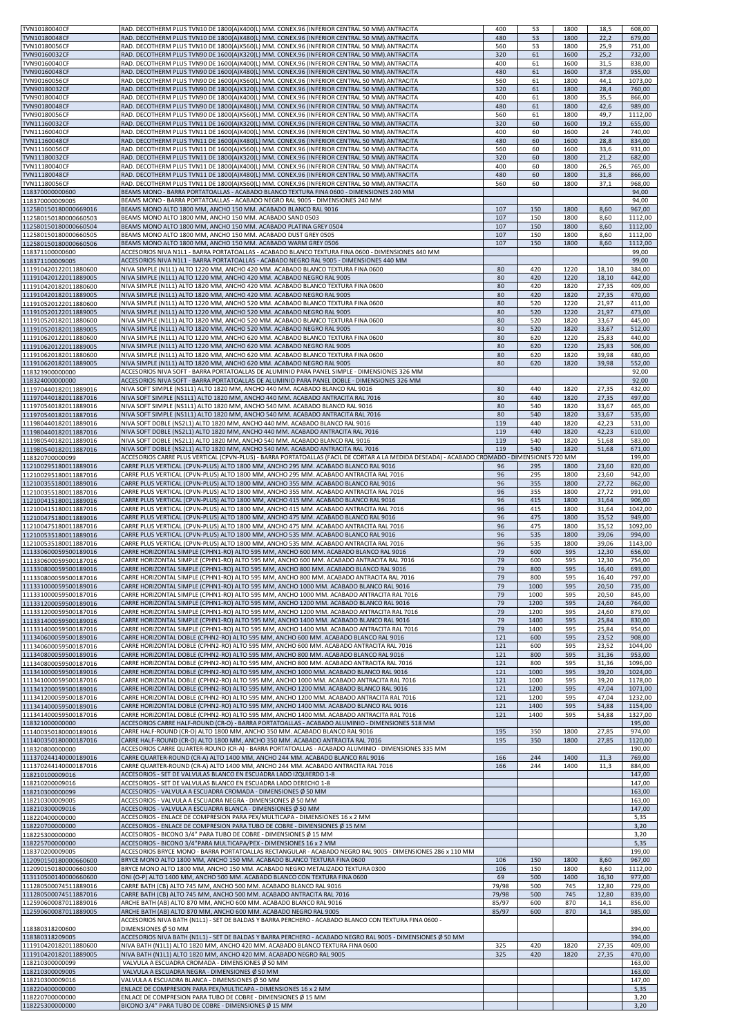| TVN10180040CF<br>TVN10180048CF                 | RAD. DECOTHERM PLUS TVN10 DE 1800(A)X400(L) MM. CONEX.96 (INFERIOR CENTRAL 50 MM). ANTRACITA<br>RAD. DECOTHERM PLUS TVN10 DE 1800(A)X480(L) MM. CONEX.96 (INFERIOR CENTRAL 50 MM). ANTRACITA                                   | 400<br>480     | 53<br>53     | 1800<br>1800 | 18,5<br>22,2   | 608,00<br>679,00   |
|------------------------------------------------|--------------------------------------------------------------------------------------------------------------------------------------------------------------------------------------------------------------------------------|----------------|--------------|--------------|----------------|--------------------|
| TVN10180056CF                                  | RAD. DECOTHERM PLUS TVN10 DE 1800(A)X560(L) MM. CONEX.96 (INFERIOR CENTRAL 50 MM). ANTRACITA                                                                                                                                   | 560            | 53           | 1800         | 25,9           | 751,00             |
| TVN90160032CF                                  | RAD. DECOTHERM PLUS TVN90 DE 1600(A)X320(L) MM. CONEX.96 (INFERIOR CENTRAL 50 MM). ANTRACITA                                                                                                                                   | 320            | 61           | 1600         | 25,2           | 732,00             |
| TVN90160040CF                                  | RAD. DECOTHERM PLUS TVN90 DE 1600(A)X400(L) MM. CONEX.96 (INFERIOR CENTRAL 50 MM). ANTRACITA                                                                                                                                   | 400            | 61           | 1600         | 31,5           | 838,00             |
| TVN90160048CF                                  | RAD. DECOTHERM PLUS TVN90 DE 1600(A)X480(L) MM. CONEX.96 (INFERIOR CENTRAL 50 MM). ANTRACITA                                                                                                                                   | 480            | 61           | 1600         | 37,8           | 955,00             |
| TVN90160056CF                                  | RAD. DECOTHERM PLUS TVN90 DE 1600(A)X560(L) MM. CONEX.96 (INFERIOR CENTRAL 50 MM).ANTRACITA                                                                                                                                    | 560            | 61           | 1800         | 44,1           | 1073,00            |
| TVN90180032CF                                  | RAD. DECOTHERM PLUS TVN90 DE 1800(A)X320(L) MM. CONEX.96 (INFERIOR CENTRAL 50 MM). ANTRACITA                                                                                                                                   | 320            | 61           | 1800         | 28,4           | 760,00             |
| TVN90180040CF                                  | RAD. DECOTHERM PLUS TVN90 DE 1800(A)X400(L) MM. CONEX.96 (INFERIOR CENTRAL 50 MM).ANTRACITA                                                                                                                                    | 400            | 61           | 1800         | 35,5           | 866,00             |
| TVN90180048CF                                  | RAD. DECOTHERM PLUS TVN90 DE 1800(A)X480(L) MM. CONEX.96 (INFERIOR CENTRAL 50 MM).ANTRACITA                                                                                                                                    | 480            | 61           | 1800         | 42,6           | 989,00             |
| TVN90180056CF                                  | RAD. DECOTHERM PLUS TVN90 DE 1800(A)X560(L) MM. CONEX.96 (INFERIOR CENTRAL 50 MM).ANTRACITA                                                                                                                                    | 560            | 61           | 1800         | 49,7           | 1112,00            |
| TVN11160032CF<br>TVN11160040CF                 | RAD. DECOTHERM PLUS TVN11 DE 1600(A)X320(L) MM. CONEX.96 (INFERIOR CENTRAL 50 MM). ANTRACITA<br>RAD. DECOTHERM PLUS TVN11 DE 1600(A)X400(L) MM. CONEX.96 (INFERIOR CENTRAL 50 MM). ANTRACITA                                   | 320<br>400     | 60<br>60     | 1600<br>1600 | 19,2<br>24     | 655,00<br>740,00   |
| TVN11160048CF                                  | RAD. DECOTHERM PLUS TVN11 DE 1600(A)X480(L) MM. CONEX.96 (INFERIOR CENTRAL 50 MM). ANTRACITA                                                                                                                                   | 480            | 60           | 1600         | 28,8           | 834,00             |
| TVN11160056CF                                  | RAD. DECOTHERM PLUS TVN11 DE 1600(A)X560(L) MM. CONEX.96 (INFERIOR CENTRAL 50 MM). ANTRACITA                                                                                                                                   | 560            | 60           | 1600         | 33,6           | 931,00             |
| TVN11180032CF                                  | RAD. DECOTHERM PLUS TVN11 DE 1800(A)X320(L) MM. CONEX.96 (INFERIOR CENTRAL 50 MM). ANTRACITA                                                                                                                                   | 320            | 60           | 1800         | 21,2           | 682,00             |
| TVN11180040CF                                  | RAD. DECOTHERM PLUS TVN11 DE 1800(A)X400(L) MM. CONEX.96 (INFERIOR CENTRAL 50 MM).ANTRACITA                                                                                                                                    | 400            | 60           | 1800         | 26,5           | 765,00             |
| TVN11180048CF                                  | RAD. DECOTHERM PLUS TVN11 DE 1800(A)X480(L) MM. CONEX.96 (INFERIOR CENTRAL 50 MM).ANTRACITA                                                                                                                                    | 480            | 60           | 1800         | 31,8           | 866,00             |
| TVN11180056CF                                  | RAD. DECOTHERM PLUS TVN11 DE 1800(A)X560(L) MM. CONEX.96 (INFERIOR CENTRAL 50 MM). ANTRACITA                                                                                                                                   | 560            | 60           | 1800         | 37,1           | 968,00             |
| 118370000000600                                | BEAMS MONO - BARRA PORTATOALLAS - ACABADO BLANCO TEXTURA FINA 0600 - DIMENSIONES 240 MM                                                                                                                                        |                |              |              |                | 94,00              |
| 118370000009005                                | BEAMS MONO - BARRA PORTATOALLAS - ACABADO NEGRO RAL 9005 - DIMENSIONES 240 MM                                                                                                                                                  |                |              |              |                | 94,00              |
| 112580150180000669016                          | BEAMS MONO ALTO 1800 MM, ANCHO 150 MM. ACABADO BLANCO RAL 9016<br>BEAMS MONO ALTO 1800 MM, ANCHO 150 MM. ACABADO SAND 0503                                                                                                     | 107<br>107     | 150<br>150   | 1800         | 8,60           | 967,00<br>1112,00  |
| 112580150180000660503<br>112580150180000660504 | BEAMS MONO ALTO 1800 MM, ANCHO 150 MM. ACABADO PLATINA GREY 0504                                                                                                                                                               | 107            | 150          | 1800<br>1800 | 8,60<br>8,60   | 1112,00            |
| 112580150180000660505                          | BEAMS MONO ALTO 1800 MM, ANCHO 150 MM. ACABADO DUST GREY 0505                                                                                                                                                                  | 107            | 150          | 1800         | 8,60           | 1112,00            |
| 112580150180000660506                          | BEAMS MONO ALTO 1800 MM, ANCHO 150 MM. ACABADO WARM GREY 0506                                                                                                                                                                  | 107            | 150          | 1800         | 8,60           | 1112,00            |
| 118371100000600                                | ACCESORIOS NIVA N1L1 - BARRA PORTATOALLAS - ACABADO BLANCO TEXTURA FINA 0600 - DIMENSIONES 440 MM                                                                                                                              |                |              |              |                | 99,00              |
| 118371100009005                                | ACCESORIOS NIVA N1L1 - BARRA PORTATOALLAS - ACABADO NEGRO RAL 9005 - DIMENSIONES 440 MM                                                                                                                                        |                |              |              |                | 99,00              |
| 111910420122011880600                          | NIVA SIMPLE (N1L1) ALTO 1220 MM, ANCHO 420 MM. ACABADO BLANCO TEXTURA FINA 0600                                                                                                                                                | 80             | 420          | 1220         | 18,10          | 384,00             |
| 111910420122011889005                          | NIVA SIMPLE (N1L1) ALTO 1220 MM, ANCHO 420 MM. ACABADO NEGRO RAL 9005                                                                                                                                                          | 80             | 420          | 1220         | 18,10          | 442,00             |
| 111910420182011880600                          | NIVA SIMPLE (N1L1) ALTO 1820 MM, ANCHO 420 MM. ACABADO BLANCO TEXTURA FINA 0600<br>NIVA SIMPLE (N1L1) ALTO 1820 MM, ANCHO 420 MM. ACABADO NEGRO RAL 9005                                                                       | 80<br>80       | 420<br>420   | 1820<br>1820 | 27,35<br>27,35 | 409,00<br>470,00   |
| 111910420182011889005<br>111910520122011880600 | NIVA SIMPLE (N1L1) ALTO 1220 MM, ANCHO 520 MM, ACABADO BLANCO TEXTURA FINA 0600                                                                                                                                                | 80             | 520          | 1220         | 21,97          | 411,00             |
| 111910520122011889005                          | NIVA SIMPLE (N1L1) ALTO 1220 MM, ANCHO 520 MM. ACABADO NEGRO RAL 9005                                                                                                                                                          | 80             | 520          | 1220         | 21,97          | 473,00             |
| 111910520182011880600                          | NIVA SIMPLE (N1L1) ALTO 1820 MM, ANCHO 520 MM. ACABADO BLANCO TEXTURA FINA 0600                                                                                                                                                | 80             | 520          | 1820         | 33,67          | 445,00             |
| 111910520182011889005                          | NIVA SIMPLE (N1L1) ALTO 1820 MM, ANCHO 520 MM. ACABADO NEGRO RAL 9005                                                                                                                                                          | 80             | 520          | 1820         | 33,67          | 512,00             |
| 111910620122011880600                          | NIVA SIMPLE (N1L1) ALTO 1220 MM, ANCHO 620 MM. ACABADO BLANCO TEXTURA FINA 0600                                                                                                                                                | 80             | 620          | 1220         | 25,83          | 440,00             |
| 111910620122011889005                          | NIVA SIMPLE (N1L1) ALTO 1220 MM, ANCHO 620 MM. ACABADO NEGRO RAL 9005                                                                                                                                                          | 80             | 620          | 1220         | 25,83          | 506,00             |
| 111910620182011880600                          | NIVA SIMPLE (N1L1) ALTO 1820 MM, ANCHO 620 MM. ACABADO BLANCO TEXTURA FINA 0600                                                                                                                                                | 80             | 620          | 1820         | 39,98          | 480,00             |
| 111910620182011889005                          | NIVA SIMPLE (N1L1) ALTO 1820 MM, ANCHO 620 MM. ACABADO NEGRO RAL 9005                                                                                                                                                          | 80             | 620          | 1820         | 39,98          | 552,00             |
| 118323900000000<br>118324000000000             | ACCESORIOS NIVA SOFT - BARRA PORTATOALLAS DE ALUMINIO PARA PANEL SIMPLE - DIMENSIONES 326 MM<br>ACCESORIOS NIVA SOFT - BARRA PORTATOALLAS DE ALUMINIO PARA PANEL DOBLE - DIMENSIONES 326 MM                                    |                |              |              |                | 92,00<br>92,00     |
| 111970440182011889016                          | NIVA SOFT SIMPLE (NS1L1) ALTO 1820 MM, ANCHO 440 MM. ACABADO BLANCO RAL 9016                                                                                                                                                   | 80             | 440          | 1820         | 27,35          | 432,00             |
| 111970440182011887016                          | NIVA SOFT SIMPLE (NS1L1) ALTO 1820 MM, ANCHO 440 MM. ACABADO ANTRACITA RAL 7016                                                                                                                                                | 80             | 440          | 1820         | 27,35          | 497,00             |
| 111970540182011889016                          | NIVA SOFT SIMPLE (NS1L1) ALTO 1820 MM, ANCHO 540 MM. ACABADO BLANCO RAL 9016                                                                                                                                                   | 80             | 540          | 1820         | 33,67          | 465,00             |
| 111970540182011887016                          | NIVA SOFT SIMPLE (NS1L1) ALTO 1820 MM, ANCHO 540 MM. ACABADO ANTRACITA RAL 7016                                                                                                                                                | 80             | 540          | 1820         | 33,67          | 535,00             |
| 111980440182011889016                          | NIVA SOFT DOBLE (NS2L1) ALTO 1820 MM, ANCHO 440 MM. ACABADO BLANCO RAL 9016                                                                                                                                                    | 119            | 440          | 1820         | 42,23          | 531,00             |
| 111980440182011887016                          | NIVA SOFT DOBLE (NS2L1) ALTO 1820 MM, ANCHO 440 MM. ACABADO ANTRACITA RAL 7016                                                                                                                                                 | 119            | 440          | 1820         | 42,23          | 610,00             |
| 111980540182011889016                          | NIVA SOFT DOBLE (NS2L1) ALTO 1820 MM, ANCHO 540 MM. ACABADO BLANCO RAL 9016                                                                                                                                                    | 119            | 540          | 1820         | 51,68          | 583,00             |
| 111980540182011887016                          | NIVA SOFT DOBLE (NS2L1) ALTO 1820 MM, ANCHO 540 MM. ACABADO ANTRACITA RAL 7016<br>ACCESORIOS CARRE PLUS VERTICAL (CPVN-PLUS) - BARRA PORTATOALLAS (FACIL DE CORTAR A LA MEDIDA DESEADA) - ACABADO CROMADO - DIMENSIONES 720 MM | 119            | 540          | 1820         | 51,68          | 671,00<br>199,00   |
| 118320700000099<br>112100295180011889016       | CARRE PLUS VERTICAL (CPVN-PLUS) ALTO 1800 MM, ANCHO 295 MM. ACABADO BLANCO RAL 9016                                                                                                                                            | 96             | 295          | 1800         | 23,60          | 820,00             |
| 112100295180011887016                          | CARRE PLUS VERTICAL (CPVN-PLUS) ALTO 1800 MM, ANCHO 295 MM. ACABADO ANTRACITA RAL 7016                                                                                                                                         | 96             | 295          | 1800         | 23,60          | 942,00             |
| 112100355180011889016                          | CARRE PLUS VERTICAL (CPVN-PLUS) ALTO 1800 MM, ANCHO 355 MM. ACABADO BLANCO RAL 9016                                                                                                                                            | 96             | 355          | 1800         | 27,72          | 862,00             |
| 112100355180011887016                          | CARRE PLUS VERTICAL (CPVN-PLUS) ALTO 1800 MM, ANCHO 355 MM. ACABADO ANTRACITA RAL 7016                                                                                                                                         | 96             | 355          | 1800         | 27,72          | 991,00             |
| 112100415180011889016                          | CARRE PLUS VERTICAL (CPVN-PLUS) ALTO 1800 MM, ANCHO 415 MM. ACABADO BLANCO RAL 9016                                                                                                                                            | 96             | 415          | 1800         | 31,64          | 906,00             |
| 112100415180011887016                          | CARRE PLUS VERTICAL (CPVN-PLUS) ALTO 1800 MM, ANCHO 415 MM. ACABADO ANTRACITA RAL 7016                                                                                                                                         | 96             | 415          | 1800         | 31,64          | 1042,00            |
| 112100475180011889016                          | CARRE PLUS VERTICAL (CPVN-PLUS) ALTO 1800 MM, ANCHO 475 MM. ACABADO BLANCO RAL 9016                                                                                                                                            | 96             | 475          | 1800         | 35,52          | 949,00             |
| 112100475180011887016<br>112100535180011889016 | CARRE PLUS VERTICAL (CPVN-PLUS) ALTO 1800 MM, ANCHO 475 MM. ACABADO ANTRACITA RAL 7016<br>CARRE PLUS VERTICAL (CPVN-PLUS) ALTO 1800 MM, ANCHO 535 MM. ACABADO BLANCO RAL 9016                                                  | 96<br>96       | 475<br>535   | 1800<br>1800 | 35,52<br>39,06 | 1092,00<br>994,00  |
| 112100535180011887016                          | CARRE PLUS VERTICAL (CPVN-PLUS) ALTO 1800 MM, ANCHO 535 MM. ACABADO ANTRACITA RAL 7016                                                                                                                                         | 96             | 535          | 1800         | 39,06          | 1143,00            |
| 111330600059500189016                          | CARRE HORIZONTAL SIMPLE (CPHN1-RO) ALTO 595 MM, ANCHO 600 MM. ACABADO BLANCO RAL 9016                                                                                                                                          | 79             | 600          | 595          | 12,30          | 656,00             |
| 111330600059500187016                          | CARRE HORIZONTAL SIMPLE (CPHN1-RO) ALTO 595 MM, ANCHO 600 MM. ACABADO ANTRACITA RAL 7016                                                                                                                                       | 79             | 600          | 595          | 12,30          | 754,00             |
| 111330800059500189016                          | CARRE HORIZONTAL SIMPLE (CPHN1-RO) ALTO 595 MM, ANCHO 800 MM. ACABADO BLANCO RAL 9016                                                                                                                                          | 79             | 800          | 595          | 16,40          | 693,00             |
| 111330800059500187016                          | CARRE HORIZONTAL SIMPLE (CPHN1-RO) ALTO 595 MM, ANCHO 800 MM. ACABADO ANTRACITA RAL 7016                                                                                                                                       | 79             | 800          | 595          | 16,40          | 797,00             |
| 111331000059500189016                          | CARRE HORIZONTAL SIMPLE (CPHN1-RO) ALTO 595 MM, ANCHO 1000 MM. ACABADO BLANCO RAL 9016                                                                                                                                         | 79             | 1000         | 595          | 20,50          | 735,00             |
| 111331000059500187016                          | CARRE HORIZONTAL SIMPLE (CPHN1-RO) ALTO 595 MM, ANCHO 1000 MM. ACABADO ANTRACITA RAL 7016                                                                                                                                      | 79             | 1000         | 595          | 20,50          | 845,00             |
| 111331200059500189016                          | CARRE HORIZONTAL SIMPLE (CPHN1-RO) ALTO 595 MM, ANCHO 1200 MM. ACABADO BLANCO RAL 9016<br>CARRE HORIZONTAL SIMPLE (CPHN1-RO) ALTO 595 MM, ANCHO 1200 MM. ACABADO ANTRACITA RAL 7016                                            | 79<br>79       | 1200<br>1200 | 595<br>595   | 24,60          | 764,00<br>879,00   |
| 111331200059500187016<br>111331400059500189016 | CARRE HORIZONTAL SIMPLE (CPHN1-RO) ALTO 595 MM, ANCHO 1400 MM. ACABADO BLANCO RAL 9016                                                                                                                                         | 79             | 1400         | 595          | 24,60<br>25,84 | 830,00             |
| 111331400059500187016                          | CARRE HORIZONTAL SIMPLE (CPHN1-RO) ALTO 595 MM, ANCHO 1400 MM. ACABADO ANTRACITA RAL 7016                                                                                                                                      | 79             | 1400         | 595          | 25,84          | 954,00             |
| 111340600059500189016                          | CARRE HORIZONTAL DOBLE (CPHN2-RO) ALTO 595 MM, ANCHO 600 MM. ACABADO BLANCO RAL 9016                                                                                                                                           | 121            | 600          | 595          | 23,52          | 908,00             |
| 111340600059500187016                          | CARRE HORIZONTAL DOBLE (CPHN2-RO) ALTO 595 MM, ANCHO 600 MM. ACABADO ANTRACITA RAL 7016                                                                                                                                        | 121            | 600          | 595          | 23,52          | 1044,00            |
| 111340800059500189016                          | CARRE HORIZONTAL DOBLE (CPHN2-RO) ALTO 595 MM, ANCHO 800 MM. ACABADO BLANCO RAL 9016                                                                                                                                           | 121            | 800          | 595          | 31,36          | 953,00             |
| 111340800059500187016                          | CARRE HORIZONTAL DOBLE (CPHN2-RO) ALTO 595 MM, ANCHO 800 MM. ACABADO ANTRACITA RAL 7016                                                                                                                                        | 121            | 800          | 595          | 31,36          | 1096,00            |
| 111341000059500189016                          | CARRE HORIZONTAL DOBLE (CPHN2-RO) ALTO 595 MM, ANCHO 1000 MM. ACABADO BLANCO RAL 9016                                                                                                                                          | 121            | 1000         | 595          | 39,20          | 1024,00            |
| 111341000059500187016<br>111341200059500189016 | CARRE HORIZONTAL DOBLE (CPHN2-RO) ALTO 595 MM, ANCHO 1000 MM. ACABADO ANTRACITA RAL 7016<br>CARRE HORIZONTAL DOBLE (CPHN2-RO) ALTO 595 MM, ANCHO 1200 MM. ACABADO BLANCO RAL 9016                                              | 121<br>121     | 1000<br>1200 | 595<br>595   | 39,20<br>47,04 | 1178,00            |
| 111341200059500187016                          | CARRE HORIZONTAL DOBLE (CPHN2-RO) ALTO 595 MM, ANCHO 1200 MM. ACABADO ANTRACITA RAL 7016                                                                                                                                       | 121            | 1200         | 595          | 47,04          | 1071,00<br>1232,00 |
| 111341400059500189016                          | CARRE HORIZONTAL DOBLE (CPHN2-RO) ALTO 595 MM, ANCHO 1400 MM. ACABADO BLANCO RAL 9016                                                                                                                                          | 121            | 1400         | 595          | 54,88          | 1154,00            |
| 111341400059500187016                          | CARRE HORIZONTAL DOBLE (CPHN2-RO) ALTO 595 MM, ANCHO 1400 MM. ACABADO ANTRACITA RAL 7016                                                                                                                                       | 121            | 1400         | 595          | 54,88          | 1327,00            |
| 118321000000000                                | ACCESORIOS CARRE HALF-ROUND (CR-O) - BARRA PORTATOALLAS - ACABADO ALUMINIO - DIMENSIONES 518 MM                                                                                                                                |                |              |              |                | 195,00             |
| 111400350180000189016                          | CARRE HALF-ROUND (CR-O) ALTO 1800 MM, ANCHO 350 MM. ACABADO BLANCO RAL 9016                                                                                                                                                    | 195            | 350          | 1800         | 27,85          | 974,00             |
| 111400350180000187016                          | CARRE HALF-ROUND (CR-O) ALTO 1800 MM, ANCHO 350 MM. ACABADO ANTRACITA RAL 7016                                                                                                                                                 | 195            | 350          | 1800         | 27,85          | 1120,00            |
| 118320800000000<br>111370244140000189016       | ACCESORIOS CARRE QUARTER-ROUND (CR-A) - BARRA PORTATOALLAS - ACABADO ALUMINIO - DIMENSIONES 335 MM<br>CARRE QUARTER-ROUND (CR-A) ALTO 1400 MM, ANCHO 244 MM. ACABADO BLANCO RAL 9016                                           | 166            | 244          | 1400         | 11,3           | 190,00<br>769,00   |
| 111370244140000187016                          | CARRE QUARTER-ROUND (CR-A) ALTO 1400 MM, ANCHO 244 MM. ACABADO ANTRACITA RAL 7016                                                                                                                                              | 166            | 244          | 1400         | 11,3           | 884,00             |
| 118210100009016                                | ACCESORIOS - SET DE VALVULAS BLANCO EN ESCUADRA LADO IZQUIERDO 1-8                                                                                                                                                             |                |              |              |                | 147,00             |
| 118210200009016                                | ACCESORIOS - SET DE VALVULAS BLANCO EN ESCUADRA LADO DERECHO 1-8                                                                                                                                                               |                |              |              |                | 147,00             |
| 118210300000099                                | ACCESORIOS - VALVULA A ESCUADRA CROMADA - DIMENSIONES Ø 50 MM                                                                                                                                                                  |                |              |              |                | 163,00             |
| 118210300009005                                | ACCESORIOS - VALVULA A ESCUADRA NEGRA - DIMENSIONES Ø 50 MM                                                                                                                                                                    |                |              |              |                | 163,00             |
| 118210300009016                                | ACCESORIOS - VALVULA A ESCUADRA BLANCA - DIMENSIONES Ø 50 MM                                                                                                                                                                   |                |              |              |                | 147,00             |
| 118220400000000                                | ACCESORIOS - ENLACE DE COMPRESION PARA PEX/MULTICAPA - DIMENSIONES 16 x 2 MM                                                                                                                                                   |                |              |              |                | 5,35               |
| 118220700000000<br>118225300000000             | ACCESORIOS - ENLACE DE COMPRESION PARA TUBO DE COBRE - DIMENSIONES Ø 15 MM<br>ACCESORIOS - BICONO 3/4" PARA TUBO DE COBRE - DIMENSIONES Ø 15 MM                                                                                |                |              |              |                | 3,20<br>3,20       |
| 118225700000000                                | ACCESORIOS - BICONO 3/4" PARA MULTICAPA/PEX - DIMENSIONES 16 x 2 MM                                                                                                                                                            |                |              |              |                | 5,35               |
| 118370200009005                                | ACCESORIOS BRYCE MONO - BARRA PORTATOALLAS RECTANGULAR - ACABADO NEGRO RAL 9005 - DIMENSIONES 286 x 110 MM                                                                                                                     |                |              |              |                | 199,00             |
| 112090150180000660600                          | BRYCE MONO ALTO 1800 MM, ANCHO 150 MM. ACABADO BLANCO TEXTURA FINA 0600                                                                                                                                                        | 106            | 150          | 1800         | 8,60           | 967,00             |
| 112090150180000660300                          | BRYCE MONO ALTO 1800 MM, ANCHO 150 MM. ACABADO NEGRO METALIZADO TEXTURA 0300                                                                                                                                                   | 106            | 150          | 1800         | 8,60           | 1112,00            |
| 113110500140000660600                          | ONI (O-P) ALTO 1400 MM, ANCHO 500 MM. ACABADO BLANCO CON TEXTURA FINA 0600                                                                                                                                                     | 69             | 500          | 1400         | 16,30          | 977,00             |
| 111280500074511889016                          | CARRE BATH (CB) ALTO 745 MM, ANCHO 500 MM. ACABADO BLANCO RAL 9016                                                                                                                                                             | 79/98          | 500          | 745          | 12,80          | 729,00             |
| 111280500074511887016<br>112590600087011889016 | CARRE BATH (CB) ALTO 745 MM, ANCHO 500 MM. ACABADO ANTRACITA RAL 7016                                                                                                                                                          | 79/98          | 500          | 745          | 12,80          | 839,00             |
| 112590600087011889005                          | ARCHE BATH (AB) ALTO 870 MM, ANCHO 600 MM. ACABADO BLANCO RAL 9016<br>ARCHE BATH (AB) ALTO 870 MM, ANCHO 600 MM. ACABADO NEGRO RAL 9005                                                                                        | 85/97<br>85/97 | 600<br>600   | 870<br>870   | 14,1<br>14,1   | 856,00<br>985,00   |
|                                                | ACCESORIOS NIVA BATH (N1L1) - SET DE BALDAS Y BARRA PERCHERO - ACABADO BLANCO CON TEXTURA FINA 0600 -                                                                                                                          |                |              |              |                |                    |
| 118380318200600                                | DIMENSIONES Ø 50 MM                                                                                                                                                                                                            |                |              |              |                | 394,00             |
| 118380318209005                                | ACCESORIOS NIVA BATH (N1L1) - SET DE BALDAS Y BARRA PERCHERO - ACABADO NEGRO RAL 9005 - DIMENSIONES Ø 50 MM                                                                                                                    |                |              |              |                | 394,00             |
| 111910420182011880600                          | NIVA BATH (N1L1) ALTO 1820 MM, ANCHO 420 MM. ACABADO BLANCO TEXTURA FINA 0600                                                                                                                                                  | 325            | 420          | 1820         | 27,35          | 409,00             |
| 111910420182011889005                          | NIVA BATH (N1L1) ALTO 1820 MM, ANCHO 420 MM. ACABADO NEGRO RAL 9005                                                                                                                                                            | 325            | 420          | 1820         | 27,35          | 470,00             |
| 118210300000099                                | VALVULA A ESCUADRA CROMADA - DIMENSIONES Ø 50 MM                                                                                                                                                                               |                |              |              |                | 163,00             |
| 118210300009005<br>118210300009016             | VALVULA A ESCUADRA NEGRA - DIMENSIONES Ø 50 MM<br>VALVULA A ESCUADRA BLANCA - DIMENSIONES Ø 50 MM                                                                                                                              |                |              |              |                | 163,00<br>147,00   |
| 118220400000000                                | ENLACE DE COMPRESION PARA PEX/MULTICAPA - DIMENSIONES 16 x 2 MM                                                                                                                                                                |                |              |              |                | 5,35               |
|                                                |                                                                                                                                                                                                                                |                |              |              |                | 3,20               |
| 118220700000000                                | ENLACE DE COMPRESION PARA TUBO DE COBRE - DIMENSIONES Ø 15 MM                                                                                                                                                                  |                |              |              |                |                    |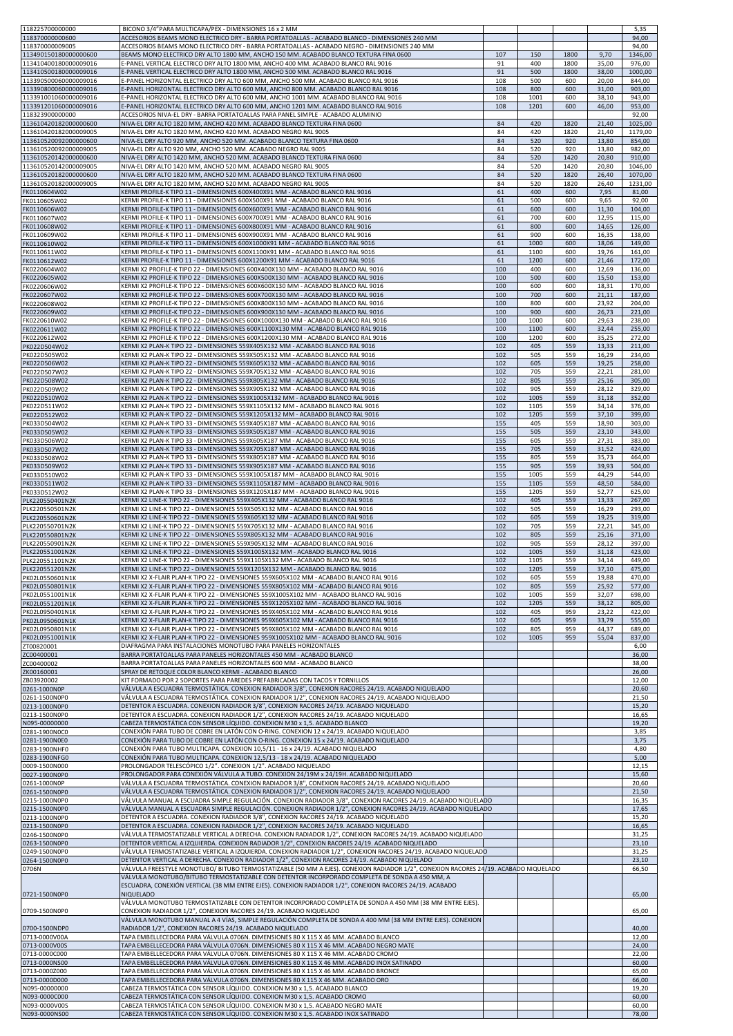| 118225700000000                                | BICONO 3/4"PARA MULTICAPA/PEX - DIMENSIONES 16 x 2 MM                                                                                                                                                                                  |            |              |              |                | 5,35               |
|------------------------------------------------|----------------------------------------------------------------------------------------------------------------------------------------------------------------------------------------------------------------------------------------|------------|--------------|--------------|----------------|--------------------|
| 118370000000600                                | ACCESORIOS BEAMS MONO ELECTRICO DRY - BARRA PORTATOALLAS - ACABADO BLANCO - DIMENSIONES 240 MM                                                                                                                                         |            |              |              |                | 94,00              |
| 118370000009005<br>113490150180000000600       | ACCESORIOS BEAMS MONO ELECTRICO DRY - BARRA PORTATOALLAS - ACABADO NEGRO - DIMENSIONES 240 MM<br>BEAMS MONO ELECTRICO DRY ALTO 1800 MM, ANCHO 150 MM. ACABADO BLANCO TEXTURA FINA 0600                                                 | 107        | 150          | 1800         | 9,70           | 94,00<br>1346,00   |
| 113410400180000009016                          | E-PANEL VERTICAL ELECTRICO DRY ALTO 1800 MM, ANCHO 400 MM. ACABADO BLANCO RAL 9016                                                                                                                                                     | 91         | 400          | 1800         | 35,00          | 976,00             |
| 113410500180000009016                          | E-PANEL VERTICAL ELECTRICO DRY ALTO 1800 MM, ANCHO 500 MM. ACABADO BLANCO RAL 9016                                                                                                                                                     | 91<br>108  | 500          | 1800         | 38,00          | 1000,00            |
| 113390500060000009016<br>113390800060000009016 | E-PANEL HORIZONTAL ELECTRICO DRY ALTO 600 MM, ANCHO 500 MM. ACABADO BLANCO RAL 9016<br>E-PANEL HORIZONTAL ELECTRICO DRY ALTO 600 MM, ANCHO 800 MM. ACABADO BLANCO RAL 9016                                                             | 108        | 500<br>800   | 600<br>600   | 20,00<br>31,00 | 844,00<br>903,00   |
| 113391001060000009016                          | E-PANEL HORIZONTAL ELECTRICO DRY ALTO 600 MM, ANCHO 1001 MM. ACABADO BLANCO RAL 9016                                                                                                                                                   | 108        | 1001         | 600          | 38,10          | 943,00             |
| 113391201060000009016<br>118323900000000       | E-PANEL HORIZONTAL ELECTRICO DRY ALTO 600 MM, ANCHO 1201 MM. ACABADO BLANCO RAL 9016<br>ACCESORIOS NIVA-EL DRY - BARRA PORTATOALLAS PARA PANEL SIMPLE - ACABADO ALUMINIO                                                               | 108        | 1201         | 600          | 46,00          | 953,00<br>92,00    |
| 113610420182000000600                          | NIVA-EL DRY ALTO 1820 MM, ANCHO 420 MM. ACABADO BLANCO TEXTURA FINA 0600                                                                                                                                                               | 84         | 420          | 1820         | 21,40          | 1025,00            |
| 113610420182000009005<br>113610520092000000600 | NIVA-EL DRY ALTO 1820 MM, ANCHO 420 MM. ACABADO NEGRO RAL 9005<br>NIVA-EL DRY ALTO 920 MM, ANCHO 520 MM. ACABADO BLANCO TEXTURA FINA 0600                                                                                              | 84<br>84   | 420<br>520   | 1820<br>920  | 21,40<br>13,80 | 1179,00<br>854,00  |
| 113610520092000009005                          | NIVA-EL DRY ALTO 920 MM, ANCHO 520 MM. ACABADO NEGRO RAL 9005                                                                                                                                                                          | 84         | 520          | 920          | 13,80          | 982,00             |
| 113610520142000000600                          | NIVA-EL DRY ALTO 1420 MM. ANCHO 520 MM. ACABADO BLANCO TEXTURA FINA 0600                                                                                                                                                               | 84         | 520          | 1420         | 20,80          | 910,00             |
| 113610520142000009005<br>113610520182000000600 | NIVA-EL DRY ALTO 1420 MM, ANCHO 520 MM. ACABADO NEGRO RAL 9005<br>NIVA-EL DRY ALTO 1820 MM, ANCHO 520 MM. ACABADO BLANCO TEXTURA FINA 0600                                                                                             | 84<br>84   | 520<br>520   | 1420<br>1820 | 20,80<br>26,40 | 1046,00<br>1070,00 |
| 113610520182000009005                          | NIVA-EL DRY ALTO 1820 MM, ANCHO 520 MM. ACABADO NEGRO RAL 9005                                                                                                                                                                         | 84         | 520          | 1820         | 26,40          | 1231,00            |
| FK0110604W02<br>FK0110605W02                   | KERMI PROFILE-K TIPO 11 - DIMENSIONES 600X400X91 MM - ACABADO BLANCO RAL 9016<br>KERMI PROFILE-K TIPO 11 - DIMENSIONES 600X500X91 MM - ACABADO BLANCO RAL 9016                                                                         | 61<br>61   | 400<br>500   | 600<br>600   | 7,95<br>9,65   | 81,00<br>92,00     |
| FK0110606W02                                   | KERMI PROFILE-K TIPO 11 - DIMENSIONES 600X600X91 MM - ACABADO BLANCO RAL 9016                                                                                                                                                          | 61         | 600          | 600          | 11,30          | 104,00             |
| FK0110607W02                                   | KERMI PROFILE-K TIPO 11 - DIMENSIONES 600X700X91 MM - ACABADO BLANCO RAL 9016                                                                                                                                                          | 61         | 700          | 600          | 12,95          | 115,00             |
| FK0110608W02<br>FK0110609W02                   | KERMI PROFILE-K TIPO 11 - DIMENSIONES 600X800X91 MM - ACABADO BLANCO RAL 9016<br>KERMI PROFILE-K TIPO 11 - DIMENSIONES 600X900X91 MM - ACABADO BLANCO RAL 9016                                                                         | 61<br>61   | 800<br>900   | 600<br>600   | 14,65<br>16,35 | 126,00<br>138,00   |
| FK0110610W02                                   | KERMI PROFILE-K TIPO 11 - DIMENSIONES 600X1000X91 MM - ACABADO BLANCO RAL 9016                                                                                                                                                         | 61         | 1000         | 600          | 18,06          | 149,00             |
| FK0110611W02<br>FK0110612W02                   | KERMI PROFILE-K TIPO 11 - DIMENSIONES 600X1100X91 MM - ACABADO BLANCO RAL 9016<br>KERMI PROFILE-K TIPO 11 - DIMENSIONES 600X1200X91 MM - ACABADO BLANCO RAL 9016                                                                       | 61<br>61   | 1100<br>1200 | 600<br>600   | 19,76<br>21,46 | 161,00<br>172,00   |
| FK0220604W02                                   | KERMI X2 PROFILE-K TIPO 22 - DIMENSIONES 600X400X130 MM - ACABADO BLANCO RAL 9016                                                                                                                                                      | 100        | 400          | 600          | 12,69          | 136,00             |
| FK0220605W02                                   | KERMI X2 PROFILE-K TIPO 22 - DIMENSIONES 600X500X130 MM - ACABADO BLANCO RAL 9016<br>KERMI X2 PROFILE-K TIPO 22 - DIMENSIONES 600X600X130 MM - ACABADO BLANCO RAL 9016                                                                 | 100        | 500          | 600<br>600   | 15,50          | 153,00             |
| FK0220606W02<br>FK0220607W02                   | KERMI X2 PROFILE-K TIPO 22 - DIMENSIONES 600X700X130 MM - ACABADO BLANCO RAL 9016                                                                                                                                                      | 100<br>100 | 600<br>700   | 600          | 18,31<br>21,11 | 170,00<br>187,00   |
| FK0220608W02                                   | KERMI X2 PROFILE-K TIPO 22 - DIMENSIONES 600X800X130 MM - ACABADO BLANCO RAL 9016                                                                                                                                                      | 100        | 800          | 600          | 23,92          | 204,00             |
| FK0220609W02<br>FK0220610W02                   | KERMI X2 PROFILE-K TIPO 22 - DIMENSIONES 600X900X130 MM - ACABADO BLANCO RAL 9016<br>KERMI X2 PROFILE-K TIPO 22 - DIMENSIONES 600X1000X130 MM - ACABADO BLANCO RAL 9016                                                                | 100<br>100 | 900<br>1000  | 600<br>600   | 26,73<br>29,63 | 221,00<br>238,00   |
| FK0220611W02                                   | KERMI X2 PROFILE-K TIPO 22 - DIMENSIONES 600X1100X130 MM - ACABADO BLANCO RAL 9016                                                                                                                                                     | 100        | 1100         | 600          | 32,44          | 255,00             |
| FK0220612W02                                   | KERMI X2 PROFILE-K TIPO 22 - DIMENSIONES 600X1200X130 MM - ACABADO BLANCO RAL 9016                                                                                                                                                     | 100        | 1200         | 600          | 35,25          | 272,00             |
| PK022D504W02<br>PK022D505W02                   | KERMI X2 PLAN-K TIPO 22 - DIMENSIONES 559X405X132 MM - ACABADO BLANCO RAL 9016<br>KERMI X2 PLAN-K TIPO 22 - DIMENSIONES 559X505X132 MM - ACABADO BLANCO RAL 9016                                                                       | 102<br>102 | 405<br>505   | 559<br>559   | 13,33<br>16,29 | 211,00<br>234,00   |
| PK022D506W02                                   | KERMI X2 PLAN-K TIPO 22 - DIMENSIONES 559X605X132 MM - ACABADO BLANCO RAL 9016                                                                                                                                                         | 102        | 605          | 559          | 19,25          | 258,00             |
| PK022D507W02<br>PK022D508W02                   | KERMI X2 PLAN-K TIPO 22 - DIMENSIONES 559X705X132 MM - ACABADO BLANCO RAL 9016<br>KERMI X2 PLAN-K TIPO 22 - DIMENSIONES 559X805X132 MM - ACABADO BLANCO RAL 9016                                                                       | 102<br>102 | 705<br>805   | 559<br>559   | 22,21<br>25,16 | 281,00<br>305,00   |
| PK022D509W02                                   | KERMI X2 PLAN-K TIPO 22 - DIMENSIONES 559X905X132 MM - ACABADO BLANCO RAL 9016                                                                                                                                                         | 102        | 905          | 559          | 28,12          | 329,00             |
| PK022D510W02                                   | KERMI X2 PLAN-K TIPO 22 - DIMENSIONES 559X1005X132 MM - ACABADO BLANCO RAL 9016                                                                                                                                                        | 102        | 1005         | 559          | 31,18          | 352,00             |
| PK022D511W02<br>PK022D512W02                   | KERMI X2 PLAN-K TIPO 22 - DIMENSIONES 559X1105X132 MM - ACABADO BLANCO RAL 9016<br>KERMI X2 PLAN-K TIPO 22 - DIMENSIONES 559X1205X132 MM - ACABADO BLANCO RAL 9016                                                                     | 102<br>102 | 1105<br>1205 | 559<br>559   | 34,14<br>37,10 | 376,00<br>399,00   |
| PK033D504W02                                   | KERMI X2 PLAN-K TIPO 33 - DIMENSIONES 559X405X187 MM - ACABADO BLANCO RAL 9016                                                                                                                                                         | 155        | 405          | 559          | 18,90          | 303,00             |
| PK033D505W02<br>PK033D506W02                   | KERMI X2 PLAN-K TIPO 33 - DIMENSIONES 559X505X187 MM - ACABADO BLANCO RAL 9016<br>KERMI X2 PLAN-K TIPO 33 - DIMENSIONES 559X605X187 MM - ACABADO BLANCO RAL 9016                                                                       | 155<br>155 | 505<br>605   | 559<br>559   | 23,10<br>27,31 | 343,00<br>383,00   |
| PK033D507W02                                   | KERMI X2 PLAN-K TIPO 33 - DIMENSIONES 559X705X187 MM - ACABADO BLANCO RAL 9016                                                                                                                                                         | 155        | 705          | 559          | 31,52          | 424,00             |
| PK033D508W02                                   | KERMI X2 PLAN-K TIPO 33 - DIMENSIONES 559X805X187 MM - ACABADO BLANCO RAL 9016<br>KERMI X2 PLAN-K TIPO 33 - DIMENSIONES 559X905X187 MM - ACABADO BLANCO RAL 9016                                                                       | 155<br>155 | 805<br>905   | 559<br>559   | 35,73<br>39,93 | 464,00<br>504,00   |
| PK033D509W02<br>PK033D510W02                   | KERMI X2 PLAN-K TIPO 33 - DIMENSIONES 559X1005X187 MM - ACABADO BLANCO RAL 9016                                                                                                                                                        | 155        | 1005         | 559          | 44,29          | 544,00             |
| PK033D511W02                                   | KERMI X2 PLAN-K TIPO 33 - DIMENSIONES 559X1105X187 MM - ACABADO BLANCO RAL 9016                                                                                                                                                        | 155        | 1105         | 559          | 48,50          | 584,00             |
| PK033D512W02<br>PLK220550401N2K                | KERMI X2 PLAN-K TIPO 33 - DIMENSIONES 559X1205X187 MM - ACABADO BLANCO RAL 9016<br>KERMI X2 LINE-K TIPO 22 - DIMENSIONES 559X405X132 MM - ACABADO BLANCO RAL 9016                                                                      | 155<br>102 | 1205<br>405  | 559<br>559   | 52,77<br>13,33 | 625,00<br>267,00   |
| PLK220550501N2K                                | KERMI X2 LINE-K TIPO 22 - DIMENSIONES 559X505X132 MM - ACABADO BLANCO RAL 9016                                                                                                                                                         | 102        | 505          | 559          | 16,29          | 293,00             |
| PLK220550601N2K<br>PLK220550701N2K             | KERMI X2 LINE-K TIPO 22 - DIMENSIONES 559X605X132 MM - ACABADO BLANCO RAL 9016<br>KERMI X2 LINE-K TIPO 22 - DIMENSIONES 559X705X132 MM - ACABADO BLANCO RAL 9016                                                                       | 102<br>102 | 605<br>705   | 559<br>559   | 19,25<br>22,21 | 319,00<br>345,00   |
| PLK220550801N2K                                | KERMI X2 LINE-K TIPO 22 - DIMENSIONES 559X805X132 MM - ACABADO BLANCO RAL 9016                                                                                                                                                         | 102        | 805          | 559          | 25,16          | 371,00             |
| PLK220550901N2K                                | KERMI X2 LINE-K TIPO 22 - DIMENSIONES 559X905X132 MM - ACABADO BLANCO RAL 9016                                                                                                                                                         | 102        | 905          | 559          | 28,12          | 397,00             |
| PLK220551001N2K<br>PLK220551101N2K             | KERMI X2 LINE-K TIPO 22 - DIMENSIONES 559X1005X132 MM - ACABADO BLANCO RAL 9016<br>KERMI X2 LINE-K TIPO 22 - DIMENSIONES 559X1105X132 MM - ACABADO BLANCO RAL 9016                                                                     | 102<br>102 | 1005<br>1105 | 559<br>559   | 31,18<br>34,14 | 423,00<br>449,00   |
| PLK220551201N2K                                | KERMI X2 LINE-K TIPO 22 - DIMENSIONES 559X1205X132 MM - ACABADO BLANCO RAL 9016                                                                                                                                                        | 102        | 1205         | 559          | 37.10          | 475.00             |
| PK02L0550601N1K<br>PK02L0550801N1K             | KERMI X2 X-FLAIR PLAN-K TIPO 22 - DIMENSIONES 559X605X102 MM - ACABADO BLANCO RAL 9016<br>KERMI X2 X-FLAIR PLAN-K TIPO 22 - DIMENSIONES 559X805X102 MM - ACABADO BLANCO RAL 9016                                                       | 102<br>102 | 605<br>805   | 559<br>559   | 19,88<br>25,92 | 470,00<br>577,00   |
| PK02L0551001N1K                                | KERMI X2 X-FLAIR PLAN-K TIPO 22 - DIMENSIONES 559X1005X102 MM - ACABADO BLANCO RAL 9016                                                                                                                                                | 102        | 1005         | 559          | 32,07          | 698,00             |
| PK02L0551201N1K                                | KERMI X2 X-FLAIR PLAN-K TIPO 22 - DIMENSIONES 559X1205X102 MM - ACABADO BLANCO RAL 9016<br>KERMI X2 X-FLAIR PLAN-K TIPO 22 - DIMENSIONES 959X405X102 MM - ACABADO BLANCO RAL 9016                                                      | 102<br>102 | 1205<br>405  | 559<br>959   | 38,12<br>23,22 | 805,00<br>422,00   |
| PK02L0950401N1K<br>PK02L0950601N1K             | KERMI X2 X-FLAIR PLAN-K TIPO 22 - DIMENSIONES 959X605X102 MM - ACABADO BLANCO RAL 9016                                                                                                                                                 | 102        | 605          | 959          | 33,79          | 555,00             |
| PK02L0950801N1K                                | KERMI X2 X-FLAIR PLAN-K TIPO 22 - DIMENSIONES 959X805X102 MM - ACABADO BLANCO RAL 9016                                                                                                                                                 | 102        | 805          | 959          | 44,37          | 689,00             |
| PK02L0951001N1K<br>ZT00820001                  | KERMI X2 X-FLAIR PLAN-K TIPO 22 - DIMENSIONES 959X1005X102 MM - ACABADO BLANCO RAL 9016<br>DIAFRAGMA PARA INSTALACIONES MONOTUBO PARA PANELES HORIZONTALES                                                                             | 102        | 1005         | 959          | 55,04          | 837,00<br>6,00     |
| ZC00400001                                     | BARRA PORTATOALLAS PARA PANELES HORIZONTALES 450 MM - ACABADO BLANCO                                                                                                                                                                   |            |              |              |                | 36,00              |
| ZC00400002<br>ZK00160001                       | BARRA PORTATOALLAS PARA PANELES HORIZONTALES 600 MM - ACABADO BLANCO<br>SPRAY DE RETOQUE COLOR BLANCO KERMI - ACABADO BLANCO                                                                                                           |            |              |              |                | 38,00<br>26,00     |
| ZB03920002                                     | KIT FORMADO POR 2 SOPORTES PARA PAREDES PREFABRICADAS CON TACOS Y TORNILLOS                                                                                                                                                            |            |              |              |                | 12,00              |
| 0261-1000N0P                                   | VÁLVULA A ESCUADRA TERMOSTÁTICA. CONEXION RADIADOR 3/8", CONEXION RACORES 24/19. ACABADO NIQUELADO                                                                                                                                     |            |              |              |                | 20,60              |
| 0261-1500N0P0<br>0213-1000N0P0                 | VÁLVULA A ESCUADRA TERMOSTÁTICA. CONEXION RADIADOR 1/2", CONEXION RACORES 24/19. ACABADO NIQUELADO<br>DETENTOR A ESCUADRA. CONEXION RADIADOR 3/8", CONEXION RACORES 24/19. ACABADO NIQUELADO                                           |            |              |              |                | 21,50<br>15,20     |
| 0213-1500N0P0                                  | DETENTOR A ESCUADRA. CONEXION RADIADOR 1/2", CONEXION RACORES 24/19. ACABADO NIQUELADO                                                                                                                                                 |            |              |              |                | 16,65              |
| N095-00000000<br>0281-1900N0C0                 | CABEZA TERMOSTÁTICA CON SENSOR LÍQUIDO. CONEXION M30 x 1,5. ACABADO BLANCO<br>CONEXIÓN PARA TUBO DE COBRE EN LATÓN CON O-RING. CONEXION 12 x 24/19. ACABADO NIQUELADO                                                                  |            |              |              |                | 19,20<br>3,85      |
| 0281-1900N0E0                                  | CONEXIÓN PARA TUBO DE COBRE EN LATÓN CON O-RING. CONEXION 15 x 24/19. ACABADO NIQUELADO                                                                                                                                                |            |              |              |                | 3,75               |
| 0283-1900NHF0<br>0283-1900NFG0                 | CONEXIÓN PARA TUBO MULTICAPA. CONEXION 10,5/11 - 16 x 24/19. ACABADO NIQUELADO<br>CONEXIÓN PARA TUBO MULTICAPA. CONEXION 12,5/13 - 18 x 24/19. ACABADO NIQUELADO                                                                       |            |              |              |                | 4,80<br>5,00       |
| 0009-1500N000                                  | PROLONGADOR TELESCÓPICO 1/2". CONEXION 1/2". ACABADO NIQUELADO                                                                                                                                                                         |            |              |              |                | 12,15              |
| 0027-1900N0P0                                  | PROLONGADOR PARA CONEXIÓN VÁLVULA A TUBO. CONEXION 24/19M x 24/19H. ACABADO NIQUELADO                                                                                                                                                  |            |              |              |                | 15,60              |
| 0261-1000N0P<br>0261-1500N0P0                  | VÁLVULA A ESCUADRA TERMOSTÁTICA. CONEXION RADIADOR 3/8", CONEXION RACORES 24/19. ACABADO NIQUELADO<br>VÁLVULA A ESCUADRA TERMOSTÁTICA. CONEXION RADIADOR 1/2", CONEXION RACORES 24/19. ACABADO NIQUELADO                               |            |              |              |                | 20,60<br>21,50     |
| 0215-1000N0P0                                  | VÁLVULA MANUAL A ESCUADRA SIMPLE REGULACIÓN. CONEXION RADIADOR 3/8", CONEXION RACORES 24/19. ACABADO NIQUELADO                                                                                                                         |            |              |              |                | 16,35              |
| 0215-1500N0P0<br>0213-1000N0P0                 | VÁLVULA MANUAL A ESCUADRA SIMPLE REGULACIÓN. CONEXION RADIADOR 1/2", CONEXION RACORES 24/19. ACABADO NIQUELADO<br>DETENTOR A ESCUADRA. CONEXION RADIADOR 3/8", CONEXION RACORES 24/19. ACABADO NIQUELADO                               |            |              |              |                | 17,65<br>15,20     |
| 0213-1500N0P0                                  | DETENTOR A ESCUADRA. CONEXION RADIADOR 1/2", CONEXION RACORES 24/19. ACABADO NIQUELADO                                                                                                                                                 |            |              |              |                | 16,65              |
| 0246-1500N0P0                                  | VÁLVULA TERMOSTATIZABLE VERTICAL A DERECHA. CONEXION RADIADOR 1/2", CONEXION RACORES 24/19. ACABADO NIQUELADO<br>DETENTOR VERTICAL A IZQUIERDA. CONEXION RADIADOR 1/2", CONEXION RACORES 24/19. ACABADO NIQUELADO                      |            |              |              |                | 31,25<br>23,10     |
| 0263-1500N0P0<br>0249-1500N0P0                 | VÁLVULA TERMOSTATIZABLE VERTICAL A IZQUIERDA. CONEXION RADIADOR 1/2", CONEXION RACORES 24/19. ACABADO NIQUELADO                                                                                                                        |            |              |              |                | 31,25              |
| 0264-1500N0P0                                  | DETENTOR VERTICAL A DERECHA. CONEXION RADIADOR 1/2", CONEXION RACORES 24/19. ACABADO NIQUELADO                                                                                                                                         |            |              |              |                | 23,10              |
| 0706N                                          | VÁLVULA FREESTYLE MONOTUBO/ BITUBO TERMOSTATIZABLE (50 MM A EJES). CONEXION RADIADOR 1/2", CONEXION RACORES 24/19. ACABADO NIQUELADO<br>VÁLVULA MONOTUBO/BITUBO TERMOSTATIZABLE CON DETENTOR INCORPORADO COMPLETA DE SONDA A 450 MM, A |            |              |              |                | 66,50              |
|                                                | ESCUADRA, CONEXIÓN VERTICAL (38 MM ENTRE EJES). CONEXION RADIADOR 1/2", CONEXION RACORES 24/19. ACABADO                                                                                                                                |            |              |              |                |                    |
| 0721-1500N0P0                                  | <b>NIQUELADO</b><br>VÁLVULA MONOTUBO TERMOSTATIZABLE CON DETENTOR INCORPORADO COMPLETA DE SONDA A 450 MM (38 MM ENTRE EJES).                                                                                                           |            |              |              |                | 65,00              |
| 0709-1500N0P0                                  | CONEXION RADIADOR 1/2", CONEXION RACORES 24/19. ACABADO NIQUELADO                                                                                                                                                                      |            |              |              |                | 65,00              |
|                                                | VÁLVULA MONOTUBO MANUAL A 4 VÍAS, SIMPLE REGULACIÓN COMPLETA DE SONDA A 400 MM (38 MM ENTRE EJES). CONEXION                                                                                                                            |            |              |              |                |                    |
| 0700-1500NDP0<br>0713-0000V00A                 | RADIADOR 1/2", CONEXION RACORES 24/19. ACABADO NIQUELADO<br>TAPA EMBELLECEDORA PARA VÁLVULA 0706N. DIMENSIONES 80 X 115 X 46 MM. ACABADO BLANCO                                                                                        |            |              |              |                | 40,00<br>12,00     |
| 0713-0000V00S                                  | TAPA EMBELLECEDORA PARA VÁLVULA 0706N. DIMENSIONES 80 X 115 X 46 MM. ACABADO NEGRO MATE                                                                                                                                                |            |              |              |                | 24,00              |
| 0713-0000C000<br>0713-0000NS00                 | TAPA EMBELLECEDORA PARA VÁLVULA 0706N. DIMENSIONES 80 X 115 X 46 MM. ACABADO CROMO<br>TAPA EMBELLECEDORA PARA VÁLVULA 0706N. DIMENSIONES 80 X 115 X 46 MM. ACABADO INOX SATINADO                                                       |            |              |              |                | 22,00<br>60,00     |
| 0713-0000Z000                                  | TAPA EMBELLECEDORA PARA VÁLVULA 0706N. DIMENSIONES 80 X 115 X 46 MM. ACABADO BRONCE                                                                                                                                                    |            |              |              |                | 65,00              |
| 0713-0000D000<br>N095-00000000                 | TAPA EMBELLECEDORA PARA VÁLVULA 0706N. DIMENSIONES 80 X 115 X 46 MM. ACABADO ORO                                                                                                                                                       |            |              |              |                | 66,00              |
| N093-0000C000                                  | CABEZA TERMOSTÁTICA CON SENSOR LÍQUIDO. CONEXION M30 x 1,5. ACABADO BLANCO<br>CABEZA TERMOSTÁTICA CON SENSOR LÍQUIDO. CONEXION M30 x 1,5. ACABADO CROMO                                                                                |            |              |              |                | 19,20<br>60,00     |
| N093-0000V00S                                  | CABEZA TERMOSTÁTICA CON SENSOR LÍQUIDO. CONEXION M30 x 1,5. ACABADO NEGRO MATE                                                                                                                                                         |            |              |              |                | 60,00              |
| N093-0000NS00                                  | CABEZA TERMOSTÁTICA CON SENSOR LÍQUIDO. CONEXION M30 x 1,5. ACABADO INOX SATINADO                                                                                                                                                      |            |              |              |                | 78,00              |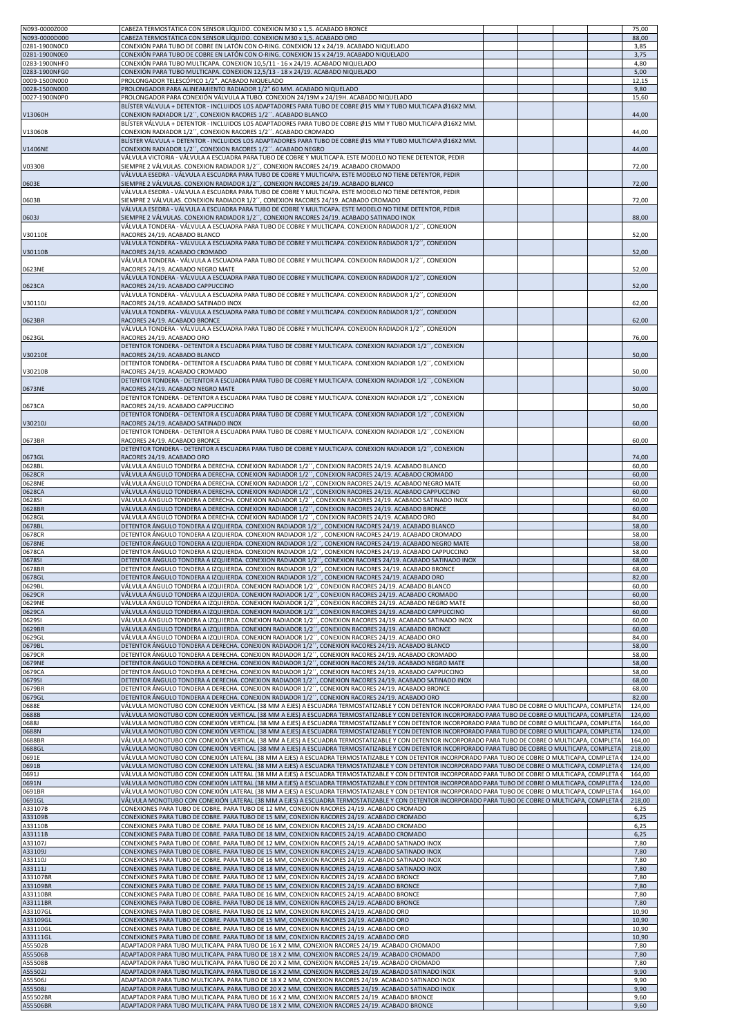| N093-0000Z000<br>N093-0000D000 | CABEZA TERMOSTÁTICA CON SENSOR LÍQUIDO. CONEXION M30 x 1,5. ACABADO BRONCE<br>CABEZA TERMOSTÁTICA CON SENSOR LÍQUIDO. CONEXION M30 x 1,5. ACABADO ORO                                                                                                                                                        |  |  | 75,00<br>88,00   |
|--------------------------------|--------------------------------------------------------------------------------------------------------------------------------------------------------------------------------------------------------------------------------------------------------------------------------------------------------------|--|--|------------------|
| 0281-1900NOC0                  | CONEXIÓN PARA TUBO DE COBRE EN LATÓN CON O-RING. CONEXION 12 x 24/19. ACABADO NIQUELADO                                                                                                                                                                                                                      |  |  | 3,85             |
| 0281-1900N0E0<br>0283-1900NHF0 | CONEXIÓN PARA TUBO DE COBRE EN LATÓN CON O-RING. CONEXION 15 x 24/19. ACABADO NIQUELADO<br>CONEXIÓN PARA TUBO MULTICAPA. CONEXION 10,5/11 - 16 x 24/19. ACABADO NIQUELADO                                                                                                                                    |  |  | 3,75<br>4,80     |
| 0283-1900NFG0                  | CONEXIÓN PARA TUBO MULTICAPA. CONEXION 12,5/13 - 18 x 24/19. ACABADO NIQUELADO                                                                                                                                                                                                                               |  |  | 5,00             |
| 0009-1500N000<br>0028-1500N000 | PROLONGADOR TELESCÓPICO 1/2". ACABADO NIQUELADO<br>PROLONGADOR PARA ALINEAMIENTO RADIADOR 1/2" 60 MM. ACABADO NIQUELADO                                                                                                                                                                                      |  |  | 12,15<br>9,80    |
| 0027-1900N0P0                  | PROLONGADOR PARA CONEXIÓN VÁLVULA A TUBO. CONEXION 24/19M x 24/19H. ACABADO NIQUELADO<br>BLÍSTER VÁLVULA + DETENTOR - INCLUIDOS LOS ADAPTADORES PARA TUBO DE COBRE Ø15 MM Y TUBO MULTICAPA Ø16X2 MM.                                                                                                         |  |  | 15,60            |
| V13060H                        | CONEXION RADIADOR 1/2", CONEXION RACORES 1/2". ACABADO BLANCO                                                                                                                                                                                                                                                |  |  | 44,00            |
| V13060B                        | BLÍSTER VÁLVULA + DETENTOR - INCLUIDOS LOS ADAPTADORES PARA TUBO DE COBRE Ø15 MM Y TUBO MULTICAPA Ø16X2 MM.<br>CONEXION RADIADOR 1/2", CONEXION RACORES 1/2". ACABADO CROMADO                                                                                                                                |  |  | 44,00            |
|                                | BLÍSTER VÁLVULA + DETENTOR - INCLUIDOS LOS ADAPTADORES PARA TUBO DE COBRE Ø15 MM Y TUBO MULTICAPA Ø16X2 MM.                                                                                                                                                                                                  |  |  |                  |
| V1406NE                        | CONEXION RADIADOR 1/2", CONEXION RACORES 1/2". ACABADO NEGRO<br>VÁLVULA VICTORIA - VÁLVULA A ESCUADRA PARA TUBO DE COBRE Y MULTICAPA. ESTE MODELO NO TIENE DETENTOR, PEDIR                                                                                                                                   |  |  | 44,00            |
| V0330B                         | SIEMPRE 2 VÁLVULAS. CONEXION RADIADOR 1/2'', CONEXION RACORES 24/19. ACABADO CROMADO                                                                                                                                                                                                                         |  |  | 72,00            |
| 0603E                          | VÁLVULA ESEDRA - VÁLVULA A ESCUADRA PARA TUBO DE COBRE Y MULTICAPA. ESTE MODELO NO TIENE DETENTOR, PEDIR<br>SIEMPRE 2 VÁLVULAS. CONEXION RADIADOR 1/2 <sup>7</sup> , CONEXION RACORES 24/19. ACABADO BLANCO                                                                                                  |  |  | 72,00            |
| 0603B                          | VÁLVULA ESEDRA - VÁLVULA A ESCUADRA PARA TUBO DE COBRE Y MULTICAPA. ESTE MODELO NO TIENE DETENTOR, PEDIR<br>SIEMPRE 2 VÁLVULAS. CONEXION RADIADOR 1/2", CONEXION RACORES 24/19. ACABADO CROMADO                                                                                                              |  |  | 72,00            |
|                                | VÁLVULA ESEDRA - VÁLVULA A ESCUADRA PARA TUBO DE COBRE Y MULTICAPA. ESTE MODELO NO TIENE DETENTOR, PEDIR                                                                                                                                                                                                     |  |  |                  |
| 0603J                          | SIEMPRE 2 VÁLVULAS. CONEXION RADIADOR 1/2", CONEXION RACORES 24/19. ACABADO SATINADO INOX<br>VÁLVULA TONDERA - VÁLVULA A ESCUADRA PARA TUBO DE COBRE Y MULTICAPA. CONEXION RADIADOR 1/2´´, CONEXION                                                                                                          |  |  | 88,00            |
| V30110E                        | RACORES 24/19. ACABADO BLANCO                                                                                                                                                                                                                                                                                |  |  | 52,00            |
| V30110B                        | VÁLVULA TONDERA - VÁLVULA A ESCUADRA PARA TUBO DE COBRE Y MULTICAPA. CONEXION RADIADOR 1/2´´, CONEXION<br>RACORES 24/19. ACABADO CROMADO                                                                                                                                                                     |  |  | 52,00            |
| 0623NE                         | VÁLVULA TONDERA - VÁLVULA A ESCUADRA PARA TUBO DE COBRE Y MULTICAPA. CONEXION RADIADOR 1/2´´, CONEXION<br>RACORES 24/19. ACABADO NEGRO MATE                                                                                                                                                                  |  |  | 52,00            |
|                                | VÁLVULA TONDERA - VÁLVULA A ESCUADRA PARA TUBO DE COBRE Y MULTICAPA. CONEXION RADIADOR 1/2", CONEXION                                                                                                                                                                                                        |  |  |                  |
| 0623CA                         | RACORES 24/19. ACABADO CAPPUCCINO<br>VÁLVULA TONDERA - VÁLVULA A ESCUADRA PARA TUBO DE COBRE Y MULTICAPA. CONEXION RADIADOR 1/2´´, CONEXION                                                                                                                                                                  |  |  | 52,00            |
| V30110J                        | RACORES 24/19. ACABADO SATINADO INOX                                                                                                                                                                                                                                                                         |  |  | 62,00            |
| 0623BR                         | VÁLVULA TONDERA - VÁLVULA A ESCUADRA PARA TUBO DE COBRE Y MULTICAPA. CONEXION RADIADOR 1/2´´, CONEXION<br>RACORES 24/19. ACABADO BRONCE                                                                                                                                                                      |  |  | 62,00            |
|                                | VÁLVULA TONDERA - VÁLVULA A ESCUADRA PARA TUBO DE COBRE Y MULTICAPA. CONEXION RADIADOR 1/2´´, CONEXION                                                                                                                                                                                                       |  |  |                  |
| 0623GL                         | RACORES 24/19. ACABADO ORO<br>DETENTOR TONDERA - DETENTOR A ESCUADRA PARA TUBO DE COBRE Y MULTICAPA. CONEXION RADIADOR 1/2", CONEXION                                                                                                                                                                        |  |  | 76,00            |
| V30210E                        | RACORES 24/19. ACABADO BLANCO<br>DETENTOR TONDERA - DETENTOR A ESCUADRA PARA TUBO DE COBRE Y MULTICAPA. CONEXION RADIADOR 1/2´´, CONEXION                                                                                                                                                                    |  |  | 50,00            |
| V30210B                        | RACORES 24/19. ACABADO CROMADO                                                                                                                                                                                                                                                                               |  |  | 50,00            |
| 0673NE                         | DETENTOR TONDERA - DETENTOR A ESCUADRA PARA TUBO DE COBRE Y MULTICAPA. CONEXION RADIADOR 1/2", CONEXION<br>RACORES 24/19. ACABADO NEGRO MATE                                                                                                                                                                 |  |  | 50,00            |
|                                | DETENTOR TONDERA - DETENTOR A ESCUADRA PARA TUBO DE COBRE Y MULTICAPA. CONEXION RADIADOR 1/2", CONEXION                                                                                                                                                                                                      |  |  |                  |
| 0673CA                         | RACORES 24/19. ACABADO CAPPUCCINO<br>DETENTOR TONDERA - DETENTOR A ESCUADRA PARA TUBO DE COBRE Y MULTICAPA. CONEXION RADIADOR 1/2", CONEXION                                                                                                                                                                 |  |  | 50,00            |
| V30210J                        | RACORES 24/19. ACABADO SATINADO INOX<br>DETENTOR TONDERA - DETENTOR A ESCUADRA PARA TUBO DE COBRE Y MULTICAPA. CONEXION RADIADOR 1/2", CONEXION                                                                                                                                                              |  |  | 60,00            |
| 0673BR                         | RACORES 24/19. ACABADO BRONCE                                                                                                                                                                                                                                                                                |  |  | 60,00            |
| 0673GL                         | DETENTOR TONDERA - DETENTOR A ESCUADRA PARA TUBO DE COBRE Y MULTICAPA. CONEXION RADIADOR 1/2", CONEXION<br>RACORES 24/19. ACABADO ORO                                                                                                                                                                        |  |  | 74,00            |
| 0628BL                         | VÁLVULA ÁNGULO TONDERA A DERECHA. CONEXION RADIADOR 1/2´´, CONEXION RACORES 24/19. ACABADO BLANCO                                                                                                                                                                                                            |  |  | 60,00            |
| 0628CR<br>0628NE               | VÁLVULA ÁNGULO TONDERA A DERECHA. CONEXION RADIADOR 1/2´´, CONEXION RACORES 24/19. ACABADO CROMADO<br>VÁLVULA ÁNGULO TONDERA A DERECHA. CONEXION RADIADOR 1/2´´, CONEXION RACORES 24/19. ACABADO NEGRO MATE                                                                                                  |  |  | 60,00<br>60,00   |
| 0628CA                         | VÁLVULA ÁNGULO TONDERA A DERECHA. CONEXION RADIADOR 1/2", CONEXION RACORES 24/19. ACABADO CAPPUCCINO                                                                                                                                                                                                         |  |  | 60,00            |
| 0628SI<br>0628BR               | VÁLVULA ÁNGULO TONDERA A DERECHA. CONEXION RADIADOR 1/2´´. CONEXION RACORES 24/19. ACABADO SATINADO INOX<br>VÁLVULA ÁNGULO TONDERA A DERECHA. CONEXION RADIADOR 1/2´´, CONEXION RACORES 24/19. ACABADO BRONCE                                                                                                |  |  | 60,00<br>60,00   |
| 0628GL                         | VÁLVULA ÁNGULO TONDERA A DERECHA. CONEXION RADIADOR 1/2´´, CONEXION RACORES 24/19. ACABADO ORO                                                                                                                                                                                                               |  |  | 84,00            |
| 0678BL<br>0678CR               | DETENTOR ÁNGULO TONDERA A IZQUIERDA. CONEXION RADIADOR 1/2'', CONEXION RACORES 24/19. ACABADO BLANCO<br>DETENTOR ÁNGULO TONDERA A IZQUIERDA. CONEXION RADIADOR 1/2´´, CONEXION RACORES 24/19. ACABADO CROMADO                                                                                                |  |  | 58,00<br>58,00   |
| 0678NE                         | DETENTOR ÁNGULO TONDERA A IZQUIERDA. CONEXION RADIADOR 1/2'', CONEXION RACORES 24/19. ACABADO NEGRO MATE                                                                                                                                                                                                     |  |  | 58,00            |
| 0678CA<br>0678SI               | DETENTOR ÁNGULO TONDERA A IZQUIERDA. CONEXION RADIADOR 1/2´´, CONEXION RACORES 24/19. ACABADO CAPPUCCINO<br>)ETENTOR ÁNGULO TONDERA A IZQUIERDA. CONEXION RADIADOR 1/2'', CONEXION RACORES 24/19. ACABADO SATINADO INOX                                                                                      |  |  | 58,00<br>68,00   |
| 0678BR                         | DETENTOR ÁNGULO TONDERA A IZQUIERDA. CONEXION RADIADOR 1/2'', CONEXION RACORES 24/19. ACABADO BRONCE                                                                                                                                                                                                         |  |  | 68.00            |
| 0678GL<br>0629BL               | DETENTOR ANGULO TONDERA A IZQUIERDA. CONEXION RADIADOR 1/2´´, CONEXION RACORES 24/19. ACABADO ORO<br>VÁLVULA ÁNGULO TONDERA A IZQUIERDA. CONEXION RADIADOR 1/2´´, CONEXION RACORES 24/19. ACABADO BLANCO                                                                                                     |  |  | 82,00<br>60,00   |
| 0629CR                         | VÁLVULA ÁNGULO TONDERA A IZQUIERDA. CONEXION RADIADOR 1/2", CONEXION RACORES 24/19. ACABADO CROMADO                                                                                                                                                                                                          |  |  | 60,00            |
| 0629NE<br>0629CA               | VÁLVULA ÁNGULO TONDERA A IZQUIERDA. CONEXION RADIADOR 1/2´´, CONEXION RACORES 24/19. ACABADO NEGRO MATE<br>VÁLVULA ÁNGULO TONDERA A IZQUIERDA. CONEXION RADIADOR 1/2'', CONEXION RACORES 24/19. ACABADO CAPPUCCINO                                                                                           |  |  | 60,00<br>60,00   |
| 0629SI                         | VÁLVULA ÁNGULO TONDERA A IZQUIERDA. CONEXION RADIADOR 1/2´´, CONEXION RACORES 24/19. ACABADO SATINADO INOX<br>VÁLVULA ÁNGULO TONDERA A IZQUIERDA. CONEXION RADIADOR 1/2", CONEXION RACORES 24/19. ACABADO BRONCE                                                                                             |  |  | 60,00<br>60,00   |
| 0629BR<br>0629GL               | VÁLVULA ÁNGULO TONDERA A IZQUIERDA. CONEXION RADIADOR 1/2", CONEXION RACORES 24/19. ACABADO ORO                                                                                                                                                                                                              |  |  | 84.00            |
| 0679BL<br>0679CR               | DETENTOR ÁNGULO TONDERA A DERECHA. CONEXION RADIADOR 1/2´´, CONEXION RACORES 24/19. ACABADO BLANCO<br>DETENTOR ÁNGULO TONDERA A DERECHA. CONEXION RADIADOR 1/2´´, CONEXION RACORES 24/19. ACABADO CROMADO                                                                                                    |  |  | 58,00<br>58,00   |
| 0679NE                         | DETENTOR ÁNGULO TONDERA A DERECHA. CONEXION RADIADOR 1/2´´, CONEXION RACORES 24/19. ACABADO NEGRO MATE                                                                                                                                                                                                       |  |  | 58.00            |
| 0679CA<br>0679SI               | DETENTOR ÁNGULO TONDERA A DERECHA. CONEXION RADIADOR 1/2´´, CONEXION RACORES 24/19. ACABADO CAPPUCCINO<br>DETENTOR ÁNGULO TONDERA A DERECHA. CONEXION RADIADOR 1/2´´, CONEXION RACORES 24/19. ACABADO SATINADO INOX                                                                                          |  |  | 58,00<br>68,00   |
| 0679BR                         | DETENTOR ÁNGULO TONDERA A DERECHA. CONEXION RADIADOR 1/2'', CONEXION RACORES 24/19. ACABADO BRONCE                                                                                                                                                                                                           |  |  | 68.00            |
| 0679GL<br>0688E                | DETENTOR ÁNGULO TONDERA A DERECHA. CONEXION RADIADOR 1/2", CONEXION RACORES 24/19. ACABADO ORO<br>VÁLVULA MONOTUBO CON CONEXIÓN VERTICAL (38 MM A EJES) A ESCUADRA TERMOSTATIZABLE Y CON DETENTOR INCORPORADO PARA TUBO DE COBRE O MULTICAPA, COMPLET.                                                       |  |  | 82,00<br>124,00  |
| 0688B                          | VÁLVULA MONOTUBO CON CONEXIÓN VERTICAL (38 MM A EJES) A ESCUADRA TERMOSTATIZABLE Y CON DETENTOR INCORPORADO PARA TUBO DE COBRE O MULTICAPA. COMPLET/                                                                                                                                                         |  |  | 124,00           |
| 0688J<br>0688N                 | VÁLVULA MONOTUBO CON CONEXIÓN VERTICAL (38 MM A EJES) A ESCUADRA TERMOSTATIZABLE Y CON DETENTOR INCORPORADO PARA TUBO DE COBRE O MULTICAPA. COMPLETA<br>VÁLVULA MONOTUBO CON CONEXIÓN VERTICAL (38 MM A EJES) A ESCUADRA TERMOSTATIZABLE Y CON DETENTOR INCORPORADO PARA TUBO DE COBRE O MULTICAPA. COMPLETA |  |  | 164,00<br>124,00 |
| 0688BR                         | VÁLVULA MONOTUBO CON CONEXIÓN VERTICAL (38 MM A EJES) A ESCUADRA TERMOSTATIZABLE Y CON DETENTOR INCORPORADO PARA TUBO DE COBRE O MULTICAPA, COMPLETA                                                                                                                                                         |  |  | 164.00           |
| 0688GL<br>0691E                | VÁLVULA MONOTUBO CON CONEXIÓN VERTICAL (38 MM A EJES) A ESCUADRA TERMOSTATIZABLE Y CON DETENTOR INCORPORADO PARA TUBO DE COBRE O MULTICAPA, COMPLETA<br>VÁLVULA MONOTUBO CON CONEXIÓN LATERAL (38 MM A EJES) A ESCUADRA TERMOSTATIZABLE Y CON DETENTOR INCORPORADO PARA TUBO DE COBRE O MULTICAPA, COMPLETA  |  |  | 218,00<br>124,00 |
| 0691B                          | VÁLVULA MONOTUBO CON CONEXIÓN LATERAL (38 MM A EJES) A ESCUADRA TERMOSTATIZABLE Y CON DETENTOR INCORPORADO PARA TUBO DE COBRE O MULTICAPA, COMPLET/                                                                                                                                                          |  |  | 124.00           |
| 0691J<br>0691N                 | VÁLVULA MONOTUBO CON CONEXIÓN LATERAL (38 MM A EJES) A ESCUADRA TERMOSTATIZABLE Y CON DETENTOR INCORPORADO PARA TUBO DE COBRE O MULTICAPA, COMPLETA<br>VÁLVULA MONOTUBO CON CONEXIÓN LATERAL (38 MM A EJES) A ESCUADRA TERMOSTATIZABLE Y CON DETENTOR INCORPORADO PARA TUBO DE COBRE O MULTICAPA, COMPLETA   |  |  | 164,00<br>124.00 |
| 0691BR                         | VÁLVULA MONOTUBO CON CONEXIÓN LATERAL (38 MM A EJES) A ESCUADRA TERMOSTATIZABLE Y CON DETENTOR INCORPORADO PARA TUBO DE COBRE O MULTICAPA, COMPLET/                                                                                                                                                          |  |  | 164.00           |
| 0691GL<br>A33107B              | VÁLVULA MONOTUBO CON CONEXIÓN LATERAL (38 MM A EJES) A ESCUADRA TERMOSTATIZABLE Y CON DETENTOR INCORPORADO PARA TUBO DE COBRE O MULTICAPA, COMPLETA<br>CONEXIONES PARA TUBO DE COBRE. PARA TUBO DE 12 MM, CONEXION RACORES 24/19. ACABADO CROMADO                                                            |  |  | 218,00<br>6,25   |
| A33109B                        | CONEXIONES PARA TUBO DE COBRE. PARA TUBO DE 15 MM, CONEXION RACORES 24/19. ACABADO CROMADO                                                                                                                                                                                                                   |  |  | 6,25             |
| A33110B<br>A33111B             | CONEXIONES PARA TUBO DE COBRE. PARA TUBO DE 16 MM, CONEXION RACORES 24/19. ACABADO CROMADO<br>CONEXIONES PARA TUBO DE COBRE. PARA TUBO DE 18 MM, CONEXION RACORES 24/19. ACABADO CROMADO                                                                                                                     |  |  | 6,25<br>6,25     |
| A33107J                        | CONEXIONES PARA TUBO DE COBRE. PARA TUBO DE 12 MM, CONEXION RACORES 24/19. ACABADO SATINADO INOX                                                                                                                                                                                                             |  |  | 7,80             |
| A33109J<br>A33110J             | CONEXIONES PARA TUBO DE COBRE. PARA TUBO DE 15 MM, CONEXION RACORES 24/19. ACABADO SATINADO INOX<br>CONEXIONES PARA TUBO DE COBRE. PARA TUBO DE 16 MM, CONEXION RACORES 24/19. ACABADO SATINADO INOX                                                                                                         |  |  | 7,80<br>7,80     |
| A33111J                        | CONEXIONES PARA TUBO DE COBRE. PARA TUBO DE 18 MM, CONEXION RACORES 24/19. ACABADO SATINADO INOX                                                                                                                                                                                                             |  |  | 7,80             |
| A33107BR<br>A33109BR           | CONEXIONES PARA TUBO DE COBRE. PARA TUBO DE 12 MM, CONEXION RACORES 24/19. ACABADO BRONCE<br>CONEXIONES PARA TUBO DE COBRE. PARA TUBO DE 15 MM, CONEXION RACORES 24/19. ACABADO BRONCE                                                                                                                       |  |  | 7,80<br>7,80     |
| A33110BR                       | CONEXIONES PARA TUBO DE COBRE. PARA TUBO DE 16 MM, CONEXION RACORES 24/19. ACABADO BRONCE                                                                                                                                                                                                                    |  |  | 7,80             |
| A33111BR<br>A33107GL           | CONEXIONES PARA TUBO DE COBRE. PARA TUBO DE 18 MM, CONEXION RACORES 24/19. ACABADO BRONCE<br>CONEXIONES PARA TUBO DE COBRE. PARA TUBO DE 12 MM, CONEXION RACORES 24/19. ACABADO ORO                                                                                                                          |  |  | 7,80<br>10,90    |
| A33109GL                       | CONEXIONES PARA TUBO DE COBRE. PARA TUBO DE 15 MM, CONEXION RACORES 24/19. ACABADO ORO                                                                                                                                                                                                                       |  |  | 10,90            |
| A33110GL<br>A33111GL           | CONEXIONES PARA TUBO DE COBRE. PARA TUBO DE 16 MM, CONEXION RACORES 24/19. ACABADO ORO<br>CONEXIONES PARA TUBO DE COBRE. PARA TUBO DE 18 MM, CONEXION RACORES 24/19. ACABADO ORO                                                                                                                             |  |  | 10,90<br>10,90   |
| A55502B                        | ADAPTADOR PARA TUBO MULTICAPA. PARA TUBO DE 16 X 2 MM, CONEXION RACORES 24/19. ACABADO CROMADO<br>ADAPTADOR PARA TUBO MULTICAPA. PARA TUBO DE 18 X 2 MM, CONEXION RACORES 24/19. ACABADO CROMADO                                                                                                             |  |  | 7,80<br>7,80     |
| A55506B<br>A55508B             | ADAPTADOR PARA TUBO MULTICAPA. PARA TUBO DE 20 X 2 MM, CONEXION RACORES 24/19. ACABADO CROMADO                                                                                                                                                                                                               |  |  | 7,80             |
| A55502J                        | ADAPTADOR PARA TUBO MULTICAPA. PARA TUBO DE 16 X 2 MM, CONEXION RACORES 24/19. ACABADO SATINADO INOX                                                                                                                                                                                                         |  |  | 9,90             |
| A55506J<br>A55508J             | ADAPTADOR PARA TUBO MULTICAPA. PARA TUBO DE 18 X 2 MM, CONEXION RACORES 24/19. ACABADO SATINADO INOX<br>ADAPTADOR PARA TUBO MULTICAPA. PARA TUBO DE 20 X 2 MM. CONEXION RACORES 24/19. ACABADO SATINADO INOX                                                                                                 |  |  | 9,90<br>9,90     |
| A55502BR                       | ADAPTADOR PARA TUBO MULTICAPA. PARA TUBO DE 16 X 2 MM, CONEXION RACORES 24/19. ACABADO BRONCE                                                                                                                                                                                                                |  |  | 9,60             |
| A55506BR                       | ADAPTADOR PARA TUBO MULTICAPA. PARA TUBO DE 18 X 2 MM, CONEXION RACORES 24/19. ACABADO BRONCE                                                                                                                                                                                                                |  |  | 9,60             |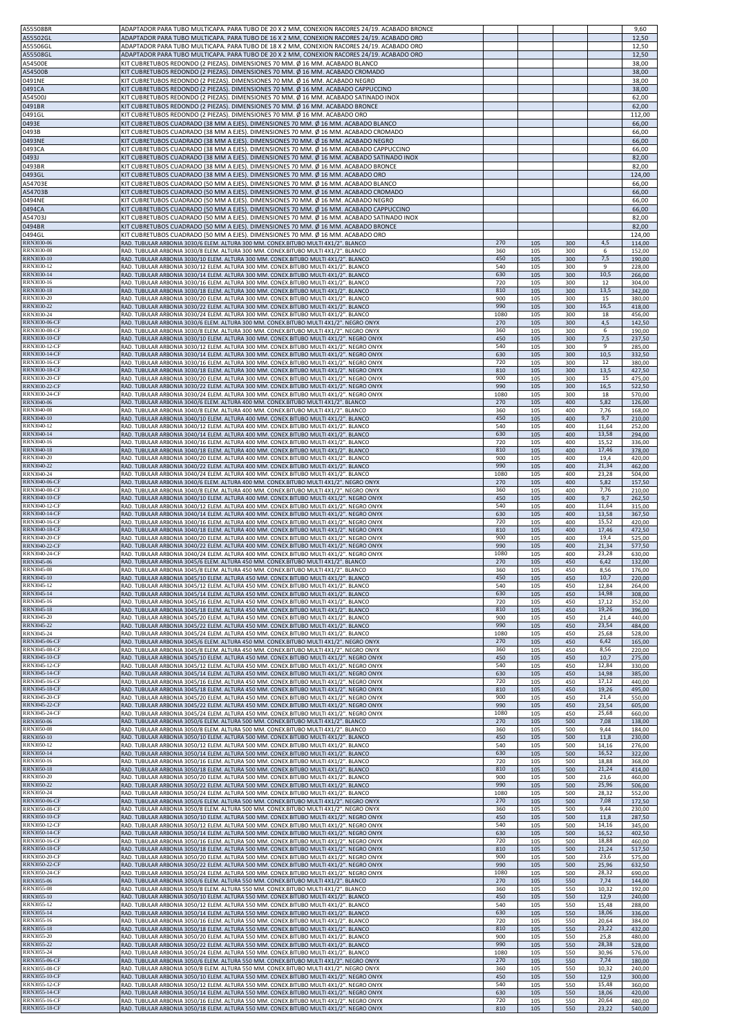| A55508BR<br>A55502GL                                          | ADAPTADOR PARA TUBO MULTICAPA. PARA TUBO DE 20 X 2 MM, CONEXION RACORES 24/19. ACABADO BRONCE<br>ADAPTADOR PARA TUBO MULTICAPA. PARA TUBO DE 16 X 2 MM, CONEXION RACORES 24/19. ACABADO ORO                                                                         |                   |            |            |                        | 9,60<br>12,50              |
|---------------------------------------------------------------|---------------------------------------------------------------------------------------------------------------------------------------------------------------------------------------------------------------------------------------------------------------------|-------------------|------------|------------|------------------------|----------------------------|
| A55506GL                                                      | ADAPTADOR PARA TUBO MULTICAPA. PARA TUBO DE 18 X 2 MM, CONEXION RACORES 24/19. ACABADO ORO                                                                                                                                                                          |                   |            |            |                        | 12,50                      |
| A55508GL<br>A54500E                                           | ADAPTADOR PARA TUBO MULTICAPA. PARA TUBO DE 20 X 2 MM, CONEXION RACORES 24/19. ACABADO ORO<br>KIT CUBRETUBOS REDONDO (2 PIEZAS). DIMENSIONES 70 MM. Ø 16 MM. ACABADO BLANCO                                                                                         |                   |            |            |                        | 12,50<br>38,00             |
| A54500B<br>0491NE                                             | KIT CUBRETUBOS REDONDO (2 PIEZAS). DIMENSIONES 70 MM. Ø 16 MM. ACABADO CROMADO<br>KIT CUBRETUBOS REDONDO (2 PIEZAS). DIMENSIONES 70 MM. Ø 16 MM. ACABADO NEGRO                                                                                                      |                   |            |            |                        | 38,00<br>38,00             |
| 0491CA<br>A54500J                                             | KIT CUBRETUBOS REDONDO (2 PIEZAS). DIMENSIONES 70 MM. Ø 16 MM. ACABADO CAPPUCCINO<br>KIT CUBRETUBOS REDONDO (2 PIEZAS). DIMENSIONES 70 MM. Ø 16 MM. ACABADO SATINADO INOX                                                                                           |                   |            |            |                        | 38,00<br>62,00             |
| 0491BR                                                        | KIT CUBRETUBOS REDONDO (2 PIEZAS). DIMENSIONES 70 MM. Ø 16 MM. ACABADO BRONCE                                                                                                                                                                                       |                   |            |            |                        | 62,00                      |
| 0491GL<br>0493E                                               | KIT CUBRETUBOS REDONDO (2 PIEZAS). DIMENSIONES 70 MM. Ø 16 MM. ACABADO ORO<br>KIT CUBRETUBOS CUADRADO (38 MM A EJES). DIMENSIONES 70 MM. Ø 16 MM. ACABADO BLANCO                                                                                                    |                   |            |            |                        | 112,00<br>66,00            |
| 0493B<br>0493NE                                               | KIT CUBRETUBOS CUADRADO (38 MM A EJES). DIMENSIONES 70 MM. Ø 16 MM. ACABADO CROMADO<br>KIT CUBRETUBOS CUADRADO (38 MM A EJES). DIMENSIONES 70 MM. Ø 16 MM. ACABADO NEGRO                                                                                            |                   |            |            |                        | 66,00<br>66,00             |
| 0493CA<br>0493J                                               | KIT CUBRETUBOS CUADRADO (38 MM A EJES). DIMENSIONES 70 MM, Ø 16 MM, ACABADO CAPPUCCINO<br>KIT CUBRETUBOS CUADRADO (38 MM A EJES). DIMENSIONES 70 MM. Ø 16 MM. ACABADO SATINADO INOX                                                                                 |                   |            |            |                        | 66,00<br>82,00             |
| 0493BR<br>0493GL                                              | KIT CUBRETUBOS CUADRADO (38 MM A EJES). DIMENSIONES 70 MM. Ø 16 MM. ACABADO BRONCE<br>KIT CUBRETUBOS CUADRADO (38 MM A EJES). DIMENSIONES 70 MM. Ø 16 MM. ACABADO ORO                                                                                               |                   |            |            |                        | 82,00<br>124,00            |
| A54703E<br>A54703B                                            | KIT CUBRETUBOS CUADRADO (50 MM A EJES). DIMENSIONES 70 MM. Ø 16 MM. ACABADO BLANCO<br>KIT CUBRETUBOS CUADRADO (50 MM A EJES). DIMENSIONES 70 MM. Ø 16 MM. ACABADO CROMADO                                                                                           |                   |            |            |                        | 66,00<br>66,00             |
| 0494NE<br>0494CA                                              | KIT CUBRETUBOS CUADRADO (50 MM A EJES). DIMENSIONES 70 MM. Ø 16 MM. ACABADO NEGRO                                                                                                                                                                                   |                   |            |            |                        | 66,00                      |
| A54703J                                                       | KIT CUBRETUBOS CUADRADO (50 MM A EJES). DIMENSIONES 70 MM. Ø 16 MM. ACABADO CAPPUCCINO<br>KIT CUBRETUBOS CUADRADO (50 MM A EJES). DIMENSIONES 70 MM. Ø 16 MM. ACABADO SATINADO INOX                                                                                 |                   |            |            |                        | 66,00<br>82,00             |
| 0494BR<br>0494GL                                              | KIT CUBRETUBOS CUADRADO (50 MM A EJES). DIMENSIONES 70 MM. Ø 16 MM. ACABADO BRONCE<br>KIT CUBRETUBOS CUADRADO (50 MM A EJES). DIMENSIONES 70 MM. Ø 16 MM. ACABADO ORO                                                                                               |                   |            |            |                        | 82,00<br>124,00            |
| RRN3030-06                                                    | RAD. TUBULAR ARBONIA 3030/6 ELEM. ALTURA 300 MM. CONEX.BITUBO MULTI 4X1/2". BLANCO                                                                                                                                                                                  | 270               | 105        | 300        | 4,5                    | 114,00                     |
| <b>RRN3030-08</b>                                             | RAD. TUBULAR ARBONIA 3030/8 ELEM. ALTURA 300 MM. CONEX.BITUBO MULTI 4X1/2". BLANCO                                                                                                                                                                                  | 360               | 105        | 300        | 6                      | 152,00                     |
| <b>RRN3030-10</b>                                             | RAD. TUBULAR ARBONIA 3030/10 ELEM. ALTURA 300 MM. CONEX.BITUBO MULTI 4X1/2". BLANCO                                                                                                                                                                                 | 450               | 105        | 300        | 7,5                    | 190,00                     |
| RRN3030-12                                                    | RAD. TUBULAR ARBONIA 3030/12 ELEM. ALTURA 300 MM. CONEX.BITUBO MULTI 4X1/2". BLANCO                                                                                                                                                                                 | 540               | 105        | 300        | 9                      | 228,00                     |
| <b>RRN3030-14</b>                                             | RAD. TUBULAR ARBONIA 3030/14 ELEM. ALTURA 300 MM. CONEX.BITUBO MULTI 4X1/2". BLANCO                                                                                                                                                                                 | 630               | 105        | 300        | 10,5                   | 266,00                     |
| RRN3030-16                                                    | RAD. TUBULAR ARBONIA 3030/16 ELEM. ALTURA 300 MM. CONEX.BITUBO MULTI 4X1/2". BLANCO                                                                                                                                                                                 | 720               | 105        | 300        | 12                     | 304,00                     |
| RRN3030-18                                                    | RAD. TUBULAR ARBONIA 3030/18 ELEM. ALTURA 300 MM. CONEX.BITUBO MULTI 4X1/2". BLANCO                                                                                                                                                                                 | 810               | 105        | 300        | 13,5                   | 342,00                     |
| RRN3030-20                                                    | RAD. TUBULAR ARBONIA 3030/20 ELEM. ALTURA 300 MM. CONEX.BITUBO MULTI 4X1/2". BLANCO                                                                                                                                                                                 | 900               | 105        | 300        | 15                     | 380,00                     |
| RRN3030-22                                                    | RAD. TUBULAR ARBONIA 3030/22 ELEM. ALTURA 300 MM. CONEX.BITUBO MULTI 4X1/2". BLANCO                                                                                                                                                                                 | 990               | 105        | 300        | 16,5                   | 418,00                     |
| RRN3030-24                                                    | RAD. TUBULAR ARBONIA 3030/24 ELEM. ALTURA 300 MM. CONEX.BITUBO MULTI 4X1/2". BLANCO                                                                                                                                                                                 | 1080              | 105        | 300        | 18                     | 456,00                     |
| RRN3030-06-CF                                                 | RAD. TUBULAR ARBONIA 3030/6 ELEM. ALTURA 300 MM. CONEX.BITUBO MULTI 4X1/2". NEGRO ONYX                                                                                                                                                                              | 270               | 105        | 300        | 4,5                    | 142,50                     |
| <b>RRN3030-08-CF</b>                                          | RAD. TUBULAR ARBONIA 3030/8 ELEM. ALTURA 300 MM. CONEX.BITUBO MULTI 4X1/2". NEGRO ONYX                                                                                                                                                                              | 360               | 105        | 300        | 6                      | 190,00                     |
| RRN3030-10-CF                                                 | RAD. TUBULAR ARBONIA 3030/10 ELEM. ALTURA 300 MM. CONEX.BITUBO MULTI 4X1/2". NEGRO ONYX                                                                                                                                                                             | 450               | 105        | 300        | 7,5                    | 237,50                     |
| <b>RRN3030-12-CF</b>                                          | RAD. TUBULAR ARBONIA 3030/12 ELEM. ALTURA 300 MM. CONEX.BITUBO MULTI 4X1/2". NEGRO ONYX                                                                                                                                                                             | 540               | 105        | 300        | 9                      | 285,00                     |
| <b>RRN3030-14-CF</b>                                          | RAD. TUBULAR ARBONIA 3030/14 ELEM. ALTURA 300 MM. CONEX.BITUBO MULTI 4X1/2". NEGRO ONYX                                                                                                                                                                             | 630               | 105        | 300        | 10,5                   | 332,50                     |
| RRN3030-16-CF                                                 | RAD. TUBULAR ARBONIA 3030/16 ELEM. ALTURA 300 MM. CONEX.BITUBO MULTI 4X1/2". NEGRO ONYX                                                                                                                                                                             | 720               | 105        | 300        | 12                     | 380,00                     |
| <b>RRN3030-18-CF</b>                                          | RAD. TUBULAR ARBONIA 3030/18 ELEM. ALTURA 300 MM. CONEX.BITUBO MULTI 4X1/2". NEGRO ONYX                                                                                                                                                                             | 810               | 105        | 300        | 13,5                   | 427,50                     |
| RRN3030-20-CF                                                 | RAD. TUBULAR ARBONIA 3030/20 ELEM. ALTURA 300 MM. CONEX.BITUBO MULTI 4X1/2". NEGRO ONYX                                                                                                                                                                             | 900               | 105        | 300        | 15                     | 475,00                     |
| RRN3030-22-CF                                                 | RAD. TUBULAR ARBONIA 3030/22 ELEM. ALTURA 300 MM. CONEX.BITUBO MULTI 4X1/2". NEGRO ONYX                                                                                                                                                                             | 990               | 105        | 300        | 16,5                   | 522,50                     |
| RRN3030-24-CF                                                 | RAD. TUBULAR ARBONIA 3030/24 ELEM. ALTURA 300 MM. CONEX.BITUBO MULTI 4X1/2". NEGRO ONYX                                                                                                                                                                             | 1080              | 105        | 300        | 18                     | 570,00                     |
| RRN3040-06                                                    | RAD. TUBULAR ARBONIA 3040/6 ELEM. ALTURA 400 MM. CONEX.BITUBO MULTI 4X1/2". BLANCO                                                                                                                                                                                  | 270               | 105        | 400        | 5,82                   | 126,00                     |
| <b>RRN3040-08</b>                                             | RAD. TUBULAR ARBONIA 3040/8 ELEM. ALTURA 400 MM. CONEX.BITUBO MULTI 4X1/2". BLANCO                                                                                                                                                                                  | 360               | 105        | 400        | 7,76                   | 168,00                     |
| RRN3040-10                                                    | RAD. TUBULAR ARBONIA 3040/10 ELEM. ALTURA 400 MM. CONEX.BITUBO MULTI 4X1/2". BLANCO                                                                                                                                                                                 | 450               | 105        | 400        | 9,7                    | 210,00                     |
| RRN3040-12                                                    | RAD. TUBULAR ARBONIA 3040/12 ELEM. ALTURA 400 MM. CONEX.BITUBO MULTI 4X1/2". BLANCO                                                                                                                                                                                 | 540               | 105        | 400        | 11,64                  | 252,00                     |
| RRN3040-14                                                    | RAD. TUBULAR ARBONIA 3040/14 ELEM. ALTURA 400 MM. CONEX.BITUBO MULTI 4X1/2". BLANCO                                                                                                                                                                                 | 630               | 105        | 400        | 13,58                  | 294,00                     |
| RRN3040-16                                                    | RAD. TUBULAR ARBONIA 3040/16 ELEM. ALTURA 400 MM. CONEX.BITUBO MULTI 4X1/2". BLANCO                                                                                                                                                                                 | 720               | 105        | 400        | 15,52                  | 336,00                     |
| RRN3040-18                                                    | RAD. TUBULAR ARBONIA 3040/18 ELEM. ALTURA 400 MM. CONEX.BITUBO MULTI 4X1/2". BLANCO                                                                                                                                                                                 | 810               | 105        | 400        | 17,46                  | 378,00                     |
| <b>RRN3040-20</b>                                             | RAD. TUBULAR ARBONIA 3040/20 ELEM. ALTURA 400 MM. CONEX.BITUBO MULTI 4X1/2". BLANCO                                                                                                                                                                                 | 900               | 105        | 400        | 19,4                   | 420,00                     |
| RRN3040-22                                                    | RAD. TUBULAR ARBONIA 3040/22 ELEM. ALTURA 400 MM. CONEX.BITUBO MULTI 4X1/2". BLANCO                                                                                                                                                                                 | 990               | 105        | 400        | 21,34                  | 462,00                     |
| RRN3040-24                                                    | RAD. TUBULAR ARBONIA 3040/24 ELEM. ALTURA 400 MM. CONEX.BITUBO MULTI 4X1/2". BLANCO                                                                                                                                                                                 | 1080              | 105        | 400        | 23,28                  | 504,00                     |
| RRN3040-06-CF                                                 | RAD. TUBULAR ARBONIA 3040/6 ELEM. ALTURA 400 MM. CONEX.BITUBO MULTI 4X1/2". NEGRO ONYX                                                                                                                                                                              | 270               | 105        | 400        | 5,82                   | 157,50                     |
| RRN3040-08-CF                                                 | RAD. TUBULAR ARBONIA 3040/8 ELEM. ALTURA 400 MM. CONEX.BITUBO MULTI 4X1/2". NEGRO ONYX                                                                                                                                                                              | 360               | 105        | 400        | 7,76                   | 210,00                     |
| <b>RRN3040-10-CF</b>                                          | RAD. TUBULAR ARBONIA 3040/10 ELEM. ALTURA 400 MM. CONEX.BITUBO MULTI 4X1/2". NEGRO ONYX                                                                                                                                                                             | 450               | 105        | 400        | 9,7                    | 262,50                     |
| RRN3040-12-CF                                                 | RAD. TUBULAR ARBONIA 3040/12 ELEM. ALTURA 400 MM. CONEX.BITUBO MULTI 4X1/2". NEGRO ONYX                                                                                                                                                                             | 540               | 105        | 400        | 11,64                  | 315,00                     |
| RRN3040-14-CF                                                 | RAD. TUBULAR ARBONIA 3040/14 ELEM. ALTURA 400 MM. CONEX.BITUBO MULTI 4X1/2". NEGRO ONYX                                                                                                                                                                             | 630               | 105        | 400        | 13,58                  | 367,50                     |
| RRN3040-16-CF                                                 | RAD. TUBULAR ARBONIA 3040/16 ELEM. ALTURA 400 MM. CONEX.BITUBO MULTI 4X1/2". NEGRO ONYX                                                                                                                                                                             | 720               | 105        | 400        | 15,52                  | 420,00                     |
| <b>RRN3040-18-CF</b>                                          | RAD. TUBULAR ARBONIA 3040/18 ELEM. ALTURA 400 MM. CONEX.BITUBO MULTI 4X1/2". NEGRO ONYX                                                                                                                                                                             | 810               | 105        | 400        | 17,46                  | 472,50                     |
| RRN3040-20-CF                                                 | RAD. TUBULAR ARBONIA 3040/20 ELEM. ALTURA 400 MM. CONEX.BITUBO MULTI 4X1/2". NEGRO ONYX                                                                                                                                                                             | 900               | 105        | 400        | 19,4                   | 525,00                     |
| RRN3040-22-CF                                                 | RAD. TUBULAR ARBONIA 3040/22 ELEM. ALTURA 400 MM. CONEX.BITUBO MULTI 4X1/2". NEGRO ONYX                                                                                                                                                                             | 990               | 105        | 400        | 21,34                  | 577,50                     |
| RRN3040-24-CF                                                 | RAD. TUBULAR ARBONIA 3040/24 ELEM. ALTURA 400 MM. CONEX.BITUBO MULTI 4X1/2". NEGRO ONYX                                                                                                                                                                             | 1080              | 105        | 400        | 23,28                  | 630,00                     |
| RRN3045-06                                                    | RAD. TUBULAR ARBONIA 3045/6 ELEM. ALTURA 450 MM. CONEX.BITUBO MULTI 4X1/2". BLANCO                                                                                                                                                                                  | 270               | 105        | 450        | 6,42                   | 132,00                     |
| RRN3045-08                                                    | RAD. TUBULAR ARBONIA 3045/8 ELEM. ALTURA 450 MM. CONEX.BITUBO MULTI 4X1/2". BLANCO                                                                                                                                                                                  | 360               | 105        | 450        | 8,56                   | 176,00                     |
| RRN3045-10                                                    | RAD. TUBULAR ARBONIA 3045/10 ELEM. ALTURA 450 MM. CONEX.BITUBO MULTI 4X1/2". BLANCO                                                                                                                                                                                 | 450               | 105        | 450        | 10,7                   | 220,00                     |
| RRN3045-12                                                    | RAD. TUBULAR ARBONIA 3045/12 ELEM. ALTURA 450 MM. CONEX.BITUBO MULTI 4X1/2". BLANCO                                                                                                                                                                                 | 540               | 105        | 450        | 12,84                  | 264,00                     |
| RRN3045-14                                                    | RAD. TUBULAR ARBONIA 3045/14 ELEM. ALTURA 450 MM. CONEX.BITUBO MULTI 4X1/2". BLANCO                                                                                                                                                                                 | 630               | 105        | 450        | 14,98                  | 308,00                     |
| RRN3045-16                                                    | RAD. TUBULAR ARBONIA 3045/16 ELEM. ALTURA 450 MM. CONEX.BITUBO MULTI 4X1/2". BLANCO                                                                                                                                                                                 | 720               | 105        | 450        | 17,12                  | 352,00                     |
| RRN3045-18                                                    | RAD. TUBULAR ARBONIA 3045/18 ELEM. ALTURA 450 MM. CONEX.BITUBO MULTI 4X1/2". BLANCO                                                                                                                                                                                 | 810               | 105        | 450        | 19,26                  | 396,00                     |
| RRN3045-20                                                    | RAD. TUBULAR ARBONIA 3045/20 ELEM. ALTURA 450 MM. CONEX.BITUBO MULTI 4X1/2". BLANCO                                                                                                                                                                                 | 900               | 105        | 450        | 21,4                   | 440,00                     |
| RRN3045-22                                                    | RAD. TUBULAR ARBONIA 3045/22 ELEM. ALTURA 450 MM. CONEX.BITUBO MULTI 4X1/2". BLANCO                                                                                                                                                                                 | 990               | 105        | 450        | 23,54                  | 484,00                     |
| RRN3045-24                                                    | RAD. TUBULAR ARBONIA 3045/24 ELEM. ALTURA 450 MM. CONEX.BITUBO MULTI 4X1/2". BLANCO                                                                                                                                                                                 | 1080              | 105        | 450        | 25,68                  |                            |
| RRN3045-06-CF<br>RRN3045-08-CF                                | RAD. TUBULAR ARBONIA 3045/6 ELEM. ALTURA 450 MM. CONEX.BITUBO MULTI 4X1/2". NEGRO ONYX<br>RAD. TUBULAR ARBONIA 3045/8 ELEM. ALTURA 450 MM. CONEX.BITUBO MULTI 4X1/2". NEGRO ONYX                                                                                    | 270<br>360        | 105<br>105 | 450<br>450 | 6,42<br>8,56           | 528,00<br>165,00<br>220,00 |
| RRN3045-10-CF                                                 | RAD. TUBULAR ARBONIA 3045/10 ELEM. ALTURA 450 MM. CONEX.BITUBO MULTI 4X1/2". NEGRO ONYX                                                                                                                                                                             | 450               | 105        | 450        | 10,7                   | 275,00                     |
| RRN3045-12-CF                                                 | RAD, TUBULAR ARBONIA 3045/12 ELEM, ALTURA 450 MM, CONEX.BITUBO MULTI 4X1/2", NEGRO ONYX                                                                                                                                                                             | 540               | 105        | 450        | 12,84                  | 330,00                     |
| <b>RRN3045-14-CF</b><br>RRN3045-16-CF                         | RAD. TUBULAR ARBONIA 3045/14 ELEM. ALTURA 450 MM. CONEX.BITUBO MULTI 4X1/2". NEGRO ONYX<br>RAD. TUBULAR ARBONIA 3045/16 ELEM. ALTURA 450 MM. CONEX.BITUBO MULTI 4X1/2". NEGRO ONYX                                                                                  | 630<br>720        | 105        | 450        | 14,98<br>17,12         | 385,00                     |
| <b>RRN3045-18-CF</b><br><b>RRN3045-20-CF</b>                  | RAD. TUBULAR ARBONIA 3045/18 ELEM. ALTURA 450 MM. CONEX.BITUBO MULTI 4X1/2". NEGRO ONYX                                                                                                                                                                             | 810               | 105<br>105 | 450<br>450 | 19,26                  | 440,00<br>495,00           |
| RRN3045-22-CF                                                 | RAD. TUBULAR ARBONIA 3045/20 ELEM. ALTURA 450 MM. CONEX.BITUBO MULTI 4X1/2". NEGRO ONYX                                                                                                                                                                             | 900               | 105        | 450        | 21,4                   | 550,00                     |
| <b>RRN3045-24-CF</b>                                          | RAD. TUBULAR ARBONIA 3045/22 ELEM. ALTURA 450 MM. CONEX.BITUBO MULTI 4X1/2". NEGRO ONYX                                                                                                                                                                             | 990               | 105        | 450        | 23,54                  | 605,00                     |
| RRN3050-06<br><b>RRN3050-08</b>                               | RAD. TUBULAR ARBONIA 3045/24 ELEM. ALTURA 450 MM. CONEX.BITUBO MULTI 4X1/2". NEGRO ONYX<br>RAD. TUBULAR ARBONIA 3050/6 ELEM. ALTURA 500 MM. CONEX.BITUBO MULTI 4X1/2". BLANCO<br>RAD. TUBULAR ARBONIA 3050/8 ELEM. ALTURA 500 MM. CONEX.BITUBO MULTI 4X1/2". BLANCO | 1080<br>270       | 105<br>105 | 450<br>500 | 25,68<br>7,08          | 660,00<br>138,00           |
| RRN3050-10<br>RRN3050-12                                      | RAD. TUBULAR ARBONIA 3050/10 ELEM. ALTURA 500 MM. CONEX.BITUBO MULTI 4X1/2". BLANCO                                                                                                                                                                                 | 360<br>450<br>540 | 105<br>105 | 500<br>500 | 9,44<br>11,8<br>14,16  | 184,00<br>230,00           |
| RRN3050-14<br>RRN3050-16                                      | RAD. TUBULAR ARBONIA 3050/12 ELEM. ALTURA 500 MM. CONEX.BITUBO MULTI 4X1/2". BLANCO<br>RAD. TUBULAR ARBONIA 3050/14 ELEM. ALTURA 500 MM. CONEX.BITUBO MULTI 4X1/2". BLANCO                                                                                          | 630               | 105<br>105 | 500<br>500 | 16,52                  | 276,00<br>322,00           |
| RRN3050-18<br><b>RRN3050-20</b>                               | RAD. TUBULAR ARBONIA 3050/16 ELEM. ALTURA 500 MM. CONEX.BITUBO MULTI 4X1/2". BLANCO<br>RAD. TUBULAR ARBONIA 3050/18 ELEM. ALTURA 500 MM. CONEX.BITUBO MULTI 4X1/2". BLANCO                                                                                          | 720<br>810<br>900 | 105<br>105 | 500<br>500 | 18,88<br>21,24<br>23,6 | 368,00<br>414,00           |
| RRN3050-22                                                    | RAD. TUBULAR ARBONIA 3050/20 ELEM. ALTURA 500 MM. CONEX.BITUBO MULTI 4X1/2". BLANCO                                                                                                                                                                                 | 990               | 105        | 500        | 25,96                  | 460,00                     |
| <b>RRN3050-24</b>                                             | RAD. TUBULAR ARBONIA 3050/22 ELEM. ALTURA 500 MM. CONEX.BITUBO MULTI 4X1/2". BLANCO                                                                                                                                                                                 | 1080              | 105        | 500        |                        | 506,00                     |
| <b>RRN3050-06-CF</b>                                          | RAD. TUBULAR ARBONIA 3050/24 ELEM. ALTURA 500 MM. CONEX.BITUBO MULTI 4X1/2". BLANCO                                                                                                                                                                                 | 270               | 105        | 500        | 28,32                  | 552,00                     |
| RRN3050-08-CF                                                 | RAD. TUBULAR ARBONIA 3050/6 ELEM. ALTURA 500 MM. CONEX.BITUBO MULTI 4X1/2". NEGRO ONYX                                                                                                                                                                              |                   | 105        | 500        | 7,08                   | 172,50                     |
| <b>RRN3050-10-CF</b>                                          | RAD. TUBULAR ARBONIA 3050/8 ELEM. ALTURA 500 MM. CONEX.BITUBO MULTI 4X1/2". NEGRO ONYX                                                                                                                                                                              | 360               | 105        | 500        | 9,44                   | 230,00                     |
|                                                               | RAD. TUBULAR ARBONIA 3050/10 ELEM. ALTURA 500 MM. CONEX.BITUBO MULTI 4X1/2". NEGRO ONYX                                                                                                                                                                             | 450               | 105        | 500        | 11,8                   | 287,50                     |
| <b>RRN3050-12-CF</b>                                          | RAD. TUBULAR ARBONIA 3050/12 ELEM. ALTURA 500 MM. CONEX.BITUBO MULTI 4X1/2". NEGRO ONYX                                                                                                                                                                             | 540               | 105        | 500        | 14,16                  | 345,00                     |
| RRN3050-14-CF                                                 | RAD. TUBULAR ARBONIA 3050/14 ELEM. ALTURA 500 MM. CONEX.BITUBO MULTI 4X1/2". NEGRO ONYX                                                                                                                                                                             | 630               | 105        | 500        | 16,52                  | 402,50                     |
| RRN3050-16-CF                                                 | RAD. TUBULAR ARBONIA 3050/16 ELEM. ALTURA 500 MM. CONEX.BITUBO MULTI 4X1/2". NEGRO ONYX                                                                                                                                                                             | 720               | 105        | 500        | 18,88                  | 460,00                     |
| <b>RRN3050-18-CF</b>                                          | RAD. TUBULAR ARBONIA 3050/18 ELEM. ALTURA 500 MM. CONEX.BITUBO MULTI 4X1/2". NEGRO ONYX                                                                                                                                                                             | 810               | 105        | 500        | 21,24                  | 517,50                     |
| RRN3050-20-CF<br><b>RRN3050-22-CF</b><br><b>RRN3050-24-CF</b> | RAD. TUBULAR ARBONIA 3050/20 ELEM. ALTURA 500 MM. CONEX.BITUBO MULTI 4X1/2". NEGRO ONYX<br>RAD. TUBULAR ARBONIA 3050/22 ELEM. ALTURA 500 MM. CONEX.BITUBO MULTI 4X1/2". NEGRO ONYX                                                                                  | 900<br>990        | 105<br>105 | 500<br>500 | 23,6<br>25,96          | 575,00<br>632,50           |
| RRN3055-06                                                    | RAD. TUBULAR ARBONIA 3050/24 ELEM. ALTURA 500 MM. CONEX.BITUBO MULTI 4X1/2". NEGRO ONYX                                                                                                                                                                             | 1080              | 105        | 500        | 28,32                  | 690,00                     |
|                                                               | RAD. TUBULAR ARBONIA 3050/6 ELEM. ALTURA 550 MM. CONEX.BITUBO MULTI 4X1/2". BLANCO                                                                                                                                                                                  | 270               | 105        | 550        | 7,74                   | 144,00                     |
| <b>RRN3055-08</b>                                             | RAD. TUBULAR ARBONIA 3050/8 ELEM. ALTURA 550 MM. CONEX.BITUBO MULTI 4X1/2". BLANCO                                                                                                                                                                                  | 360               | 105        | 550        | 10,32                  | 192,00                     |
| RRN3055-10                                                    | RAD. TUBULAR ARBONIA 3050/10 ELEM. ALTURA 550 MM. CONEX.BITUBO MULTI 4X1/2". BLANCO                                                                                                                                                                                 | 450               | 105        | 550        | 12,9                   | 240,00                     |
| RRN3055-12                                                    | RAD. TUBULAR ARBONIA 3050/12 ELEM. ALTURA 550 MM. CONEX.BITUBO MULTI 4X1/2". BLANCO                                                                                                                                                                                 | 540               | 105        | 550        | 15,48                  | 288,00                     |
| RRN3055-14                                                    | RAD. TUBULAR ARBONIA 3050/14 ELEM. ALTURA 550 MM. CONEX.BITUBO MULTI 4X1/2". BLANCO                                                                                                                                                                                 | 630               | 105        | 550        | 18,06                  | 336,00                     |
| RRN3055-16                                                    | RAD. TUBULAR ARBONIA 3050/16 ELEM. ALTURA 550 MM. CONEX.BITUBO MULTI 4X1/2". BLANCO                                                                                                                                                                                 | 720               | 105        | 550        | 20,64                  | 384,00                     |
| RRN3055-18                                                    | RAD. TUBULAR ARBONIA 3050/18 ELEM. ALTURA 550 MM. CONEX.BITUBO MULTI 4X1/2". BLANCO                                                                                                                                                                                 | 810               | 105        | 550        | 23,22                  | 432,00                     |
| RRN3055-20                                                    | RAD. TUBULAR ARBONIA 3050/20 ELEM. ALTURA 550 MM. CONEX.BITUBO MULTI 4X1/2". BLANCO                                                                                                                                                                                 | 900               | 105        | 550        | 25,8                   | 480,00                     |
| RRN3055-22                                                    | RAD. TUBULAR ARBONIA 3050/22 ELEM. ALTURA 550 MM. CONEX.BITUBO MULTI 4X1/2". BLANCO                                                                                                                                                                                 | 990               | 105        | 550        | 28,38                  | 528,00                     |
| RRN3055-24                                                    | RAD. TUBULAR ARBONIA 3050/24 ELEM. ALTURA 550 MM. CONEX.BITUBO MULTI 4X1/2". BLANCO                                                                                                                                                                                 | 1080              | 105        | 550        | 30,96                  | 576,00                     |
| RRN3055-06-CF                                                 | RAD. TUBULAR ARBONIA 3050/6 ELEM. ALTURA 550 MM. CONEX.BITUBO MULTI 4X1/2". NEGRO ONYX                                                                                                                                                                              | 270               | 105        | 550        | 7,74                   | 180,00                     |
| RRN3055-08-CF                                                 | RAD. TUBULAR ARBONIA 3050/8 ELEM. ALTURA 550 MM. CONEX.BITUBO MULTI 4X1/2". NEGRO ONYX                                                                                                                                                                              | 360               | 105        | 550        | 10,32                  | 240,00                     |
| <b>RRN3055-10-CF</b>                                          | RAD. TUBULAR ARBONIA 3050/10 ELEM. ALTURA 550 MM. CONEX.BITUBO MULTI 4X1/2". NEGRO ONYX                                                                                                                                                                             | 450               | 105        | 550        | 12,9                   | 300,00                     |
| RRN3055-12-CF                                                 | RAD. TUBULAR ARBONIA 3050/12 ELEM. ALTURA 550 MM. CONEX.BITUBO MULTI 4X1/2". NEGRO ONYX                                                                                                                                                                             | 540               | 105        | 550        | 15,48                  | 360,00                     |
| <b>RRN3055-14-CF</b>                                          | RAD. TUBULAR ARBONIA 3050/14 ELEM. ALTURA 550 MM. CONEX.BITUBO MULTI 4X1/2". NEGRO ONYX                                                                                                                                                                             | 630               | 105        | 550        | 18,06                  | 420,00                     |
| RRN3055-16-CF                                                 | RAD. TUBULAR ARBONIA 3050/16 ELEM. ALTURA 550 MM. CONEX.BITUBO MULTI 4X1/2". NEGRO ONYX                                                                                                                                                                             | 720               | 105        | 550        | 20,64                  | 480,00                     |
| RRN3055-18-CF                                                 | RAD. TUBULAR ARBONIA 3050/18 ELEM. ALTURA 550 MM. CONEX.BITUBO MULTI 4X1/2". NEGRO ONYX                                                                                                                                                                             | 810               | 105        | 550        | 23,22                  | 540,00                     |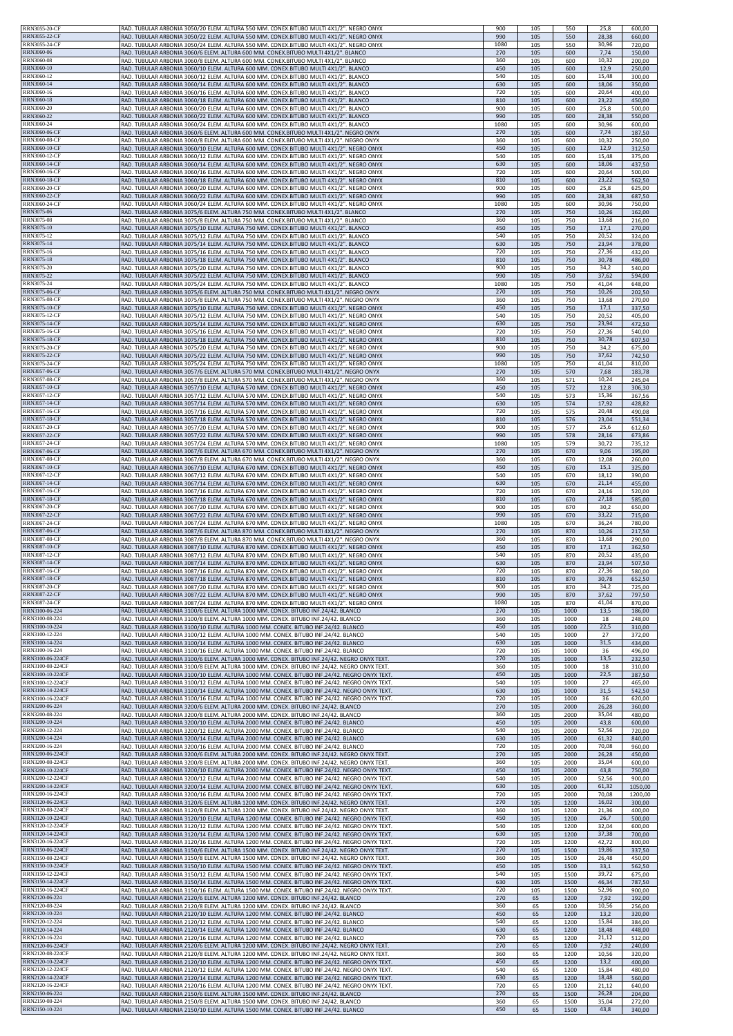| RRN3055-20-CF<br>RRN3055-22-CF               | RAD. TUBULAR ARBONIA 3050/20 ELEM. ALTURA 550 MM. CONEX.BITUBO MULTI 4X1/2". NEGRO ONYX<br>RAD. TUBULAR ARBONIA 3050/22 ELEM. ALTURA 550 MM. CONEX.BITUBO MULTI 4X1/2". NEGRO ONYX          | 900<br>990  | 105<br>105 | 550<br>550   | 25,8<br>28,38  | 600,00<br>660,00   |
|----------------------------------------------|---------------------------------------------------------------------------------------------------------------------------------------------------------------------------------------------|-------------|------------|--------------|----------------|--------------------|
| RRN3055-24-CF                                | RAD. TUBULAR ARBONIA 3050/24 ELEM. ALTURA 550 MM. CONEX.BITUBO MULTI 4X1/2". NEGRO ONYX                                                                                                     | 1080        | 105        | 550          | 30,96          | 720,00             |
| <b>RRN3060-06</b>                            | RAD. TUBULAR ARBONIA 3060/6 ELEM. ALTURA 600 MM. CONEX.BITUBO MULTI 4X1/2". BLANCO                                                                                                          | 270         | 105        | 600          | 7,74           | 150,00             |
| <b>RRN3060-08</b><br>RRN3060-10              | RAD. TUBULAR ARBONIA 3060/8 ELEM. ALTURA 600 MM. CONEX.BITUBO MULTI 4X1/2". BLANCO<br>RAD. TUBULAR ARBONIA 3060/10 ELEM. ALTURA 600 MM. CONEX.BITUBO MULTI 4X1/2". BLANCO                   | 360<br>450  | 105<br>105 | 600<br>600   | 10,32<br>12,9  | 200,00<br>250,00   |
| RRN3060-12                                   | RAD. TUBULAR ARBONIA 3060/12 ELEM. ALTURA 600 MM. CONEX.BITUBO MULTI 4X1/2". BLANCO                                                                                                         | 540         | 105        | 600          | 15,48          | 300,00             |
| RRN3060-14                                   | RAD. TUBULAR ARBONIA 3060/14 ELEM. ALTURA 600 MM. CONEX.BITUBO MULTI 4X1/2". BLANCO                                                                                                         | 630         | 105        | 600          | 18,06          | 350,00             |
| RRN3060-16<br><b>RRN3060-18</b>              | RAD. TUBULAR ARBONIA 3060/16 ELEM. ALTURA 600 MM. CONEX.BITUBO MULTI 4X1/2". BLANCO<br>RAD. TUBULAR ARBONIA 3060/18 ELEM. ALTURA 600 MM. CONEX.BITUBO MULTI 4X1/2". BLANCO                  | 720<br>810  | 105<br>105 | 600<br>600   | 20,64<br>23,22 | 400,00<br>450,00   |
| RRN3060-20                                   | RAD. TUBULAR ARBONIA 3060/20 ELEM. ALTURA 600 MM. CONEX.BITUBO MULTI 4X1/2". BLANCO                                                                                                         | 900         | 105        | 600          | 25,8           | 500,00             |
| RRN3060-22                                   | RAD. TUBULAR ARBONIA 3060/22 ELEM. ALTURA 600 MM. CONEX.BITUBO MULTI 4X1/2". BLANCO                                                                                                         | 990         | 105        | 600          | 28,38          | 550,00             |
| RRN3060-24<br>RRN3060-06-CF                  | RAD. TUBULAR ARBONIA 3060/24 ELEM. ALTURA 600 MM. CONEX.BITUBO MULTI 4X1/2". BLANCO                                                                                                         | 1080<br>270 | 105        | 600          | 30,96          | 600,00             |
| RRN3060-08-CF                                | RAD. TUBULAR ARBONIA 3060/6 ELEM. ALTURA 600 MM. CONEX.BITUBO MULTI 4X1/2". NEGRO ONYX<br>RAD. TUBULAR ARBONIA 3060/8 ELEM. ALTURA 600 MM. CONEX.BITUBO MULTI 4X1/2". NEGRO ONYX            | 360         | 105<br>105 | 600<br>600   | 7,74<br>10,32  | 187,50<br>250,00   |
| RRN3060-10-CF                                | RAD, TUBULAR ARBONIA 3060/10 ELEM, ALTURA 600 MM, CONEX.BITUBO MULTI 4X1/2", NEGRO ONYX                                                                                                     | 450         | 105        | 600          | 12,9           | 312,50             |
| RRN3060-12-CF                                | RAD. TUBULAR ARBONIA 3060/12 ELEM. ALTURA 600 MM. CONEX.BITUBO MULTI 4X1/2". NEGRO ONYX                                                                                                     | 540         | 105        | 600          | 15,48          | 375,00             |
| <b>RRN3060-14-CF</b><br>RRN3060-16-CF        | RAD. TUBULAR ARBONIA 3060/14 ELEM. ALTURA 600 MM. CONEX.BITUBO MULTI 4X1/2". NEGRO ONYX<br>RAD, TUBULAR ARBONIA 3060/16 ELEM, ALTURA 600 MM, CONEX.BITUBO MULTI 4X1/2", NEGRO ONYX          | 630<br>720  | 105<br>105 | 600<br>600   | 18,06<br>20,64 | 437,50<br>500,00   |
| <b>RRN3060-18-CF</b>                         | RAD. TUBULAR ARBONIA 3060/18 ELEM. ALTURA 600 MM. CONEX.BITUBO MULTI 4X1/2". NEGRO ONYX                                                                                                     | 810         | 105        | 600          | 23,22          | 562,50             |
| RRN3060-20-CF                                | RAD. TUBULAR ARBONIA 3060/20 ELEM. ALTURA 600 MM. CONEX.BITUBO MULTI 4X1/2". NEGRO ONYX                                                                                                     | 900         | 105        | 600          | 25,8           | 625,00             |
| RRN3060-22-CF<br>RRN3060-24-CF               | RAD. TUBULAR ARBONIA 3060/22 ELEM. ALTURA 600 MM. CONEX.BITUBO MULTI 4X1/2". NEGRO ONYX<br>RAD. TUBULAR ARBONIA 3060/24 ELEM. ALTURA 600 MM. CONEX.BITUBO MULTI 4X1/2". NEGRO ONYX          | 990<br>1080 | 105<br>105 | 600<br>600   | 28,38<br>30,96 | 687,50<br>750,00   |
| RRN3075-06                                   | RAD. TUBULAR ARBONIA 3075/6 ELEM. ALTURA 750 MM. CONEX.BITUBO MULTI 4X1/2". BLANCO                                                                                                          | 270         | 105        | 750          | 10,26          | 162,00             |
| RRN3075-08                                   | RAD. TUBULAR ARBONIA 3075/8 ELEM. ALTURA 750 MM. CONEX.BITUBO MULTI 4X1/2". BLANCO                                                                                                          | 360         | 105        | 750          | 13,68          | 216,00             |
| RRN3075-10<br>RRN3075-12                     | RAD. TUBULAR ARBONIA 3075/10 ELEM. ALTURA 750 MM. CONEX.BITUBO MULTI 4X1/2". BLANCO<br>RAD. TUBULAR ARBONIA 3075/12 ELEM. ALTURA 750 MM. CONEX.BITUBO MULTI 4X1/2". BLANCO                  | 450<br>540  | 105<br>105 | 750<br>750   | 17,1<br>20,52  | 270,00<br>324,00   |
| RRN3075-14                                   | RAD. TUBULAR ARBONIA 3075/14 ELEM. ALTURA 750 MM. CONEX.BITUBO MULTI 4X1/2". BLANCO                                                                                                         | 630         | 105        | 750          | 23,94          | 378,00             |
| <b>RRN3075-16</b>                            | RAD. TUBULAR ARBONIA 3075/16 ELEM. ALTURA 750 MM. CONEX.BITUBO MULTI 4X1/2". BLANCO                                                                                                         | 720         | 105        | 750          | 27,36          | 432,00             |
| <b>RRN3075-18</b><br>RRN3075-20              | RAD. TUBULAR ARBONIA 3075/18 ELEM. ALTURA 750 MM. CONEX.BITUBO MULTI 4X1/2". BLANCO<br>RAD. TUBULAR ARBONIA 3075/20 ELEM. ALTURA 750 MM. CONEX.BITUBO MULTI 4X1/2". BLANCO                  | 810<br>900  | 105<br>105 | 750<br>750   | 30,78<br>34,2  | 486,00<br>540,00   |
| RRN3075-22                                   | RAD. TUBULAR ARBONIA 3075/22 ELEM. ALTURA 750 MM. CONEX.BITUBO MULTI 4X1/2". BLANCO                                                                                                         | 990         | 105        | 750          | 37,62          | 594,00             |
| RRN3075-24                                   | RAD. TUBULAR ARBONIA 3075/24 ELEM. ALTURA 750 MM. CONEX.BITUBO MULTI 4X1/2". BLANCO                                                                                                         | 1080        | 105        | 750          | 41,04          | 648,00             |
| <b>RRN3075-06-CF</b><br><b>RRN3075-08-CF</b> | RAD. TUBULAR ARBONIA 3075/6 ELEM. ALTURA 750 MM. CONEX.BITUBO MULTI 4X1/2". NEGRO ONYX<br>RAD. TUBULAR ARBONIA 3075/8 ELEM. ALTURA 750 MM. CONEX.BITUBO MULTI 4X1/2". NEGRO ONYX            | 270<br>360  | 105<br>105 | 750<br>750   | 10,26<br>13,68 | 202,50<br>270,00   |
| RRN3075-10-CF                                | RAD. TUBULAR ARBONIA 3075/10 ELEM. ALTURA 750 MM. CONEX.BITUBO MULTI 4X1/2". NEGRO ONYX                                                                                                     | 450         | 105        | 750          | 17,1           | 337,50             |
| RRN3075-12-CF                                | RAD. TUBULAR ARBONIA 3075/12 ELEM. ALTURA 750 MM. CONEX.BITUBO MULTI 4X1/2". NEGRO ONYX                                                                                                     | 540         | 105        | 750          | 20,52          | 405,00             |
| <b>RRN3075-14-CF</b><br>RRN3075-16-CF        | RAD. TUBULAR ARBONIA 3075/14 ELEM. ALTURA 750 MM. CONEX.BITUBO MULTI 4X1/2". NEGRO ONYX<br>RAD. TUBULAR ARBONIA 3075/16 ELEM. ALTURA 750 MM. CONEX.BITUBO MULTI 4X1/2". NEGRO ONYX          | 630         | 105        | 750          | 23,94          | 472,50             |
| RRN3075-18-CF                                | RAD. TUBULAR ARBONIA 3075/18 ELEM. ALTURA 750 MM. CONEX.BITUBO MULTI 4X1/2". NEGRO ONYX                                                                                                     | 720<br>810  | 105<br>105 | 750<br>750   | 27,36<br>30,78 | 540,00<br>607,50   |
| RRN3075-20-CF                                | RAD. TUBULAR ARBONIA 3075/20 ELEM. ALTURA 750 MM. CONEX.BITUBO MULTI 4X1/2". NEGRO ONYX                                                                                                     | 900         | 105        | 750          | 34,2           | 675,00             |
| RRN3075-22-CF<br>RRN3075-24-CF               | RAD. TUBULAR ARBONIA 3075/22 ELEM. ALTURA 750 MM. CONEX.BITUBO MULTI 4X1/2". NEGRO ONYX                                                                                                     | 990         | 105        | 750          | 37,62          | 742,50             |
| <b>RRN3057-06-CF</b>                         | RAD. TUBULAR ARBONIA 3075/24 ELEM. ALTURA 750 MM. CONEX.BITUBO MULTI 4X1/2". NEGRO ONYX<br>RAD. TUBULAR ARBONIA 3057/6 ELEM. ALTURA 570 MM. CONEX.BITUBO MULTI 4X1/2". NEGRO ONYX           | 1080<br>270 | 105<br>105 | 750<br>570   | 41,04<br>7,68  | 810,00<br>183,78   |
| RRN3057-08-CF                                | RAD. TUBULAR ARBONIA 3057/8 ELEM. ALTURA 570 MM. CONEX.BITUBO MULTI 4X1/2". NEGRO ONYX                                                                                                      | 360         | 105        | 571          | 10,24          | 245,04             |
| RRN3057-10-CF                                | RAD. TUBULAR ARBONIA 3057/10 ELEM. ALTURA 570 MM. CONEX.BITUBO MULTI 4X1/2". NEGRO ONYX                                                                                                     | 450         | 105        | 572          | 12,8           | 306,30             |
| RRN3057-12-CF<br><b>RRN3057-14-CF</b>        | RAD. TUBULAR ARBONIA 3057/12 ELEM. ALTURA 570 MM. CONEX.BITUBO MULTI 4X1/2". NEGRO ONYX<br>RAD. TUBULAR ARBONIA 3057/14 ELEM. ALTURA 570 MM. CONEX.BITUBO MULTI 4X1/2". NEGRO ONYX          | 540<br>630  | 105<br>105 | 573<br>574   | 15,36<br>17,92 | 367,56<br>428,82   |
| RRN3057-16-CF                                | RAD. TUBULAR ARBONIA 3057/16 ELEM. ALTURA 570 MM. CONEX.BITUBO MULTI 4X1/2". NEGRO ONYX                                                                                                     | 720         | 105        | 575          | 20,48          | 490,08             |
| RRN3057-18-CF                                | RAD. TUBULAR ARBONIA 3057/18 ELEM. ALTURA 570 MM. CONEX.BITUBO MULTI 4X1/2". NEGRO ONYX                                                                                                     | 810         | 105        | 576          | 23,04          | 551,34             |
| RRN3057-20-CF<br>RRN3057-22-CF               | RAD. TUBULAR ARBONIA 3057/20 ELEM. ALTURA 570 MM. CONEX.BITUBO MULTI 4X1/2". NEGRO ONYX                                                                                                     | 900<br>990  | 105        | 577<br>578   | 25,6<br>28,16  | 612,60             |
| RRN3057-24-CF                                | RAD. TUBULAR ARBONIA 3057/22 ELEM. ALTURA 570 MM. CONEX.BITUBO MULTI 4X1/2". NEGRO ONYX<br>RAD. TUBULAR ARBONIA 3057/24 ELEM. ALTURA 570 MM. CONEX.BITUBO MULTI 4X1/2". NEGRO ONYX          | 1080        | 105<br>105 | 579          | 30,72          | 673,86<br>735,12   |
| RRN3067-06-CF                                | RAD. TUBULAR ARBONIA 3067/6 ELEM. ALTURA 670 MM. CONEX.BITUBO MULTI 4X1/2". NEGRO ONYX                                                                                                      | 270         | 105        | 670          | 9,06           | 195,00             |
| RRN3067-08-CF                                | RAD. TUBULAR ARBONIA 3067/8 ELEM. ALTURA 670 MM. CONEX.BITUBO MULTI 4X1/2". NEGRO ONYX                                                                                                      | 360         | 105        | 670          | 12,08          | 260,00             |
| RRN3067-10-CF<br>RRN3067-12-CF               | RAD. TUBULAR ARBONIA 3067/10 ELEM. ALTURA 670 MM. CONEX.BITUBO MULTI 4X1/2". NEGRO ONYX<br>RAD. TUBULAR ARBONIA 3067/12 ELEM. ALTURA 670 MM. CONEX.BITUBO MULTI 4X1/2". NEGRO ONYX          | 450<br>540  | 105<br>105 | 670<br>670   | 15,1<br>18,12  | 325,00<br>390,00   |
| RRN3067-14-CF                                | RAD. TUBULAR ARBONIA 3067/14 ELEM. ALTURA 670 MM. CONEX.BITUBO MULTI 4X1/2". NEGRO ONYX                                                                                                     | 630         | 105        | 670          | 21,14          | 455,00             |
| RRN3067-16-CF                                | RAD. TUBULAR ARBONIA 3067/16 ELEM. ALTURA 670 MM. CONEX.BITUBO MULTI 4X1/2". NEGRO ONYX                                                                                                     | 720         | 105        | 670          | 24,16          | 520,00             |
| <b>RRN3067-18-CF</b><br><b>RRN3067-20-CF</b> | RAD. TUBULAR ARBONIA 3067/18 ELEM. ALTURA 670 MM. CONEX.BITUBO MULTI 4X1/2". NEGRO ONYX<br>RAD. TUBULAR ARBONIA 3067/20 ELEM. ALTURA 670 MM. CONEX.BITUBO MULTI 4X1/2". NEGRO ONYX          | 810<br>900  | 105<br>105 | 670<br>670   | 27,18<br>30,2  | 585,00<br>650,00   |
| RRN3067-22-CF                                | RAD. TUBULAR ARBONIA 3067/22 ELEM. ALTURA 670 MM. CONEX.BITUBO MULTI 4X1/2". NEGRO ONYX                                                                                                     | 990         | 105        | 670          | 33,22          | 715,00             |
| <b>RRN3067-24-CF</b>                         | RAD. TUBULAR ARBONIA 3067/24 ELEM. ALTURA 670 MM. CONEX.BITUBO MULTI 4X1/2". NEGRO ONYX                                                                                                     | 1080        | 105        | 670          | 36,24          | 780,00             |
| RRN3087-06-CF<br>RRN3087-08-CF               | RAD. TUBULAR ARBONIA 3087/6 ELEM. ALTURA 870 MM. CONEX.BITUBO MULTI 4X1/2". NEGRO ONYX<br>RAD. TUBULAR ARBONIA 3087/8 ELEM. ALTURA 870 MM. CONEX.BITUBO MULTI 4X1/2". NEGRO ONYX            | 270<br>360  | 105<br>105 | 870<br>870   | 10,26<br>13,68 | 217,50<br>290,00   |
| RRN3087-10-CF                                | RAD. TUBULAR ARBONIA 3087/10 ELEM. ALTURA 870 MM. CONEX.BITUBO MULTI 4X1/2". NEGRO ONYX                                                                                                     | 450         | 105        | 870          | 17,1           | 362,50             |
| RRN3087-12-CF                                | RAD. TUBULAR ARBONIA 3087/12 ELEM. ALTURA 870 MM. CONEX.BITUBO MULTI 4X1/2". NEGRO ONYX                                                                                                     | 540         | 105        | 870          | 20,52          | 435,00             |
| <b>RRN3087-14-CF</b><br><b>RRN3087-16-CF</b> | RAD. TUBULAR ARBONIA 3087/14 ELEM. ALTURA 870 MM. CONEX.BITUBO MULTI 4X1/2". NEGRO ONYX<br>RAD TURULAR ARRONIA 3087/16 FLEM ALTURA 870 MM CONEX RITURO MULTI 4X1/2" NEGRO ONYX              | 630<br>720  | 105<br>105 | 870<br>870   | 23,94<br>27,36 | 507,50<br>580.00   |
| <b>RRN3087-18-CF</b>                         | RAD. TUBULAR ARBONIA 3087/18 ELEM. ALTURA 870 MM. CONEX.BITUBO MULTI 4X1/2". NEGRO ONYX                                                                                                     | 810         | 105        | 870          | 30,78          | 652,50             |
| <b>RRN3087-20-CF</b>                         | RAD. TUBULAR ARBONIA 3087/20 ELEM. ALTURA 870 MM. CONEX.BITUBO MULTI 4X1/2". NEGRO ONYX                                                                                                     | 900         | 105        | 870          | 34,2           | 725,00             |
| <b>RRN3087-22-CF</b><br><b>RRN3087-24-CF</b> | RAD. TUBULAR ARBONIA 3087/22 ELEM. ALTURA 870 MM. CONEX.BITUBO MULTI 4X1/2". NEGRO ONYX<br>RAD. TUBULAR ARBONIA 3087/24 ELEM. ALTURA 870 MM. CONEX.BITUBO MULTI 4X1/2". NEGRO ONYX          | 990<br>1080 | 105<br>105 | 870<br>870   | 37,62<br>41,04 | 797,50<br>870,00   |
| RRN3100-06-224                               | RAD. TUBULAR ARBONIA 3100/6 ELEM. ALTURA 1000 MM. CONEX. BITUBO INF.24/42. BLANCO                                                                                                           | 270         | 105        | 1000         | 13,5           | 186,00             |
| RRN3100-08-224                               | RAD. TUBULAR ARBONIA 3100/8 ELEM. ALTURA 1000 MM. CONEX. BITUBO INF.24/42. BLANCO                                                                                                           | 360         | 105        | 1000         | 18             | 248,00             |
| RRN3100-10-224<br>RRN3100-12-224             | RAD. TUBULAR ARBONIA 3100/10 ELEM. ALTURA 1000 MM. CONEX. BITUBO INF.24/42. BLANCO<br>RAD. TUBULAR ARBONIA 3100/12 ELEM. ALTURA 1000 MM. CONEX. BITUBO INF.24/42. BLANCO                    | 450<br>540  | 105<br>105 | 1000<br>1000 | 22,5<br>27     | 310,00<br>372,00   |
| RRN3100-14-224                               | RAD. TUBULAR ARBONIA 3100/14 ELEM. ALTURA 1000 MM. CONEX. BITUBO INF.24/42. BLANCO                                                                                                          | 630         | 105        | 1000         | 31,5           | 434,00             |
| RRN3100-16-224                               | RAD. TUBULAR ARBONIA 3100/16 ELEM. ALTURA 1000 MM. CONEX. BITUBO INF.24/42. BLANCO                                                                                                          | 720         | 105        | 1000         | 36             | 496,00             |
| RRN3100-06-224CF                             | RAD. TUBULAR ARBONIA 3100/6 ELEM. ALTURA 1000 MM. CONEX. BITUBO INF.24/42. NEGRO ONYX TEXT.                                                                                                 | 270         | 105        | 1000         | 13,5           | 232,50             |
| RRN3100-08-224CF<br>RRN3100-10-224CF         | RAD, TUBULAR ARBONIA 3100/8 ELEM, ALTURA 1000 MM, CONEX, BITUBO INF.24/42, NEGRO ONYX TEXT<br>RAD. TUBULAR ARBONIA 3100/10 ELEM. ALTURA 1000 MM. CONEX. BITUBO INF.24/42. NEGRO ONYX TEXT   | 360<br>450  | 105<br>105 | 1000<br>1000 | 18<br>22,5     | 310,00<br>387,50   |
| RRN3100-12-224CF                             | RAD. TUBULAR ARBONIA 3100/12 ELEM. ALTURA 1000 MM. CONEX. BITUBO INF.24/42. NEGRO ONYX TEXT                                                                                                 | 540         | 105        | 1000         | 27             | 465,00             |
| RRN3100-14-224CF<br>RRN3100-16-224CF         | RAD. TUBULAR ARBONIA 3100/14 ELEM. ALTURA 1000 MM. CONEX. BITUBO INF.24/42. NEGRO ONYX TEXT<br>RAD. TUBULAR ARBONIA 3100/16 ELEM. ALTURA 1000 MM. CONEX. BITUBO INF.24/42. NEGRO ONYX TEXT. | 630<br>720  | 105<br>105 | 1000<br>1000 | 31,5<br>36     | 542,50<br>620,00   |
| RRN3200-06-224                               | RAD. TUBULAR ARBONIA 3200/6 ELEM. ALTURA 2000 MM. CONEX. BITUBO INF.24/42. BLANCO                                                                                                           | 270         | 105        | 2000         | 26,28          | 360,00             |
| RRN3200-08-224                               | RAD. TUBULAR ARBONIA 3200/8 ELEM. ALTURA 2000 MM. CONEX. BITUBO INF.24/42. BLANCO                                                                                                           | 360         | 105        | 2000         | 35,04          | 480,00             |
| RRN3200-10-224<br>RRN3200-12-224             | RAD. TUBULAR ARBONIA 3200/10 ELEM. ALTURA 2000 MM. CONEX. BITUBO INF.24/42. BLANCO<br>RAD. TUBULAR ARBONIA 3200/12 ELEM. ALTURA 2000 MM. CONEX. BITUBO INF.24/42. BLANCO                    | 450<br>540  | 105<br>105 | 2000<br>2000 | 43,8<br>52,56  | 600,00<br>720,00   |
| RRN3200-14-224                               | RAD. TUBULAR ARBONIA 3200/14 ELEM. ALTURA 2000 MM. CONEX. BITUBO INF.24/42. BLANCO                                                                                                          | 630         | 105        | 2000         | 61,32          | 840,00             |
| RRN3200-16-224                               | RAD. TUBULAR ARBONIA 3200/16 ELEM. ALTURA 2000 MM. CONEX. BITUBO INF.24/42. BLANCO                                                                                                          | 720         | 105        | 2000         | 70,08          | 960,00             |
| RRN3200-06-224CF<br>RRN3200-08-224CF         | RAD. TUBULAR ARBONIA 3200/6 ELEM. ALTURA 2000 MM. CONEX. BITUBO INF.24/42. NEGRO ONYX TEXT.<br>RAD. TUBULAR ARBONIA 3200/8 ELEM. ALTURA 2000 MM. CONEX. BITUBO INF.24/42. NEGRO ONYX TEXT.  | 270<br>360  | 105<br>105 | 2000<br>2000 | 26,28<br>35,04 | 450,00<br>600,00   |
| RRN3200-10-224CF                             | RAD. TUBULAR ARBONIA 3200/10 ELEM. ALTURA 2000 MM. CONEX. BITUBO INF.24/42. NEGRO ONYX TEXT                                                                                                 | 450         | 105        | 2000         | 43,8           | 750,00             |
| RRN3200-12-224CF                             | RAD. TUBULAR ARBONIA 3200/12 ELEM. ALTURA 2000 MM. CONEX. BITUBO INF.24/42. NEGRO ONYX TEXT                                                                                                 | 540         | 105        | 2000         | 52,56          | 900,00             |
| RRN3200-14-224CF<br>RRN3200-16-224CF         | RAD. TUBULAR ARBONIA 3200/14 ELEM. ALTURA 2000 MM. CONEX. BITUBO INF.24/42. NEGRO ONYX TEXT<br>RAD. TUBULAR ARBONIA 3200/16 ELEM. ALTURA 2000 MM. CONEX. BITUBO INF.24/42. NEGRO ONYX TEXT  | 630<br>720  | 105<br>105 | 2000<br>2000 | 61,32<br>70,08 | 1050,00<br>1200,00 |
| RRN3120-06-224CF                             | RAD. TUBULAR ARBONIA 3120/6 ELEM. ALTURA 1200 MM. CONEX. BITUBO INF.24/42. NEGRO ONYX TEXT.                                                                                                 | 270         | 105        | 1200         | 16,02          | 300,00             |
| RRN3120-08-224CF                             | RAD. TUBULAR ARBONIA 3120/8 ELEM. ALTURA 1200 MM. CONEX. BITUBO INF.24/42. NEGRO ONYX TEXT.                                                                                                 | 360         | 105        | 1200         | 21,36          | 400,00             |
| RRN3120-10-224CF<br>RRN3120-12-224CF         | RAD. TUBULAR ARBONIA 3120/10 ELEM. ALTURA 1200 MM. CONEX. BITUBO INF.24/42. NEGRO ONYX TEXT<br>RAD. TUBULAR ARBONIA 3120/12 ELEM. ALTURA 1200 MM. CONEX. BITUBO INF.24/42. NEGRO ONYX TEXT  | 450<br>540  | 105<br>105 | 1200<br>1200 | 26,7<br>32,04  | 500,00<br>600,00   |
| RRN3120-14-224CF                             | RAD. TUBULAR ARBONIA 3120/14 ELEM. ALTURA 1200 MM. CONEX. BITUBO INF.24/42. NEGRO ONYX TEXT                                                                                                 | 630         | 105        | 1200         | 37,38          | 700,00             |
| RRN3120-16-224CF                             | RAD. TUBULAR ARBONIA 3120/16 ELEM. ALTURA 1200 MM. CONEX. BITUBO INF.24/42. NEGRO ONYX TEXT                                                                                                 | 720         | 105        | 1200         | 42,72          | 800,00             |
| RRN3150-06-224CF<br>RRN3150-08-224CF         | RAD. TUBULAR ARBONIA 3150/6 ELEM. ALTURA 1500 MM. CONEX. BITUBO INF.24/42. NEGRO ONYX TEXT.<br>RAD. TUBULAR ARBONIA 3150/8 ELEM. ALTURA 1500 MM. CONEX. BITUBO INF.24/42. NEGRO ONYX TEXT.  | 270<br>360  | 105<br>105 | 1500<br>1500 | 19,86<br>26,48 | 337,50<br>450,00   |
| RRN3150-10-224CF                             | RAD. TUBULAR ARBONIA 3150/10 ELEM. ALTURA 1500 MM. CONEX. BITUBO INF.24/42. NEGRO ONYX TEXT                                                                                                 | 450         | 105        | 1500         | 33,1           | 562,50             |
| RRN3150-12-224CF                             | RAD. TUBULAR ARBONIA 3150/12 ELEM. ALTURA 1500 MM. CONEX. BITUBO INF.24/42. NEGRO ONYX TEXT                                                                                                 | 540         | 105        | 1500         | 39,72          | 675,00             |
| RRN3150-14-224CF<br>RRN3150-16-224CF         | RAD. TUBULAR ARBONIA 3150/14 ELEM. ALTURA 1500 MM. CONEX. BITUBO INF.24/42. NEGRO ONYX TEXT<br>RAD. TUBULAR ARBONIA 3150/16 ELEM. ALTURA 1500 MM. CONEX. BITUBO INF.24/42. NEGRO ONYX TEXT  | 630<br>720  | 105<br>105 | 1500<br>1500 | 46,34<br>52,96 | 787,50<br>900,00   |
| RRN2120-06-224                               | RAD. TUBULAR ARBONIA 2120/6 ELEM. ALTURA 1200 MM. CONEX. BITUBO INF.24/42. BLANCO                                                                                                           | 270         | 65         | 1200         | 7,92           | 192,00             |
| RRN2120-08-224                               | RAD. TUBULAR ARBONIA 2120/8 ELEM. ALTURA 1200 MM. CONEX. BITUBO INF.24/42. BLANCO                                                                                                           | 360         | 65         | 1200         | 10,56          | 256,00             |
| RRN2120-10-224<br>RRN2120-12-224             | RAD. TUBULAR ARBONIA 2120/10 ELEM. ALTURA 1200 MM. CONEX. BITUBO INF.24/42. BLANCO<br>RAD. TUBULAR ARBONIA 2120/12 ELEM. ALTURA 1200 MM. CONEX. BITUBO INF.24/42. BLANCO                    | 450<br>540  | 65<br>65   | 1200<br>1200 | 13,2<br>15,84  | 320,00<br>384,00   |
| RRN2120-14-224                               | RAD. TUBULAR ARBONIA 2120/14 ELEM. ALTURA 1200 MM. CONEX. BITUBO INF.24/42. BLANCO                                                                                                          | 630         | 65         | 1200         | 18,48          | 448,00             |
| RRN2120-16-224                               | RAD. TUBULAR ARBONIA 2120/16 ELEM. ALTURA 1200 MM. CONEX. BITUBO INF.24/42. BLANCO                                                                                                          | 720         | 65         | 1200         | 21,12          | 512,00             |
| RRN2120-06-224CF<br>RRN2120-08-224CF         | RAD. TUBULAR ARBONIA 2120/6 ELEM. ALTURA 1200 MM. CONEX. BITUBO INF.24/42. NEGRO ONYX TEXT.<br>RAD. TUBULAR ARBONIA 2120/8 ELEM. ALTURA 1200 MM. CONEX. BITUBO INF.24/42. NEGRO ONYX TEXT.  | 270<br>360  | 65<br>65   | 1200<br>1200 | 7,92<br>10,56  | 240,00<br>320,00   |
| RRN2120-10-224CF                             | RAD. TUBULAR ARBONIA 2120/10 ELEM. ALTURA 1200 MM. CONEX. BITUBO INF.24/42. NEGRO ONYX TEXT                                                                                                 | 450         | 65         | 1200         | 13,2           | 400,00             |
| RRN2120-12-224CF                             | RAD. TUBULAR ARBONIA 2120/12 ELEM. ALTURA 1200 MM. CONEX. BITUBO INF.24/42. NEGRO ONYX TEXT                                                                                                 | 540         | 65         | 1200         | 15,84          | 480,00             |
| RRN2120-14-224CF<br>RRN2120-16-224CF         | RAD. TUBULAR ARBONIA 2120/14 ELEM. ALTURA 1200 MM. CONEX. BITUBO INF.24/42. NEGRO ONYX TEXT<br>RAD. TUBULAR ARBONIA 2120/16 ELEM. ALTURA 1200 MM. CONEX. BITUBO INF.24/42. NEGRO ONYX TEXT. | 630<br>720  | 65<br>65   | 1200<br>1200 | 18,48<br>21,12 | 560,00<br>640,00   |
| RRN2150-06-224                               | RAD. TUBULAR ARBONIA 2150/6 ELEM. ALTURA 1500 MM. CONEX. BITUBO INF.24/42. BLANCO                                                                                                           | 270         | 65         | 1500         | 26,28          | 204,00             |
| RRN2150-08-224                               | RAD. TUBULAR ARBONIA 2150/8 ELEM. ALTURA 1500 MM. CONEX. BITUBO INF.24/42. BLANCO                                                                                                           | 360         | 65         | 1500         | 35,04          | 272,00             |
| RRN2150-10-224                               | RAD. TUBULAR ARBONIA 2150/10 ELEM. ALTURA 1500 MM. CONEX. BITUBO INF.24/42. BLANCO                                                                                                          | 450         | 65         | 1500         | 43,8           | 340,00             |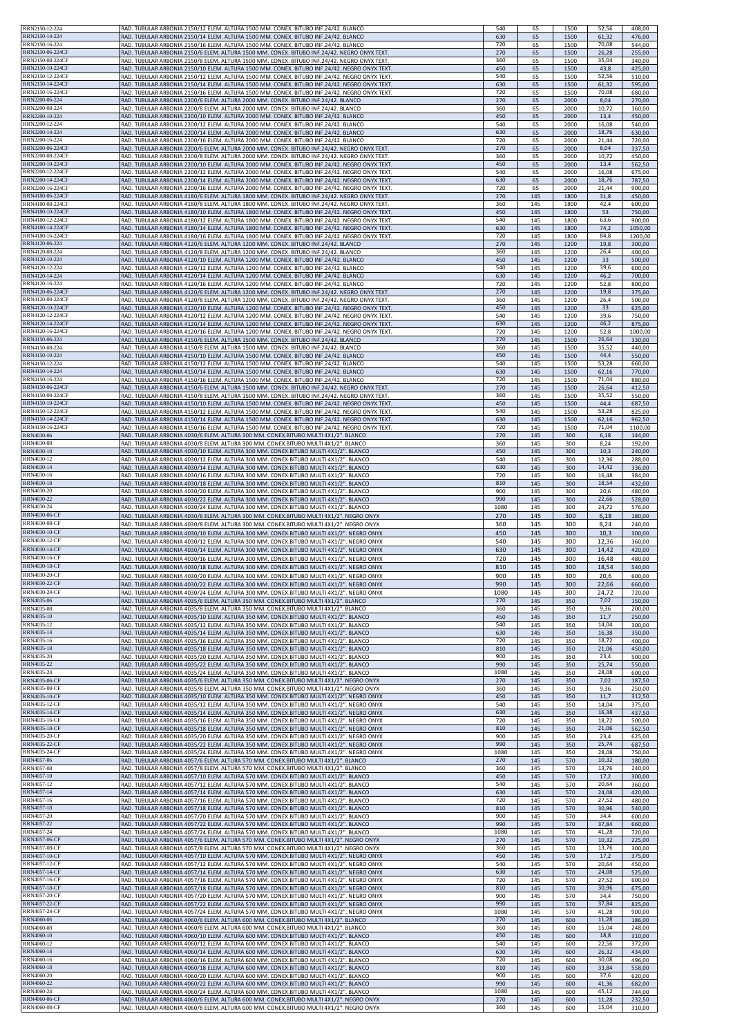| RRN2150-12-224                        | RAD. TUBULAR ARBONIA 2150/12 ELEM. ALTURA 1500 MM. CONEX. BITUBO INF.24/42. BLANCO                                                                                                 | 540         | 65         | 1500         | 52,56          | 408,00           |
|---------------------------------------|------------------------------------------------------------------------------------------------------------------------------------------------------------------------------------|-------------|------------|--------------|----------------|------------------|
| RRN2150-14-224                        | RAD. TUBULAR ARBONIA 2150/14 ELEM. ALTURA 1500 MM. CONEX. BITUBO INF.24/42. BLANCO                                                                                                 | 630         | 65         | 1500         | 61,32          | 476,00           |
| RRN2150-16-224                        | RAD. TUBULAR ARBONIA 2150/16 ELEM. ALTURA 1500 MM. CONEX. BITUBO INF.24/42. BLANCO                                                                                                 | 720         | 65         | 1500         | 70,08          | 544,00           |
| RRN2150-06-224CF                      | RAD. TUBULAR ARBONIA 2150/6 ELEM. ALTURA 1500 MM. CONEX. BITUBO INF.24/42. NEGRO ONYX TEXT.                                                                                        | 270         | 65         | 1500         | 26,28          | 255,00           |
| RRN2150-08-224CF                      | RAD. TUBULAR ARBONIA 2150/8 ELEM. ALTURA 1500 MM. CONEX. BITUBO INF.24/42. NEGRO ONYX TEXT.                                                                                        | 360         | 65         | 1500         | 35,04          | 340,00           |
| RRN2150-10-224CF                      | RAD. TUBULAR ARBONIA 2150/10 ELEM. ALTURA 1500 MM. CONEX. BITUBO INF.24/42. NEGRO ONYX TEXT                                                                                        | 450         | 65         | 1500         | 43,8           | 425,00           |
| RRN2150-12-224CF                      | RAD. TUBULAR ARBONIA 2150/12 ELEM. ALTURA 1500 MM. CONEX. BITUBO INF.24/42. NEGRO ONYX TEXT                                                                                        | 540         | 65         | 1500         | 52,56          | 510,00           |
| RRN2150-14-224CF                      | RAD. TUBULAR ARBONIA 2150/14 ELEM. ALTURA 1500 MM. CONEX. BITUBO INF.24/42. NEGRO ONYX TEXT.                                                                                       | 630         | 65         | 1500         | 61,32          | 595,00           |
| RRN2150-16-224CF                      | RAD. TUBULAR ARBONIA 2150/16 ELEM. ALTURA 1500 MM. CONEX. BITUBO INF.24/42. NEGRO ONYX TEXT.                                                                                       | 720         | 65         | 1500         | 70,08          | 680,00           |
| RRN2200-06-224                        | RAD. TUBULAR ARBONIA 2200/6 ELEM. ALTURA 2000 MM. CONEX. BITUBO INF.24/42. BLANCO                                                                                                  | 270         | 65         | 2000         | 8,04           | 270,00           |
| RRN2200-08-224                        | RAD. TUBULAR ARBONIA 2200/8 ELEM. ALTURA 2000 MM. CONEX. BITUBO INF.24/42. BLANCO                                                                                                  | 360         | 65         | 2000         | 10,72          | 360,00           |
| RRN2200-10-224                        | RAD. TUBULAR ARBONIA 2200/10 ELEM. ALTURA 2000 MM. CONEX. BITUBO INF.24/42. BLANCO                                                                                                 | 450         | 65         | 2000         | 13,4           | 450,00           |
| RRN2200-12-224                        | RAD. TUBULAR ARBONIA 2200/12 ELEM. ALTURA 2000 MM. CONEX. BITUBO INF.24/42. BLANCO                                                                                                 | 540         | 65         | 2000         | 16,08          | 540,00           |
| RRN2200-14-224                        | RAD. TUBULAR ARBONIA 2200/14 ELEM. ALTURA 2000 MM. CONEX. BITUBO INF.24/42. BLANCO                                                                                                 | 630         | 65         | 2000         | 18,76          | 630,00           |
| RRN2200-16-224                        | RAD. TUBULAR ARBONIA 2200/16 ELEM. ALTURA 2000 MM. CONEX. BITUBO INF.24/42. BLANCO                                                                                                 | 720         | 65         | 2000         | 21,44          | 720,00           |
| RRN2200-06-224CF                      | RAD. TUBULAR ARBONIA 2200/6 ELEM. ALTURA 2000 MM. CONEX. BITUBO INF.24/42. NEGRO ONYX TEXT.                                                                                        | 270         | 65         | 2000         | 8,04           | 337,50           |
| RRN2200-08-224CF                      | RAD. TUBULAR ARBONIA 2200/8 ELEM. ALTURA 2000 MM. CONEX. BITUBO INF.24/42. NEGRO ONYX TEXT.                                                                                        | 360         | 65         | 2000         | 10,72          | 450,00           |
| RRN2200-10-224CF                      | RAD. TUBULAR ARBONIA 2200/10 ELEM. ALTURA 2000 MM. CONEX. BITUBO INF.24/42. NEGRO ONYX TEXT                                                                                        | 450         | 65         | 2000         | 13,4           | 562,50           |
| RRN2200-12-224CF                      | RAD. TUBULAR ARBONIA 2200/12 ELEM. ALTURA 2000 MM. CONEX. BITUBO INF.24/42. NEGRO ONYX TEXT                                                                                        | 540         | 65         | 2000         | 16,08          | 675,00           |
| RRN2200-14-224CF                      | RAD. TUBULAR ARBONIA 2200/14 ELEM. ALTURA 2000 MM. CONEX. BITUBO INF.24/42. NEGRO ONYX TEXT.                                                                                       | 630         | 65         | 2000         | 18,76          | 787,50           |
| RRN2200-16-224CF                      | RAD. TUBULAR ARBONIA 2200/16 ELEM. ALTURA 2000 MM. CONEX. BITUBO INF.24/42. NEGRO ONYX TEXT.                                                                                       | 720         | 65         | 2000         | 21,44          | 900,00           |
| RRN4180-06-224CF                      | RAD. TUBULAR ARBONIA 4180/6 ELEM. ALTURA 1800 MM. CONEX. BITUBO INF.24/42. NEGRO ONYX TEXT.                                                                                        | 270         | 145        | 1800         | 31,8           | 450,00           |
| RRN4180-08-224CF                      | RAD. TUBULAR ARBONIA 4180/8 ELEM. ALTURA 1800 MM. CONEX. BITUBO INF.24/42. NEGRO ONYX TEXT.                                                                                        | 360         | 145        | 1800         | 42,4           | 600,00           |
| RRN4180-10-224CF                      | RAD. TUBULAR ARBONIA 4180/10 ELEM. ALTURA 1800 MM. CONEX. BITUBO INF.24/42. NEGRO ONYX TEXT                                                                                        | 450         | 145        | 1800         | 53             | 750,00           |
| RRN4180-12-224CF                      | RAD. TUBULAR ARBONIA 4180/12 ELEM. ALTURA 1800 MM. CONEX. BITUBO INF.24/42. NEGRO ONYX TEXT                                                                                        | 540         | 145        | 1800         | 63,6           | 900,00           |
| RRN4180-14-224CF                      | RAD. TUBULAR ARBONIA 4180/14 ELEM. ALTURA 1800 MM. CONEX. BITUBO INF.24/42. NEGRO ONYX TEXT                                                                                        | 630         | 145        | 1800         | 74,2           | 1050,00          |
| RRN4180-16-224CF                      | RAD. TUBULAR ARBONIA 4180/16 ELEM. ALTURA 1800 MM. CONEX. BITUBO INF.24/42. NEGRO ONYX TEXT.                                                                                       | 720         | 145        | 1800         | 84,8           | 1200,00          |
| RRN4120-06-224                        | RAD. TUBULAR ARBONIA 4120/6 ELEM. ALTURA 1200 MM. CONEX. BITUBO INF.24/42. BLANCO                                                                                                  | 270         | 145        | 1200         | 19,8           |                  |
| RRN4120-08-224                        | RAD. TUBULAR ARBONIA 4120/8 ELEM. ALTURA 1200 MM. CONEX. BITUBO INF.24/42. BLANCO                                                                                                  | 360         | 145        | 1200         | 26,4           | 300,00<br>400,00 |
| RRN4120-10-224                        | RAD. TUBULAR ARBONIA 4120/10 ELEM. ALTURA 1200 MM. CONEX. BITUBO INF.24/42. BLANCO                                                                                                 | 450         | 145        | 1200         | 33             | 500,00           |
| RRN4120-12-224                        | RAD. TUBULAR ARBONIA 4120/12 ELEM. ALTURA 1200 MM. CONEX. BITUBO INF.24/42. BLANCO                                                                                                 | 540         | 145        | 1200         | 39,6           | 600,00           |
| RRN4120-14-224                        | RAD. TUBULAR ARBONIA 4120/14 ELEM. ALTURA 1200 MM. CONEX. BITUBO INF.24/42. BLANCO                                                                                                 | 630         | 145        | 1200         | 46,2           | 700,00           |
| RRN4120-16-224                        | RAD. TUBULAR ARBONIA 4120/16 ELEM. ALTURA 1200 MM. CONEX. BITUBO INF.24/42. BLANCO                                                                                                 | 720         | 145        | 1200         | 52,8           | 800,00           |
| RRN4120-06-224CF                      | RAD. TUBULAR ARBONIA 4120/6 ELEM. ALTURA 1200 MM. CONEX. BITUBO INF.24/42. NEGRO ONYX TEXT.                                                                                        | 270         | 145        | 1200         | 19,8           | 375,00           |
| RRN4120-08-224CF                      | RAD. TUBULAR ARBONIA 4120/8 ELEM. ALTURA 1200 MM. CONEX. BITUBO INF.24/42. NEGRO ONYX TEXT.                                                                                        | 360         | 145        | 1200         | 26,4           | 500,00           |
| RRN4120-10-224CF                      | RAD. TUBULAR ARBONIA 4120/10 ELEM. ALTURA 1200 MM. CONEX. BITUBO INF.24/42. NEGRO ONYX TEXT                                                                                        | 450         | 145        | 1200         | 33             | 625,00           |
| RRN4120-12-224CF                      | RAD. TUBULAR ARBONIA 4120/12 ELEM. ALTURA 1200 MM. CONEX. BITUBO INF.24/42. NEGRO ONYX TEXT                                                                                        | 540         | 145        | 1200         | 39,6           | 750,00           |
| RRN4120-14-224CF                      | RAD. TUBULAR ARBONIA 4120/14 ELEM. ALTURA 1200 MM. CONEX. BITUBO INF.24/42. NEGRO ONYX TEXT                                                                                        | 630         | 145        | 1200         | 46,2           | 875,00           |
| RRN4120-16-224CF                      | RAD. TUBULAR ARBONIA 4120/16 ELEM. ALTURA 1200 MM. CONEX. BITUBO INF.24/42. NEGRO ONYX TEXT.                                                                                       | 720         | 145        | 1200         | 52,8           | 1000,00          |
| RRN4150-06-224<br>RRN4150-08-224      | RAD. TUBULAR ARBONIA 4150/6 ELEM. ALTURA 1500 MM. CONEX. BITUBO INF.24/42. BLANCO                                                                                                  | 270<br>360  | 145        | 1500         | 26,64          | 330,00           |
| RRN4150-10-224                        | RAD. TUBULAR ARBONIA 4150/8 ELEM. ALTURA 1500 MM. CONEX. BITUBO INF.24/42. BLANCO<br>RAD. TUBULAR ARBONIA 4150/10 ELEM. ALTURA 1500 MM. CONEX. BITUBO INF.24/42. BLANCO            | 450         | 145<br>145 | 1500<br>1500 | 35,52<br>44,4  | 440,00<br>550,00 |
| RRN4150-12-224                        | RAD. TUBULAR ARBONIA 4150/12 ELEM. ALTURA 1500 MM. CONEX. BITUBO INF.24/42. BLANCO                                                                                                 | 540         | 145        | 1500         | 53,28          | 660,00           |
| RRN4150-14-224                        | RAD. TUBULAR ARBONIA 4150/14 ELEM. ALTURA 1500 MM. CONEX. BITUBO INF.24/42. BLANCO                                                                                                 | 630         | 145        | 1500         | 62,16          | 770,00           |
| RRN4150-16-224                        | RAD. TUBULAR ARBONIA 4150/16 ELEM. ALTURA 1500 MM. CONEX. BITUBO INF.24/42. BLANCO                                                                                                 | 720         | 145        | 1500         | 71,04          | 880,00           |
| RRN4150-06-224CF                      | RAD. TUBULAR ARBONIA 4150/6 ELEM. ALTURA 1500 MM. CONEX. BITUBO INF.24/42. NEGRO ONYX TEXT.                                                                                        | 270         | 145        | 1500         | 26,64          | 412,50           |
| RRN4150-08-224CF                      | RAD. TUBULAR ARBONIA 4150/8 ELEM. ALTURA 1500 MM. CONEX. BITUBO INF.24/42. NEGRO ONYX TEXT.                                                                                        | 360         | 145        | 1500         | 35,52          | 550,00           |
| RRN4150-10-224CF                      | RAD. TUBULAR ARBONIA 4150/10 ELEM. ALTURA 1500 MM. CONEX. BITUBO INF.24/42. NEGRO ONYX TEXT                                                                                        | 450         | 145        | 1500         | 44,4           | 687,50           |
| RRN4150-12-224CF                      | RAD. TUBULAR ARBONIA 4150/12 ELEM. ALTURA 1500 MM. CONEX. BITUBO INF.24/42. NEGRO ONYX TEXT                                                                                        | 540         | 145        | 1500         | 53,28          | 825,00           |
| RRN4150-14-224CF                      | RAD. TUBULAR ARBONIA 4150/14 ELEM. ALTURA 1500 MM. CONEX. BITUBO INF.24/42. NEGRO ONYX TEXT                                                                                        | 630         | 145        | 1500         | 62,16          | 962,50           |
| RRN4150-16-224CF                      | RAD. TUBULAR ARBONIA 4150/16 ELEM. ALTURA 1500 MM. CONEX. BITUBO INF.24/42. NEGRO ONYX TEXT.                                                                                       | 720         | 145        | 1500         | 71,04          | 1100,00          |
| RRN4030-06                            | RAD. TUBULAR ARBONIA 4030/6 ELEM. ALTURA 300 MM. CONEX.BITUBO MULTI 4X1/2". BLANCO                                                                                                 | 270         | 145        | 300          | 6,18           | 144,00           |
| RRN4030-08                            | RAD. TUBULAR ARBONIA 4030/8 ELEM. ALTURA 300 MM. CONEX.BITUBO MULTI 4X1/2". BLANCO                                                                                                 | 360         | 145        | 300          | 8,24           | 192,00           |
| RRN4030-10                            | RAD. TUBULAR ARBONIA 4030/10 ELEM. ALTURA 300 MM. CONEX.BITUBO MULTI 4X1/2". BLANCO                                                                                                | 450         | 145        | 300          | 10,3           | 240,00           |
| RRN4030-12                            | RAD. TUBULAR ARBONIA 4030/12 ELEM. ALTURA 300 MM. CONEX.BITUBO MULTI 4X1/2". BLANCO                                                                                                | 540         | 145        | 300          | 12,36          | 288,00           |
| RRN4030-14                            | RAD. TUBULAR ARBONIA 4030/14 ELEM. ALTURA 300 MM. CONEX.BITUBO MULTI 4X1/2". BLANCO                                                                                                | 630         | 145        | 300          | 14,42          | 336,00           |
| RRN4030-16                            | RAD. TUBULAR ARBONIA 4030/16 ELEM. ALTURA 300 MM. CONEX.BITUBO MULTI 4X1/2". BLANCO                                                                                                | 720         | 145        | 300          | 16,48          | 384,00           |
| RRN4030-18                            | RAD. TUBULAR ARBONIA 4030/18 ELEM. ALTURA 300 MM. CONEX.BITUBO MULTI 4X1/2". BLANCO                                                                                                | 810         | 145        | 300          | 18,54          | 432,00           |
| RRN4030-20                            | RAD. TUBULAR ARBONIA 4030/20 ELEM. ALTURA 300 MM. CONEX.BITUBO MULTI 4X1/2". BLANCO                                                                                                | 900         | 145        | 300          | 20,6           | 480,00           |
| RRN4030-22                            | RAD. TUBULAR ARBONIA 4030/22 ELEM. ALTURA 300 MM. CONEX.BITUBO MULTI 4X1/2". BLANCO                                                                                                | 990         | 145        | 300          | 22,66          | 528,00           |
| RRN4030-24                            | RAD. TUBULAR ARBONIA 4030/24 ELEM. ALTURA 300 MM. CONEX.BITUBO MULTI 4X1/2". BLANCO                                                                                                | 1080        | 145        | 300          | 24,72          | 576,00           |
| RRN4030-06-CF                         | RAD. TUBULAR ARBONIA 4030/6 ELEM. ALTURA 300 MM. CONEX.BITUBO MULTI 4X1/2". NEGRO ONYX                                                                                             | 270         | 145        | 300          | 6,18           | 180,00           |
| RRN4030-08-CF                         | RAD. TUBULAR ARBONIA 4030/8 ELEM. ALTURA 300 MM. CONEX.BITUBO MULTI 4X1/2". NEGRO ONYX                                                                                             | 360         | 145        | 300          | 8,24           | 240,00           |
| <b>RRN4030-10-CF</b>                  | RAD. TUBULAR ARBONIA 4030/10 ELEM. ALTURA 300 MM. CONEX.BITUBO MULTI 4X1/2". NEGRO ONYX                                                                                            | 450         | 145        | 300          | 10,3           | 300,00           |
| <b>RRN4030-12-CF</b>                  | RAD. TUBULAR ARBONIA 4030/12 ELEM. ALTURA 300 MM. CONEX.BITUBO MULTI 4X1/2". NEGRO ONYX                                                                                            | 540         | 145        | 300          | 12,36          | 360,00           |
| RRN4030-14-CF                         | RAD. TUBULAR ARBONIA 4030/14 ELEM. ALTURA 300 MM. CONEX.BITUBO MULTI 4X1/2". NEGRO ONYX                                                                                            | 630         | 145        | 300          | 14,42          | 420,00           |
| RRN4030-16-CF                         | RAD. TUBULAR ARBONIA 4030/16 ELEM. ALTURA 300 MM. CONEX.BITUBO MULTI 4X1/2". NEGRO ONYX                                                                                            | 720         | 145        | 300          | 16,48          | 480,00           |
| <b>RRN4030-18-CF</b>                  | RAD. TUBULAR ARBONIA 4030/18 ELEM. ALTURA 300 MM. CONEX.BITUBO MULTI 4X1/2". NEGRO ONYX                                                                                            | 810         | 145        | 300          | 18,54          | 540,00           |
| RRN4030-20-Cl                         | RAD. TUBULAR ARBONIA 4030/20 ELEM. ALTURA 300 MM. CONEX.BITUBO MULTI 4X1/2". NEGRO ONYX                                                                                            | YUU         | 145        | 300          | 20,6           | 600.00           |
| RRN4030-22-CF                         | RAD. TUBULAR ARBONIA 4030/22 ELEM. ALTURA 300 MM. CONEX.BITUBO MULTI 4X1/2". NEGRO ONYX                                                                                            | 990         | 145        | 300          | 22,66          | 660,00           |
| <b>RRN4030-24-CF</b>                  | RAD. TUBULAR ARBONIA 4030/24 ELEM. ALTURA 300 MM. CONEX.BITUBO MULTI 4X1/2". NEGRO ONYX                                                                                            | 1080        | 145        | 300          | 24,72          | 720,00           |
| RRN4035-06                            | RAD. TUBULAR ARBONIA 4035/6 ELEM. ALTURA 350 MM. CONEX.BITUBO MULTI 4X1/2". BLANCO                                                                                                 | 270         | 145        | 350          | 7,02           | 150,00           |
| RRN4035-08                            | RAD. TUBULAR ARBONIA 4035/8 ELEM. ALTURA 350 MM. CONEX.BITUBO MULTI 4X1/2". BLANCO                                                                                                 | 360         | 145        | 350          | 9,36           | 200,00           |
| RRN4035-10                            | RAD. TUBULAR ARBONIA 4035/10 ELEM. ALTURA 350 MM. CONEX.BITUBO MULTI 4X1/2". BLANCO                                                                                                | 450         | 145        | 350          | 11,7           | 250,00           |
| RRN4035-12                            | RAD. TUBULAR ARBONIA 4035/12 ELEM. ALTURA 350 MM. CONEX.BITUBO MULTI 4X1/2". BLANCO                                                                                                | 540         | 145        | 350          | 14,04          | 300,00           |
| RRN4035-14                            | RAD. TUBULAR ARBONIA 4035/14 ELEM. ALTURA 350 MM. CONEX.BITUBO MULTI 4X1/2". BLANCO                                                                                                | 630         | 145        | 350          | 16,38          | 350,00           |
| RRN4035-16                            | RAD. TUBULAR ARBONIA 4035/16 ELEM. ALTURA 350 MM. CONEX.BITUBO MULTI 4X1/2". BLANCO                                                                                                | 720         | 145        | 350          | 18,72          | 400,00           |
| RRN4035-18                            | RAD. TUBULAR ARBONIA 4035/18 ELEM. ALTURA 350 MM. CONEX.BITUBO MULTI 4X1/2". BLANCO                                                                                                | 810         | 145        | 350          | 21,06          | 450,00           |
| RRN4035-20                            | RAD. TUBULAR ARBONIA 4035/20 ELEM. ALTURA 350 MM. CONEX.BITUBO MULTI 4X1/2". BLANCO                                                                                                | 900         | 145        | 350          | 23,4           | 500,00           |
| RRN4035-22                            | RAD. TUBULAR ARBONIA 4035/22 ELEM. ALTURA 350 MM. CONEX.BITUBO MULTI 4X1/2". BLANCO                                                                                                | 990         | 145        | 350          | 25,74          | 550,00           |
| RRN4035-24                            | RAD. TUBULAR ARBONIA 4035/24 ELEM. ALTURA 350 MM. CONEX.BITUBO MULTI 4X1/2". BLANCO                                                                                                | 1080        | 145        | 350          | 28,08          | 600,00           |
| RRN4035-06-CF                         | RAD. TUBULAR ARBONIA 4035/6 ELEM. ALTURA 350 MM. CONEX.BITUBO MULTI 4X1/2". NEGRO ONYX                                                                                             | 270         | 145        | 350          | 7,02           | 187,50           |
| RRN4035-08-CF                         | RAD. TUBULAR ARBONIA 4035/8 ELEM. ALTURA 350 MM. CONEX.BITUBO MULTI 4X1/2". NEGRO ONYX                                                                                             | 360         | 145        | 350          | 9,36           | 250,00           |
| RRN4035-10-CF                         | RAD. TUBULAR ARBONIA 4035/10 ELEM. ALTURA 350 MM. CONEX.BITUBO MULTI 4X1/2". NEGRO ONYX                                                                                            | 450         | 145        | 350          | 11,7           | 312,50           |
| RRN4035-12-CF                         | RAD. TUBULAR ARBONIA 4035/12 ELEM. ALTURA 350 MM. CONEX.BITUBO MULTI 4X1/2". NEGRO ONYX                                                                                            | 540         | 145        | 350          | 14,04          | 375,00           |
| <b>RRN4035-14-CF</b>                  | RAD. TUBULAR ARBONIA 4035/14 ELEM. ALTURA 350 MM. CONEX.BITUBO MULTI 4X1/2". NEGRO ONYX                                                                                            | 630         | 145        | 350          | 16,38          |                  |
| RRN4035-16-CF                         | RAD. TUBULAR ARBONIA 4035/16 ELEM. ALTURA 350 MM. CONEX.BITUBO MULTI 4X1/2". NEGRO ONYX                                                                                            | 720         | 145        | 350          | 18,72          | 437,50<br>500,00 |
| RRN4035-18-CF                         | RAD. TUBULAR ARBONIA 4035/18 ELEM. ALTURA 350 MM. CONEX.BITUBO MULTI 4X1/2". NEGRO ONYX                                                                                            | 810         | 145        | 350          | 21,06          | 562,50           |
| RRN4035-20-CF                         | RAD. TUBULAR ARBONIA 4035/20 ELEM. ALTURA 350 MM. CONEX.BITUBO MULTI 4X1/2". NEGRO ONYX                                                                                            | 900         | 145        | 350          | 23,4           | 625,00           |
| RRN4035-22-CF<br>RRN4035-24-CF        | RAD. TUBULAR ARBONIA 4035/22 ELEM. ALTURA 350 MM. CONEX.BITUBO MULTI 4X1/2". NEGRO ONYX                                                                                            | 990<br>1080 | 145        | 350          | 25,74<br>28,08 | 687,50           |
| RRN4057-06                            | RAD. TUBULAR ARBONIA 4035/24 ELEM. ALTURA 350 MM. CONEX.BITUBO MULTI 4X1/2". NEGRO ONYX<br>RAD. TUBULAR ARBONIA 4057/6 ELEM. ALTURA 570 MM. CONEX.BITUBO MULTI 4X1/2". BLANCO      | 270         | 145<br>145 | 350<br>570   | 10,32          | 750,00<br>180,00 |
| RRN4057-08                            | RAD. TUBULAR ARBONIA 4057/8 ELEM. ALTURA 570 MM. CONEX.BITUBO MULTI 4X1/2". BLANCO                                                                                                 | 360         | 145        | 570          | 13,76          | 240,00           |
| RRN4057-10                            | RAD. TUBULAR ARBONIA 4057/10 ELEM. ALTURA 570 MM. CONEX.BITUBO MULTI 4X1/2". BLANCO                                                                                                | 450         | 145        | 570          | 17,2           | 300,00           |
| <b>RRN4057-12</b>                     | RAD. TUBULAR ARBONIA 4057/12 ELEM. ALTURA 570 MM. CONEX.BITUBO MULTI 4X1/2". BLANCO                                                                                                | 540         | 145        | 570          | 20,64          | 360,00           |
| RRN4057-14                            | RAD. TUBULAR ARBONIA 4057/14 ELEM. ALTURA 570 MM. CONEX.BITUBO MULTI 4X1/2". BLANCO                                                                                                | 630         | 145        | 570          | 24,08          | 420,00           |
| RRN4057-16                            | RAD. TUBULAR ARBONIA 4057/16 ELEM. ALTURA 570 MM. CONEX.BITUBO MULTI 4X1/2". BLANCO                                                                                                | 720         | 145        | 570          | 27,52          | 480,00           |
| RRN4057-18                            | RAD. TUBULAR ARBONIA 4057/18 ELEM. ALTURA 570 MM. CONEX.BITUBO MULTI 4X1/2". BLANCO                                                                                                | 810         | 145        | 570          | 30,96          | 540,00           |
| RRN4057-20                            | RAD. TUBULAR ARBONIA 4057/20 ELEM. ALTURA 570 MM. CONEX.BITUBO MULTI 4X1/2". BLANCO                                                                                                | 900         | 145        | 570          | 34,4           | 600,00           |
| RRN4057-22                            | RAD. TUBULAR ARBONIA 4057/22 ELEM. ALTURA 570 MM. CONEX.BITUBO MULTI 4X1/2". BLANCO                                                                                                | 990         | 145        | 570          | 37,84          | 660,00           |
| RRN4057-24                            | RAD. TUBULAR ARBONIA 4057/24 ELEM. ALTURA 570 MM. CONEX.BITUBO MULTI 4X1/2". BLANCO                                                                                                | 1080        | 145        | 570          | 41,28          | 720,00           |
| RRN4057-06-CF                         | RAD. TUBULAR ARBONIA 4057/6 ELEM. ALTURA 570 MM. CONEX.BITUBO MULTI 4X1/2". NEGRO ONYX                                                                                             | 270         | 145        | 570          | 10,32          | 225,00           |
| RRN4057-08-CF                         | RAD. TUBULAR ARBONIA 4057/8 ELEM. ALTURA 570 MM. CONEX.BITUBO MULTI 4X1/2". NEGRO ONYX                                                                                             | 360         | 145        | 570          | 13,76          | 300,00           |
| RRN4057-10-CF                         | RAD. TUBULAR ARBONIA 4057/10 ELEM. ALTURA 570 MM. CONEX.BITUBO MULTI 4X1/2". NEGRO ONYX                                                                                            | 450         | 145        | 570          | 17,2           | 375,00           |
| RRN4057-12-CF                         | RAD. TUBULAR ARBONIA 4057/12 ELEM. ALTURA 570 MM. CONEX.BITUBO MULTI 4X1/2". NEGRO ONYX                                                                                            | 540         | 145        | 570          | 20,64          | 450,00           |
| RRN4057-14-CF                         | RAD. TUBULAR ARBONIA 4057/14 ELEM. ALTURA 570 MM. CONEX.BITUBO MULTI 4X1/2". NEGRO ONYX                                                                                            | 630         | 145        | 570          | 24,08          | 525,00           |
| RRN4057-16-CF                         | RAD. TUBULAR ARBONIA 4057/16 ELEM. ALTURA 570 MM. CONEX.BITUBO MULTI 4X1/2". NEGRO ONYX                                                                                            | 720         | 145        | 570          | 27,52          | 600,00           |
| <b>RRN4057-18-CF</b><br>RRN4057-20-CF | RAD. TUBULAR ARBONIA 4057/18 ELEM. ALTURA 570 MM. CONEX.BITUBO MULTI 4X1/2". NEGRO ONYX                                                                                            | 810<br>900  | 145        | 570<br>570   | 30,96<br>34,4  | 675,00           |
| RRN4057-22-CF                         | RAD. TUBULAR ARBONIA 4057/20 ELEM. ALTURA 570 MM. CONEX.BITUBO MULTI 4X1/2". NEGRO ONYX<br>RAD. TUBULAR ARBONIA 4057/22 ELEM. ALTURA 570 MM. CONEX.BITUBO MULTI 4X1/2". NEGRO ONYX | 990         | 145<br>145 | 570          | 37,84          | 750,00<br>825,00 |
| <b>RRN4057-24-CF</b>                  | RAD. TUBULAR ARBONIA 4057/24 ELEM. ALTURA 570 MM. CONEX.BITUBO MULTI 4X1/2". NEGRO ONYX                                                                                            | 1080        | 145        | 570          | 41,28          | 900,00           |
| RRN4060-06                            | RAD. TUBULAR ARBONIA 4060/6 ELEM. ALTURA 600 MM. CONEX.BITUBO MULTI 4X1/2". BLANCO                                                                                                 | 270         | 145        | 600          | 11,28          | 186,00           |
| RRN4060-08<br>RRN4060-10              | RAD. TUBULAR ARBONIA 4060/8 ELEM. ALTURA 600 MM. CONEX.BITUBO MULTI 4X1/2". BLANCO                                                                                                 | 360<br>450  | 145        | 600          | 15,04          | 248,00           |
| RRN4060-12                            | RAD. TUBULAR ARBONIA 4060/10 ELEM. ALTURA 600 MM. CONEX.BITUBO MULTI 4X1/2". BLANCO<br>RAD. TUBULAR ARBONIA 4060/12 ELEM. ALTURA 600 MM. CONEX.BITUBO MULTI 4X1/2". BLANCO         | 540         | 145<br>145 | 600<br>600   | 18,8<br>22,56  | 310,00<br>372,00 |
| RRN4060-14                            | RAD. TUBULAR ARBONIA 4060/14 ELEM. ALTURA 600 MM. CONEX.BITUBO MULTI 4X1/2". BLANCO                                                                                                | 630         | 145        | 600          | 26,32          | 434,00           |
| RRN4060-16                            | RAD. TUBULAR ARBONIA 4060/16 ELEM. ALTURA 600 MM. CONEX.BITUBO MULTI 4X1/2". BLANCO                                                                                                | 720         | 145        | 600          | 30,08          | 496,00           |
| RRN4060-18                            | RAD. TUBULAR ARBONIA 4060/18 ELEM. ALTURA 600 MM. CONEX.BITUBO MULTI 4X1/2". BLANCO                                                                                                | 810         | 145        | 600          | 33,84          | 558,00           |
| RRN4060-20                            | RAD. TUBULAR ARBONIA 4060/20 ELEM. ALTURA 600 MM. CONEX.BITUBO MULTI 4X1/2". BLANCO                                                                                                | 900         | 145        | 600          | 37,6           | 620,00           |
| RRN4060-22                            | RAD. TUBULAR ARBONIA 4060/22 ELEM. ALTURA 600 MM. CONEX.BITUBO MULTI 4X1/2". BLANCO                                                                                                | 990         | 145        | 600          | 41,36          | 682,00           |
| <b>RRN4060-24</b>                     | RAD. TUBULAR ARBONIA 4060/24 ELEM. ALTURA 600 MM. CONEX.BITUBO MULTI 4X1/2". BLANCO                                                                                                | 1080        | 145        | 600          | 45,12          | 744,00           |
| RRN4060-06-CF                         | RAD. TUBULAR ARBONIA 4060/6 ELEM. ALTURA 600 MM. CONEX.BITUBO MULTI 4X1/2". NEGRO ONYX                                                                                             | 270         | 145        | 600          | 11,28          | 232,50           |
| RRN4060-08-CF                         | RAD. TUBULAR ARBONIA 4060/8 ELEM. ALTURA 600 MM. CONEX.BITUBO MULTI 4X1/2". NEGRO ONYX                                                                                             | 360         | 145        | 600          | 15,04          | 310,00           |